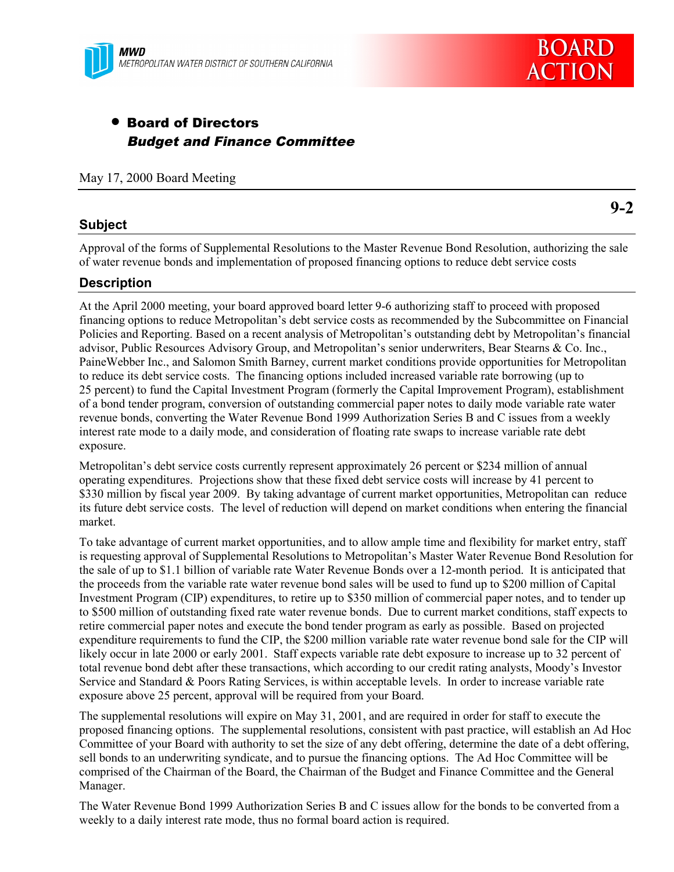

# • Board of Directors Budget and Finance Committee

May 17, 2000 Board Meeting

# **Subject**

**9-2**

Approval of the forms of Supplemental Resolutions to the Master Revenue Bond Resolution, authorizing the sale of water revenue bonds and implementation of proposed financing options to reduce debt service costs

#### **Description**

At the April 2000 meeting, your board approved board letter 9-6 authorizing staff to proceed with proposed financing options to reduce Metropolitan's debt service costs as recommended by the Subcommittee on Financial Policies and Reporting. Based on a recent analysis of Metropolitan's outstanding debt by Metropolitan's financial advisor, Public Resources Advisory Group, and Metropolitan's senior underwriters, Bear Stearns & Co. Inc., PaineWebber Inc., and Salomon Smith Barney, current market conditions provide opportunities for Metropolitan to reduce its debt service costs. The financing options included increased variable rate borrowing (up to 25 percent) to fund the Capital Investment Program (formerly the Capital Improvement Program), establishment of a bond tender program, conversion of outstanding commercial paper notes to daily mode variable rate water revenue bonds, converting the Water Revenue Bond 1999 Authorization Series B and C issues from a weekly interest rate mode to a daily mode, and consideration of floating rate swaps to increase variable rate debt exposure.

Metropolitan's debt service costs currently represent approximately 26 percent or \$234 million of annual operating expenditures. Projections show that these fixed debt service costs will increase by 41 percent to \$330 million by fiscal year 2009. By taking advantage of current market opportunities, Metropolitan can reduce its future debt service costs. The level of reduction will depend on market conditions when entering the financial market.

To take advantage of current market opportunities, and to allow ample time and flexibility for market entry, staff is requesting approval of Supplemental Resolutions to Metropolitan's Master Water Revenue Bond Resolution for the sale of up to \$1.1 billion of variable rate Water Revenue Bonds over a 12-month period. It is anticipated that the proceeds from the variable rate water revenue bond sales will be used to fund up to \$200 million of Capital Investment Program (CIP) expenditures, to retire up to \$350 million of commercial paper notes, and to tender up to \$500 million of outstanding fixed rate water revenue bonds. Due to current market conditions, staff expects to retire commercial paper notes and execute the bond tender program as early as possible. Based on projected expenditure requirements to fund the CIP, the \$200 million variable rate water revenue bond sale for the CIP will likely occur in late 2000 or early 2001. Staff expects variable rate debt exposure to increase up to 32 percent of total revenue bond debt after these transactions, which according to our credit rating analysts, Moody's Investor Service and Standard & Poors Rating Services, is within acceptable levels. In order to increase variable rate exposure above 25 percent, approval will be required from your Board.

The supplemental resolutions will expire on May 31, 2001, and are required in order for staff to execute the proposed financing options. The supplemental resolutions, consistent with past practice, will establish an Ad Hoc Committee of your Board with authority to set the size of any debt offering, determine the date of a debt offering, sell bonds to an underwriting syndicate, and to pursue the financing options. The Ad Hoc Committee will be comprised of the Chairman of the Board, the Chairman of the Budget and Finance Committee and the General Manager.

The Water Revenue Bond 1999 Authorization Series B and C issues allow for the bonds to be converted from a weekly to a daily interest rate mode, thus no formal board action is required.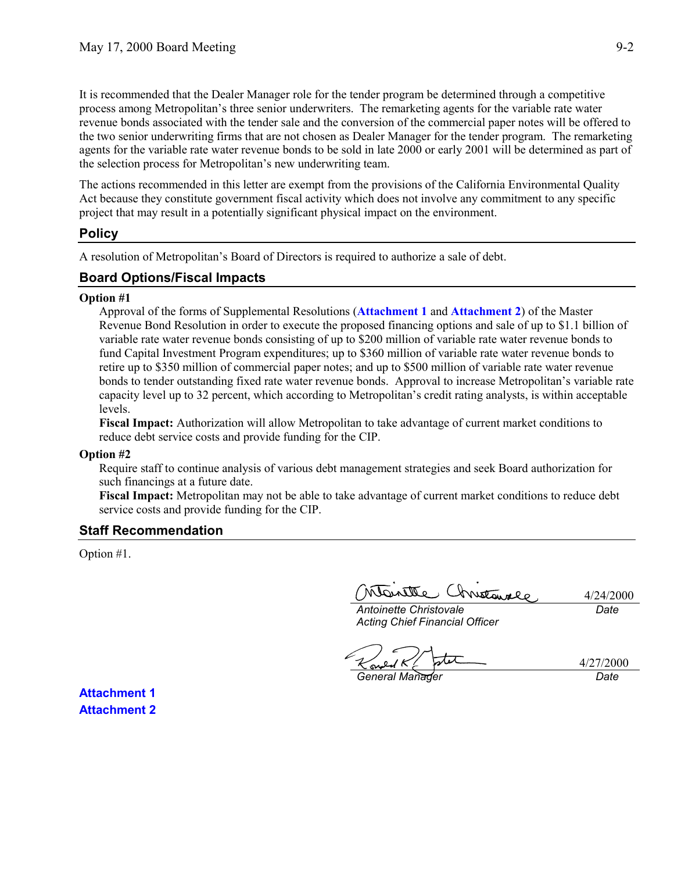It is recommended that the Dealer Manager role for the tender program be determined through a competitive process among Metropolitan's three senior underwriters. The remarketing agents for the variable rate water revenue bonds associated with the tender sale and the conversion of the commercial paper notes will be offered to the two senior underwriting firms that are not chosen as Dealer Manager for the tender program. The remarketing agents for the variable rate water revenue bonds to be sold in late 2000 or early 2001 will be determined as part of the selection process for Metropolitan's new underwriting team.

The actions recommended in this letter are exempt from the provisions of the California Environmental Quality Act because they constitute government fiscal activity which does not involve any commitment to any specific project that may result in a potentially significant physical impact on the environment.

#### **Policy**

A resolution of Metropolitan's Board of Directors is required to authorize a sale of debt.

#### **Board Options/Fiscal Impacts**

#### **Option #1**

Approval of the forms of Supplemental Resolutions (**Attachment 1** and **Attachment 2**) of the Master Revenue Bond Resolution in order to execute the proposed financing options and sale of up to \$1.1 billion of variable rate water revenue bonds consisting of up to \$200 million of variable rate water revenue bonds to fund Capital Investment Program expenditures; up to \$360 million of variable rate water revenue bonds to retire up to \$350 million of commercial paper notes; and up to \$500 million of variable rate water revenue bonds to tender outstanding fixed rate water revenue bonds. Approval to increase Metropolitan's variable rate capacity level up to 32 percent, which according to Metropolitan's credit rating analysts, is within acceptable levels.

**Fiscal Impact:** Authorization will allow Metropolitan to take advantage of current market conditions to reduce debt service costs and provide funding for the CIP.

#### **Option #2**

Require staff to continue analysis of various debt management strategies and seek Board authorization for such financings at a future date.

**Fiscal Impact:** Metropolitan may not be able to take advantage of current market conditions to reduce debt service costs and provide funding for the CIP.

#### **Staff Recommendation**

Option #1.

Grustawalo attena

4/24/2000 *Date*

*Antoinette Christovale Acting Chief Financial Officer*

4/27/2000 *General Manager Date*

**Attachment 1 Attachment 2**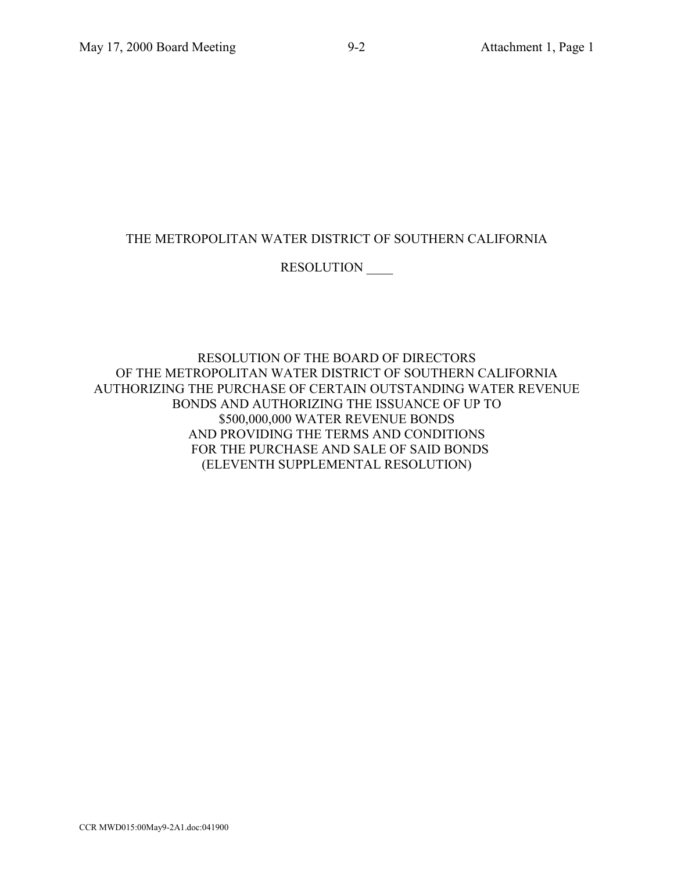# THE METROPOLITAN WATER DISTRICT OF SOUTHERN CALIFORNIA

# RESOLUTION \_\_\_\_

RESOLUTION OF THE BOARD OF DIRECTORS OF THE METROPOLITAN WATER DISTRICT OF SOUTHERN CALIFORNIA AUTHORIZING THE PURCHASE OF CERTAIN OUTSTANDING WATER REVENUE BONDS AND AUTHORIZING THE ISSUANCE OF UP TO \$500,000,000 WATER REVENUE BONDS AND PROVIDING THE TERMS AND CONDITIONS FOR THE PURCHASE AND SALE OF SAID BONDS (ELEVENTH SUPPLEMENTAL RESOLUTION)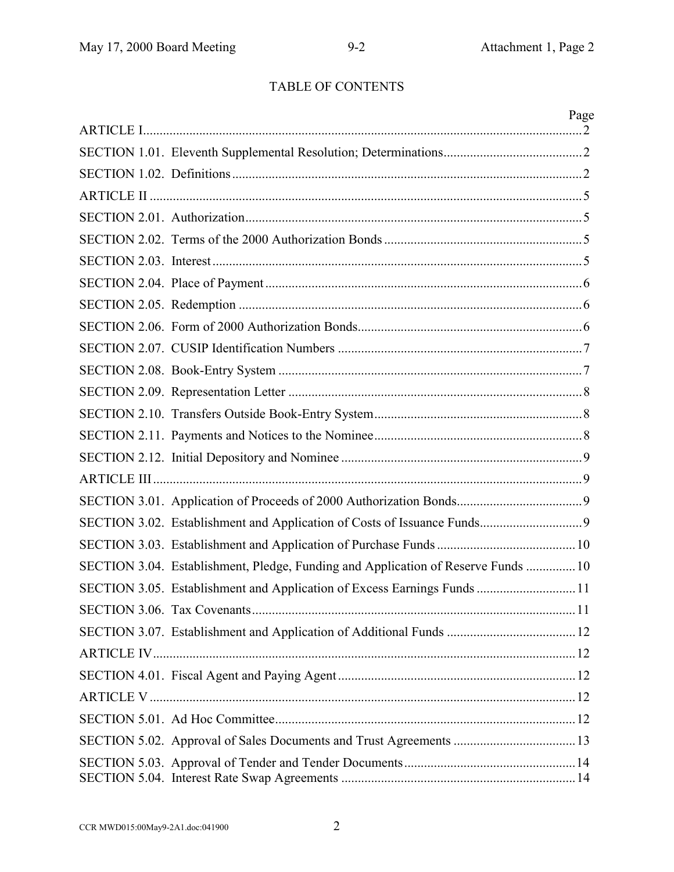# TABLE OF CONTENTS

|                                                                                   | Page |
|-----------------------------------------------------------------------------------|------|
|                                                                                   |      |
|                                                                                   |      |
|                                                                                   |      |
|                                                                                   |      |
|                                                                                   |      |
|                                                                                   |      |
|                                                                                   |      |
|                                                                                   |      |
|                                                                                   |      |
|                                                                                   |      |
|                                                                                   |      |
|                                                                                   |      |
|                                                                                   |      |
|                                                                                   |      |
|                                                                                   |      |
|                                                                                   |      |
|                                                                                   |      |
|                                                                                   |      |
|                                                                                   |      |
|                                                                                   |      |
| SECTION 3.04. Establishment, Pledge, Funding and Application of Reserve Funds  10 |      |
| SECTION 3.05. Establishment and Application of Excess Earnings Funds 11           |      |
|                                                                                   |      |
|                                                                                   |      |
|                                                                                   |      |
|                                                                                   |      |
|                                                                                   |      |
|                                                                                   |      |
|                                                                                   |      |
|                                                                                   |      |
|                                                                                   |      |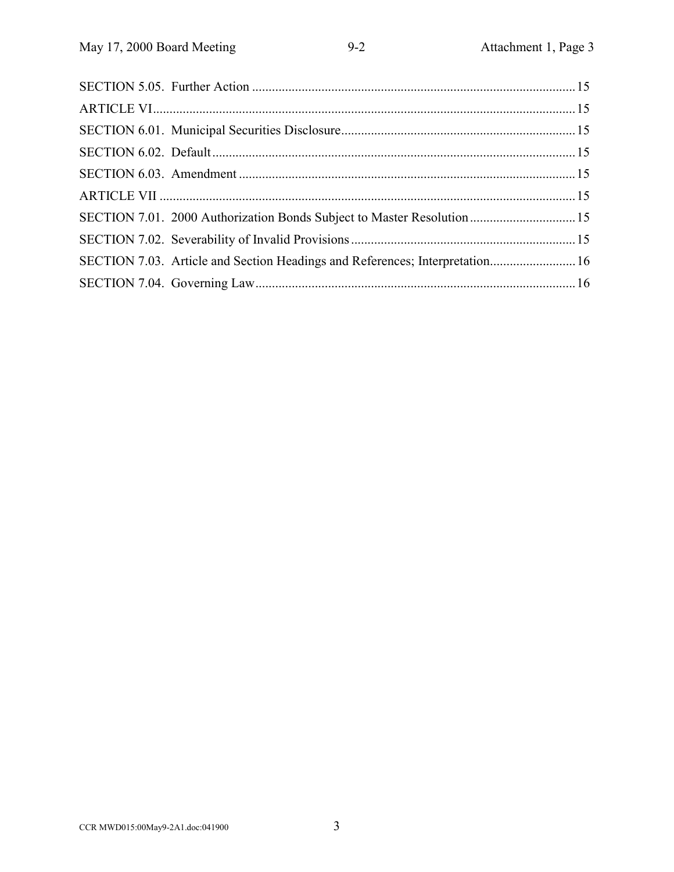| SECTION 7.01. 2000 Authorization Bonds Subject to Master Resolution 15       |  |
|------------------------------------------------------------------------------|--|
|                                                                              |  |
| SECTION 7.03. Article and Section Headings and References; Interpretation 16 |  |
|                                                                              |  |
|                                                                              |  |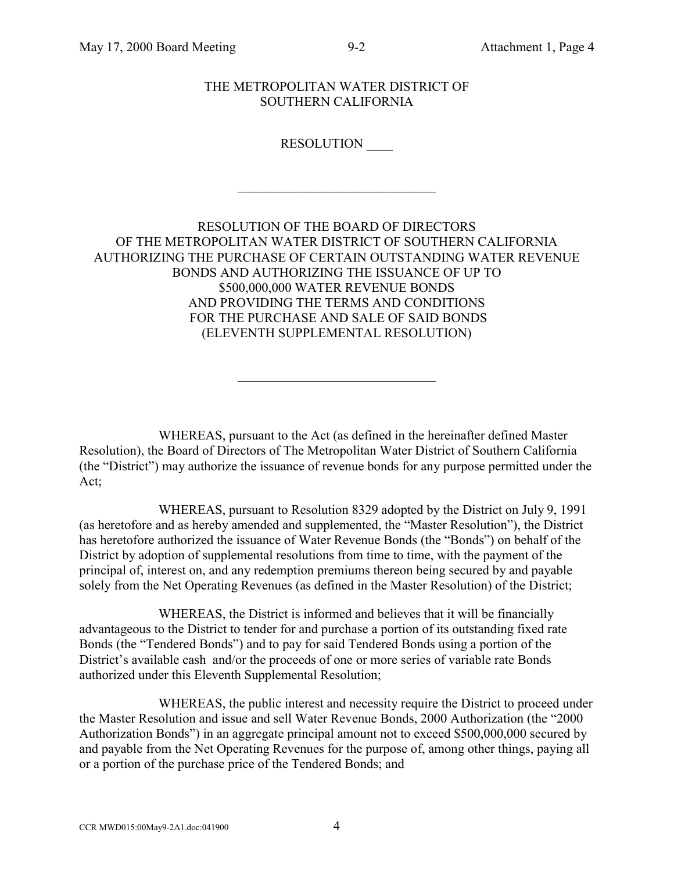### THE METROPOLITAN WATER DISTRICT OF SOUTHERN CALIFORNIA

# RESOLUTION \_\_\_\_

 $\mathcal{L}_\text{max}$  , where  $\mathcal{L}_\text{max}$  and  $\mathcal{L}_\text{max}$  and  $\mathcal{L}_\text{max}$ 

# RESOLUTION OF THE BOARD OF DIRECTORS OF THE METROPOLITAN WATER DISTRICT OF SOUTHERN CALIFORNIA AUTHORIZING THE PURCHASE OF CERTAIN OUTSTANDING WATER REVENUE BONDS AND AUTHORIZING THE ISSUANCE OF UP TO \$500,000,000 WATER REVENUE BONDS AND PROVIDING THE TERMS AND CONDITIONS FOR THE PURCHASE AND SALE OF SAID BONDS (ELEVENTH SUPPLEMENTAL RESOLUTION)

WHEREAS, pursuant to the Act (as defined in the hereinafter defined Master Resolution), the Board of Directors of The Metropolitan Water District of Southern California (the "District") may authorize the issuance of revenue bonds for any purpose permitted under the Act;

 $\mathcal{L}_\text{max}$  , where  $\mathcal{L}_\text{max}$  and  $\mathcal{L}_\text{max}$  and  $\mathcal{L}_\text{max}$ 

WHEREAS, pursuant to Resolution 8329 adopted by the District on July 9, 1991 (as heretofore and as hereby amended and supplemented, the "Master Resolution"), the District has heretofore authorized the issuance of Water Revenue Bonds (the "Bonds") on behalf of the District by adoption of supplemental resolutions from time to time, with the payment of the principal of, interest on, and any redemption premiums thereon being secured by and payable solely from the Net Operating Revenues (as defined in the Master Resolution) of the District;

WHEREAS, the District is informed and believes that it will be financially advantageous to the District to tender for and purchase a portion of its outstanding fixed rate Bonds (the "Tendered Bonds") and to pay for said Tendered Bonds using a portion of the District's available cash and/or the proceeds of one or more series of variable rate Bonds authorized under this Eleventh Supplemental Resolution;

WHEREAS, the public interest and necessity require the District to proceed under the Master Resolution and issue and sell Water Revenue Bonds, 2000 Authorization (the "2000 Authorization Bonds") in an aggregate principal amount not to exceed \$500,000,000 secured by and payable from the Net Operating Revenues for the purpose of, among other things, paying all or a portion of the purchase price of the Tendered Bonds; and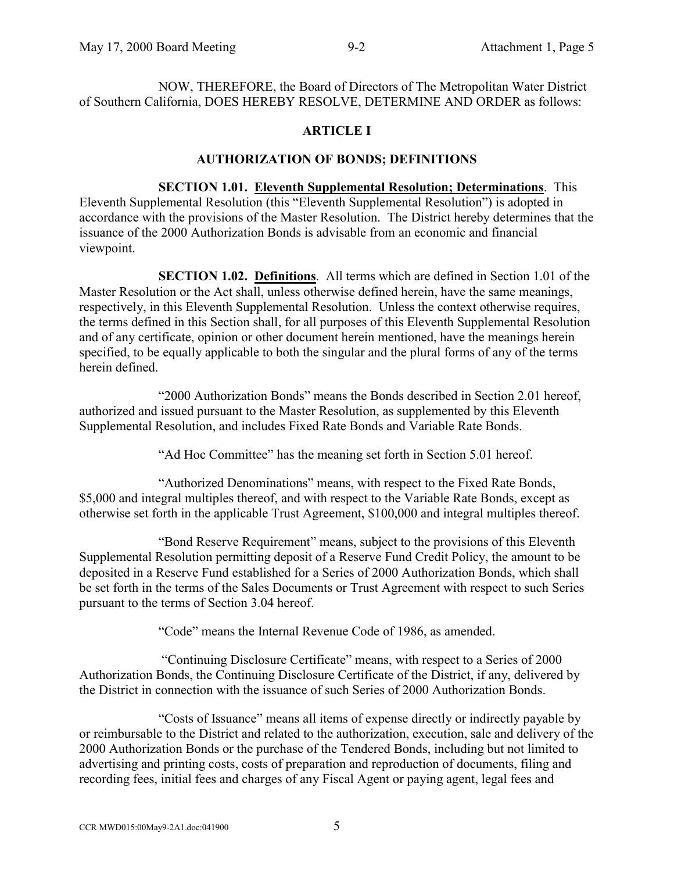NOW, THEREFORE, the Board of Directors of The Metropolitan Water District of Southern California, DOES HEREBY RESOLVE, DETERMINE AND ORDER as follows:

# **ARTICLE I**

### **AUTHORIZATION OF BONDS; DEFINITIONS**

**SECTION 1.01. Eleventh Supplemental Resolution; Determinations**. This Eleventh Supplemental Resolution (this "Eleventh Supplemental Resolution") is adopted in accordance with the provisions of the Master Resolution. The District hereby determines that the issuance of the 2000 Authorization Bonds is advisable from an economic and financial viewpoint.

**SECTION 1.02. Definitions**. All terms which are defined in Section 1.01 of the Master Resolution or the Act shall, unless otherwise defined herein, have the same meanings, respectively, in this Eleventh Supplemental Resolution. Unless the context otherwise requires, the terms defined in this Section shall, for all purposes of this Eleventh Supplemental Resolution and of any certificate, opinion or other document herein mentioned, have the meanings herein specified, to be equally applicable to both the singular and the plural forms of any of the terms herein defined.

"2000 Authorization Bonds" means the Bonds described in Section 2.01 hereof, authorized and issued pursuant to the Master Resolution, as supplemented by this Eleventh Supplemental Resolution, and includes Fixed Rate Bonds and Variable Rate Bonds.

"Ad Hoc Committee" has the meaning set forth in Section 5.01 hereof.

"Authorized Denominations" means, with respect to the Fixed Rate Bonds, \$5,000 and integral multiples thereof, and with respect to the Variable Rate Bonds, except as otherwise set forth in the applicable Trust Agreement, \$100,000 and integral multiples thereof.

"Bond Reserve Requirement" means, subject to the provisions of this Eleventh Supplemental Resolution permitting deposit of a Reserve Fund Credit Policy, the amount to be deposited in a Reserve Fund established for a Series of 2000 Authorization Bonds, which shall be set forth in the terms of the Sales Documents or Trust Agreement with respect to such Series pursuant to the terms of Section 3.04 hereof.

"Code" means the Internal Revenue Code of 1986, as amended.

 "Continuing Disclosure Certificate" means, with respect to a Series of 2000 Authorization Bonds, the Continuing Disclosure Certificate of the District, if any, delivered by the District in connection with the issuance of such Series of 2000 Authorization Bonds.

"Costs of Issuance" means all items of expense directly or indirectly payable by or reimbursable to the District and related to the authorization, execution, sale and delivery of the 2000 Authorization Bonds or the purchase of the Tendered Bonds, including but not limited to advertising and printing costs, costs of preparation and reproduction of documents, filing and recording fees, initial fees and charges of any Fiscal Agent or paying agent, legal fees and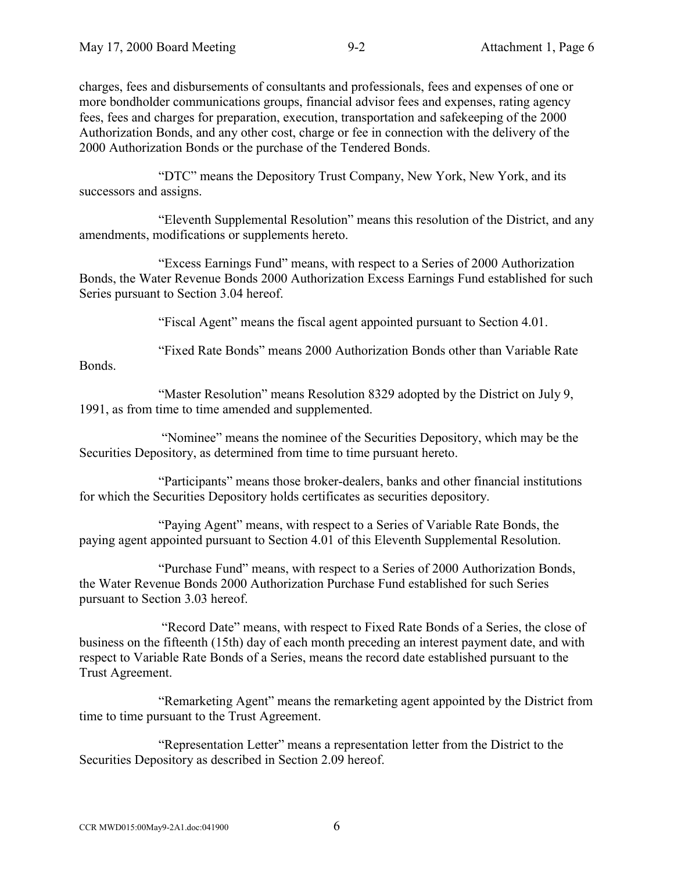charges, fees and disbursements of consultants and professionals, fees and expenses of one or more bondholder communications groups, financial advisor fees and expenses, rating agency fees, fees and charges for preparation, execution, transportation and safekeeping of the 2000 Authorization Bonds, and any other cost, charge or fee in connection with the delivery of the 2000 Authorization Bonds or the purchase of the Tendered Bonds.

"DTC" means the Depository Trust Company, New York, New York, and its successors and assigns.

"Eleventh Supplemental Resolution" means this resolution of the District, and any amendments, modifications or supplements hereto.

"Excess Earnings Fund" means, with respect to a Series of 2000 Authorization Bonds, the Water Revenue Bonds 2000 Authorization Excess Earnings Fund established for such Series pursuant to Section 3.04 hereof.

"Fiscal Agent" means the fiscal agent appointed pursuant to Section 4.01.

"Fixed Rate Bonds" means 2000 Authorization Bonds other than Variable Rate Bonds.

"Master Resolution" means Resolution 8329 adopted by the District on July 9, 1991, as from time to time amended and supplemented.

 "Nominee" means the nominee of the Securities Depository, which may be the Securities Depository, as determined from time to time pursuant hereto.

"Participants" means those broker-dealers, banks and other financial institutions for which the Securities Depository holds certificates as securities depository.

"Paying Agent" means, with respect to a Series of Variable Rate Bonds, the paying agent appointed pursuant to Section 4.01 of this Eleventh Supplemental Resolution.

"Purchase Fund" means, with respect to a Series of 2000 Authorization Bonds, the Water Revenue Bonds 2000 Authorization Purchase Fund established for such Series pursuant to Section 3.03 hereof.

 "Record Date" means, with respect to Fixed Rate Bonds of a Series, the close of business on the fifteenth (15th) day of each month preceding an interest payment date, and with respect to Variable Rate Bonds of a Series, means the record date established pursuant to the Trust Agreement.

"Remarketing Agent" means the remarketing agent appointed by the District from time to time pursuant to the Trust Agreement.

"Representation Letter" means a representation letter from the District to the Securities Depository as described in Section 2.09 hereof.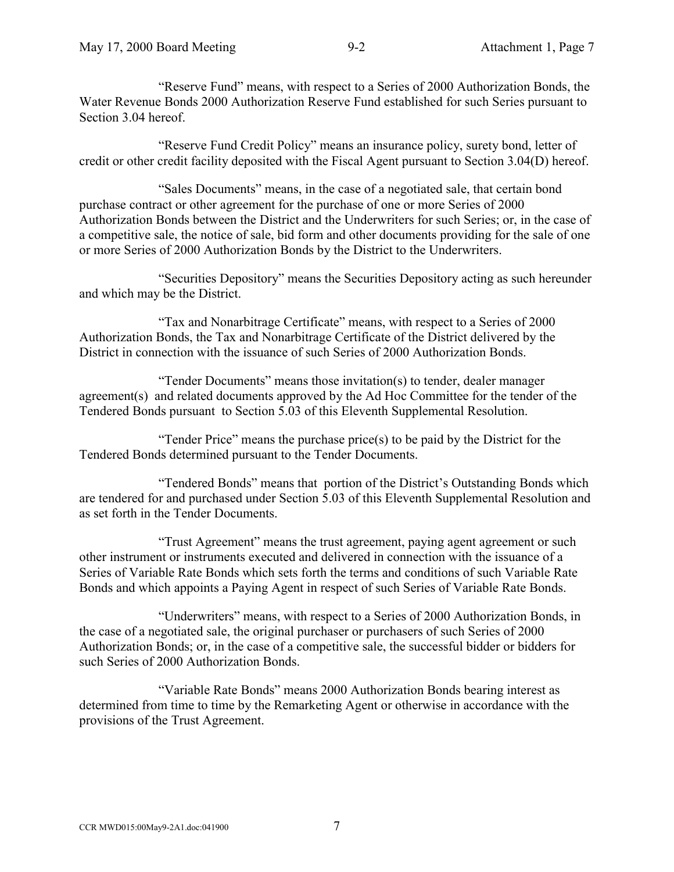"Reserve Fund" means, with respect to a Series of 2000 Authorization Bonds, the Water Revenue Bonds 2000 Authorization Reserve Fund established for such Series pursuant to Section 3.04 hereof.

"Reserve Fund Credit Policy" means an insurance policy, surety bond, letter of credit or other credit facility deposited with the Fiscal Agent pursuant to Section 3.04(D) hereof.

"Sales Documents" means, in the case of a negotiated sale, that certain bond purchase contract or other agreement for the purchase of one or more Series of 2000 Authorization Bonds between the District and the Underwriters for such Series; or, in the case of a competitive sale, the notice of sale, bid form and other documents providing for the sale of one or more Series of 2000 Authorization Bonds by the District to the Underwriters.

"Securities Depository" means the Securities Depository acting as such hereunder and which may be the District.

"Tax and Nonarbitrage Certificate" means, with respect to a Series of 2000 Authorization Bonds, the Tax and Nonarbitrage Certificate of the District delivered by the District in connection with the issuance of such Series of 2000 Authorization Bonds.

"Tender Documents" means those invitation(s) to tender, dealer manager agreement(s) and related documents approved by the Ad Hoc Committee for the tender of the Tendered Bonds pursuant to Section 5.03 of this Eleventh Supplemental Resolution.

"Tender Price" means the purchase price(s) to be paid by the District for the Tendered Bonds determined pursuant to the Tender Documents.

"Tendered Bonds" means that portion of the District's Outstanding Bonds which are tendered for and purchased under Section 5.03 of this Eleventh Supplemental Resolution and as set forth in the Tender Documents.

"Trust Agreement" means the trust agreement, paying agent agreement or such other instrument or instruments executed and delivered in connection with the issuance of a Series of Variable Rate Bonds which sets forth the terms and conditions of such Variable Rate Bonds and which appoints a Paying Agent in respect of such Series of Variable Rate Bonds.

"Underwriters" means, with respect to a Series of 2000 Authorization Bonds, in the case of a negotiated sale, the original purchaser or purchasers of such Series of 2000 Authorization Bonds; or, in the case of a competitive sale, the successful bidder or bidders for such Series of 2000 Authorization Bonds.

"Variable Rate Bonds" means 2000 Authorization Bonds bearing interest as determined from time to time by the Remarketing Agent or otherwise in accordance with the provisions of the Trust Agreement.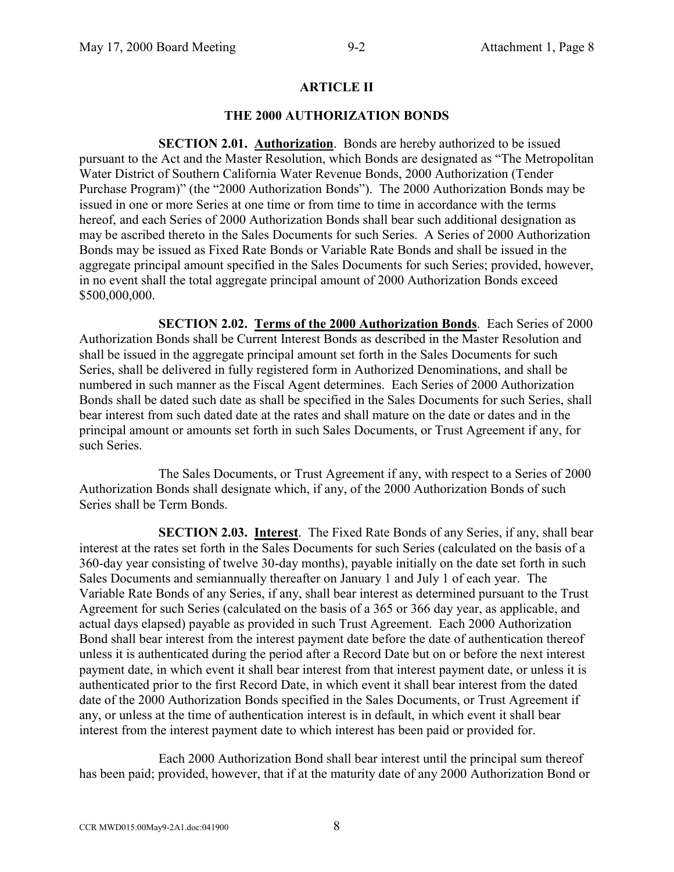### **ARTICLE II**

#### **THE 2000 AUTHORIZATION BONDS**

**SECTION 2.01. Authorization**. Bonds are hereby authorized to be issued pursuant to the Act and the Master Resolution, which Bonds are designated as "The Metropolitan Water District of Southern California Water Revenue Bonds, 2000 Authorization (Tender Purchase Program)" (the "2000 Authorization Bonds"). The 2000 Authorization Bonds may be issued in one or more Series at one time or from time to time in accordance with the terms hereof, and each Series of 2000 Authorization Bonds shall bear such additional designation as may be ascribed thereto in the Sales Documents for such Series. A Series of 2000 Authorization Bonds may be issued as Fixed Rate Bonds or Variable Rate Bonds and shall be issued in the aggregate principal amount specified in the Sales Documents for such Series; provided, however, in no event shall the total aggregate principal amount of 2000 Authorization Bonds exceed \$500,000,000.

**SECTION 2.02. Terms of the 2000 Authorization Bonds**. Each Series of 2000 Authorization Bonds shall be Current Interest Bonds as described in the Master Resolution and shall be issued in the aggregate principal amount set forth in the Sales Documents for such Series, shall be delivered in fully registered form in Authorized Denominations, and shall be numbered in such manner as the Fiscal Agent determines. Each Series of 2000 Authorization Bonds shall be dated such date as shall be specified in the Sales Documents for such Series, shall bear interest from such dated date at the rates and shall mature on the date or dates and in the principal amount or amounts set forth in such Sales Documents, or Trust Agreement if any, for such Series.

The Sales Documents, or Trust Agreement if any, with respect to a Series of 2000 Authorization Bonds shall designate which, if any, of the 2000 Authorization Bonds of such Series shall be Term Bonds.

**SECTION 2.03. Interest**. The Fixed Rate Bonds of any Series, if any, shall bear interest at the rates set forth in the Sales Documents for such Series (calculated on the basis of a 360-day year consisting of twelve 30-day months), payable initially on the date set forth in such Sales Documents and semiannually thereafter on January 1 and July 1 of each year. The Variable Rate Bonds of any Series, if any, shall bear interest as determined pursuant to the Trust Agreement for such Series (calculated on the basis of a 365 or 366 day year, as applicable, and actual days elapsed) payable as provided in such Trust Agreement. Each 2000 Authorization Bond shall bear interest from the interest payment date before the date of authentication thereof unless it is authenticated during the period after a Record Date but on or before the next interest payment date, in which event it shall bear interest from that interest payment date, or unless it is authenticated prior to the first Record Date, in which event it shall bear interest from the dated date of the 2000 Authorization Bonds specified in the Sales Documents, or Trust Agreement if any, or unless at the time of authentication interest is in default, in which event it shall bear interest from the interest payment date to which interest has been paid or provided for.

Each 2000 Authorization Bond shall bear interest until the principal sum thereof has been paid; provided, however, that if at the maturity date of any 2000 Authorization Bond or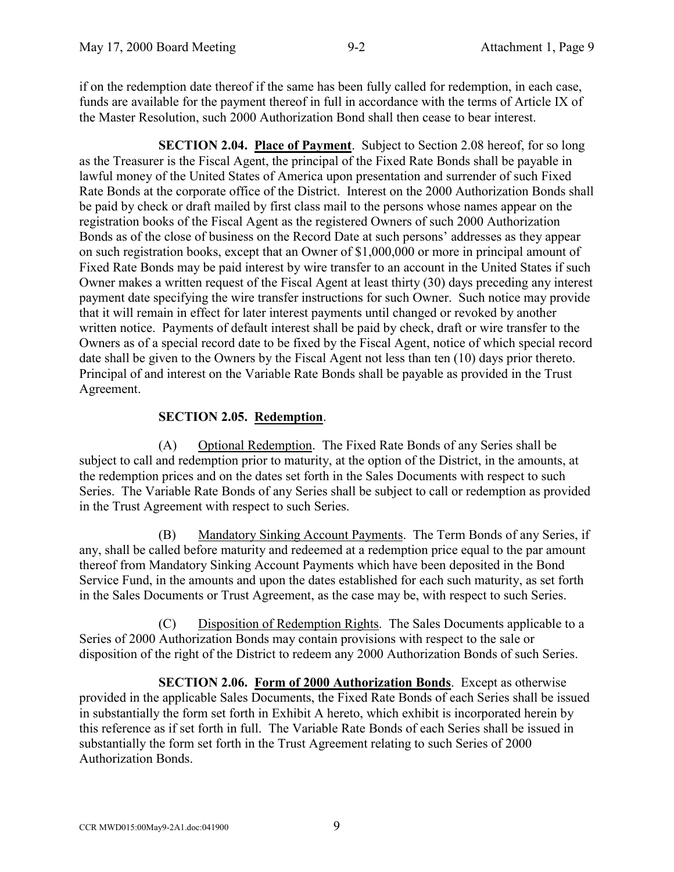if on the redemption date thereof if the same has been fully called for redemption, in each case, funds are available for the payment thereof in full in accordance with the terms of Article IX of the Master Resolution, such 2000 Authorization Bond shall then cease to bear interest.

**SECTION 2.04. Place of Payment**. Subject to Section 2.08 hereof, for so long as the Treasurer is the Fiscal Agent, the principal of the Fixed Rate Bonds shall be payable in lawful money of the United States of America upon presentation and surrender of such Fixed Rate Bonds at the corporate office of the District. Interest on the 2000 Authorization Bonds shall be paid by check or draft mailed by first class mail to the persons whose names appear on the registration books of the Fiscal Agent as the registered Owners of such 2000 Authorization Bonds as of the close of business on the Record Date at such persons' addresses as they appear on such registration books, except that an Owner of \$1,000,000 or more in principal amount of Fixed Rate Bonds may be paid interest by wire transfer to an account in the United States if such Owner makes a written request of the Fiscal Agent at least thirty (30) days preceding any interest payment date specifying the wire transfer instructions for such Owner. Such notice may provide that it will remain in effect for later interest payments until changed or revoked by another written notice. Payments of default interest shall be paid by check, draft or wire transfer to the Owners as of a special record date to be fixed by the Fiscal Agent, notice of which special record date shall be given to the Owners by the Fiscal Agent not less than ten (10) days prior thereto. Principal of and interest on the Variable Rate Bonds shall be payable as provided in the Trust Agreement.

# **SECTION 2.05. Redemption**.

(A) Optional Redemption. The Fixed Rate Bonds of any Series shall be subject to call and redemption prior to maturity, at the option of the District, in the amounts, at the redemption prices and on the dates set forth in the Sales Documents with respect to such Series. The Variable Rate Bonds of any Series shall be subject to call or redemption as provided in the Trust Agreement with respect to such Series.

(B) Mandatory Sinking Account Payments. The Term Bonds of any Series, if any, shall be called before maturity and redeemed at a redemption price equal to the par amount thereof from Mandatory Sinking Account Payments which have been deposited in the Bond Service Fund, in the amounts and upon the dates established for each such maturity, as set forth in the Sales Documents or Trust Agreement, as the case may be, with respect to such Series.

(C) Disposition of Redemption Rights. The Sales Documents applicable to a Series of 2000 Authorization Bonds may contain provisions with respect to the sale or disposition of the right of the District to redeem any 2000 Authorization Bonds of such Series.

**SECTION 2.06. Form of 2000 Authorization Bonds**. Except as otherwise provided in the applicable Sales Documents, the Fixed Rate Bonds of each Series shall be issued in substantially the form set forth in Exhibit A hereto, which exhibit is incorporated herein by this reference as if set forth in full. The Variable Rate Bonds of each Series shall be issued in substantially the form set forth in the Trust Agreement relating to such Series of 2000 Authorization Bonds.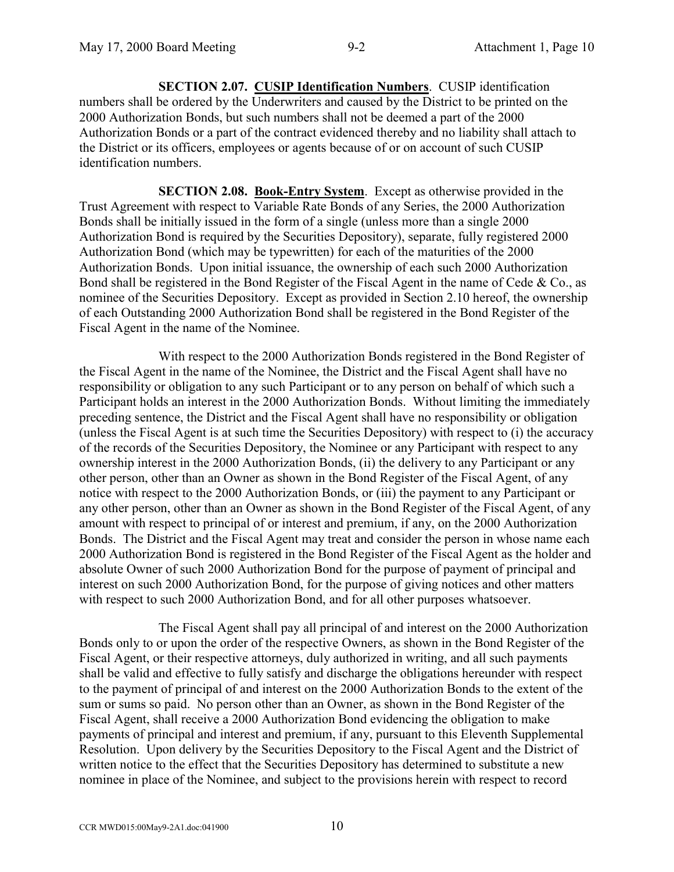**SECTION 2.07. CUSIP Identification Numbers**. CUSIP identification numbers shall be ordered by the Underwriters and caused by the District to be printed on the 2000 Authorization Bonds, but such numbers shall not be deemed a part of the 2000 Authorization Bonds or a part of the contract evidenced thereby and no liability shall attach to the District or its officers, employees or agents because of or on account of such CUSIP identification numbers.

**SECTION 2.08. Book-Entry System**. Except as otherwise provided in the Trust Agreement with respect to Variable Rate Bonds of any Series, the 2000 Authorization Bonds shall be initially issued in the form of a single (unless more than a single 2000 Authorization Bond is required by the Securities Depository), separate, fully registered 2000 Authorization Bond (which may be typewritten) for each of the maturities of the 2000 Authorization Bonds. Upon initial issuance, the ownership of each such 2000 Authorization Bond shall be registered in the Bond Register of the Fiscal Agent in the name of Cede & Co., as nominee of the Securities Depository. Except as provided in Section 2.10 hereof, the ownership of each Outstanding 2000 Authorization Bond shall be registered in the Bond Register of the Fiscal Agent in the name of the Nominee.

With respect to the 2000 Authorization Bonds registered in the Bond Register of the Fiscal Agent in the name of the Nominee, the District and the Fiscal Agent shall have no responsibility or obligation to any such Participant or to any person on behalf of which such a Participant holds an interest in the 2000 Authorization Bonds. Without limiting the immediately preceding sentence, the District and the Fiscal Agent shall have no responsibility or obligation (unless the Fiscal Agent is at such time the Securities Depository) with respect to (i) the accuracy of the records of the Securities Depository, the Nominee or any Participant with respect to any ownership interest in the 2000 Authorization Bonds, (ii) the delivery to any Participant or any other person, other than an Owner as shown in the Bond Register of the Fiscal Agent, of any notice with respect to the 2000 Authorization Bonds, or (iii) the payment to any Participant or any other person, other than an Owner as shown in the Bond Register of the Fiscal Agent, of any amount with respect to principal of or interest and premium, if any, on the 2000 Authorization Bonds. The District and the Fiscal Agent may treat and consider the person in whose name each 2000 Authorization Bond is registered in the Bond Register of the Fiscal Agent as the holder and absolute Owner of such 2000 Authorization Bond for the purpose of payment of principal and interest on such 2000 Authorization Bond, for the purpose of giving notices and other matters with respect to such 2000 Authorization Bond, and for all other purposes whatsoever.

The Fiscal Agent shall pay all principal of and interest on the 2000 Authorization Bonds only to or upon the order of the respective Owners, as shown in the Bond Register of the Fiscal Agent, or their respective attorneys, duly authorized in writing, and all such payments shall be valid and effective to fully satisfy and discharge the obligations hereunder with respect to the payment of principal of and interest on the 2000 Authorization Bonds to the extent of the sum or sums so paid. No person other than an Owner, as shown in the Bond Register of the Fiscal Agent, shall receive a 2000 Authorization Bond evidencing the obligation to make payments of principal and interest and premium, if any, pursuant to this Eleventh Supplemental Resolution. Upon delivery by the Securities Depository to the Fiscal Agent and the District of written notice to the effect that the Securities Depository has determined to substitute a new nominee in place of the Nominee, and subject to the provisions herein with respect to record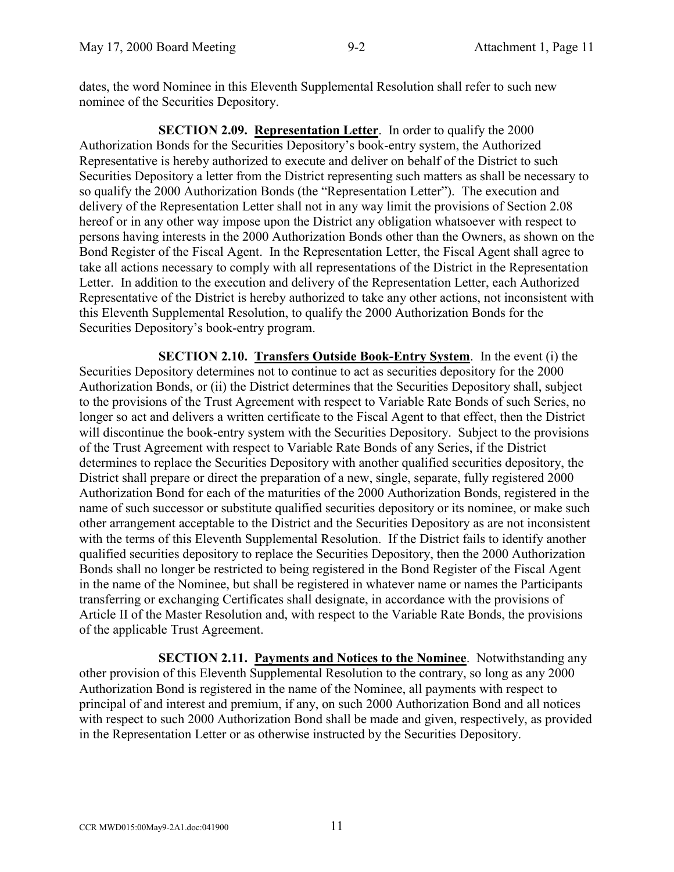dates, the word Nominee in this Eleventh Supplemental Resolution shall refer to such new nominee of the Securities Depository.

**SECTION 2.09. Representation Letter**. In order to qualify the 2000 Authorization Bonds for the Securities Depository's book-entry system, the Authorized Representative is hereby authorized to execute and deliver on behalf of the District to such Securities Depository a letter from the District representing such matters as shall be necessary to so qualify the 2000 Authorization Bonds (the "Representation Letter"). The execution and delivery of the Representation Letter shall not in any way limit the provisions of Section 2.08 hereof or in any other way impose upon the District any obligation whatsoever with respect to persons having interests in the 2000 Authorization Bonds other than the Owners, as shown on the Bond Register of the Fiscal Agent. In the Representation Letter, the Fiscal Agent shall agree to take all actions necessary to comply with all representations of the District in the Representation Letter. In addition to the execution and delivery of the Representation Letter, each Authorized Representative of the District is hereby authorized to take any other actions, not inconsistent with this Eleventh Supplemental Resolution, to qualify the 2000 Authorization Bonds for the Securities Depository's book-entry program.

**SECTION 2.10. Transfers Outside Book-Entry System**. In the event (i) the Securities Depository determines not to continue to act as securities depository for the 2000 Authorization Bonds, or (ii) the District determines that the Securities Depository shall, subject to the provisions of the Trust Agreement with respect to Variable Rate Bonds of such Series, no longer so act and delivers a written certificate to the Fiscal Agent to that effect, then the District will discontinue the book-entry system with the Securities Depository. Subject to the provisions of the Trust Agreement with respect to Variable Rate Bonds of any Series, if the District determines to replace the Securities Depository with another qualified securities depository, the District shall prepare or direct the preparation of a new, single, separate, fully registered 2000 Authorization Bond for each of the maturities of the 2000 Authorization Bonds, registered in the name of such successor or substitute qualified securities depository or its nominee, or make such other arrangement acceptable to the District and the Securities Depository as are not inconsistent with the terms of this Eleventh Supplemental Resolution. If the District fails to identify another qualified securities depository to replace the Securities Depository, then the 2000 Authorization Bonds shall no longer be restricted to being registered in the Bond Register of the Fiscal Agent in the name of the Nominee, but shall be registered in whatever name or names the Participants transferring or exchanging Certificates shall designate, in accordance with the provisions of Article II of the Master Resolution and, with respect to the Variable Rate Bonds, the provisions of the applicable Trust Agreement.

**SECTION 2.11. Payments and Notices to the Nominee**. Notwithstanding any other provision of this Eleventh Supplemental Resolution to the contrary, so long as any 2000 Authorization Bond is registered in the name of the Nominee, all payments with respect to principal of and interest and premium, if any, on such 2000 Authorization Bond and all notices with respect to such 2000 Authorization Bond shall be made and given, respectively, as provided in the Representation Letter or as otherwise instructed by the Securities Depository.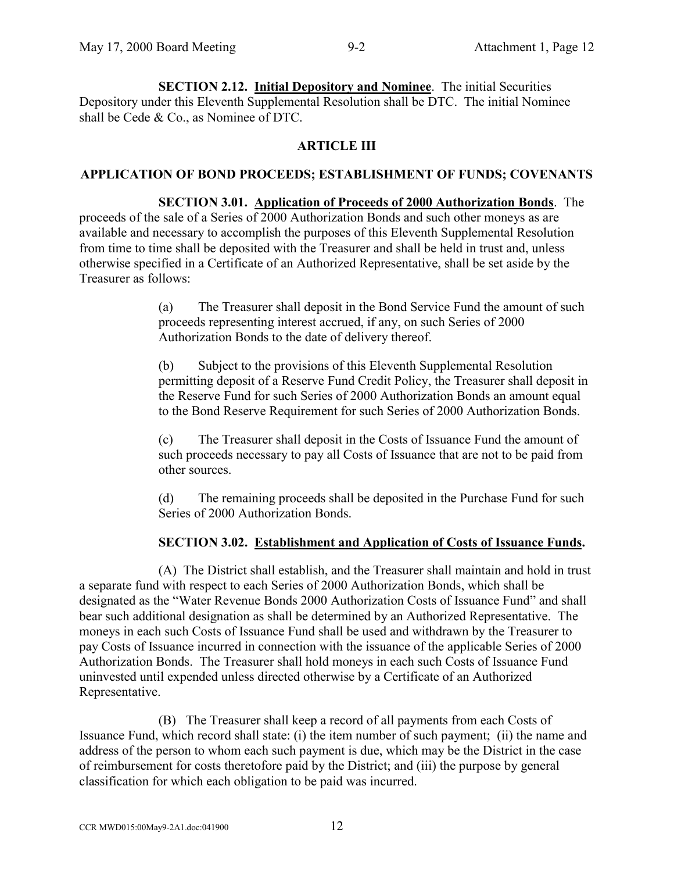**SECTION 2.12. Initial Depository and Nominee**. The initial Securities Depository under this Eleventh Supplemental Resolution shall be DTC. The initial Nominee shall be Cede & Co., as Nominee of DTC.

# **ARTICLE III**

# **APPLICATION OF BOND PROCEEDS; ESTABLISHMENT OF FUNDS; COVENANTS**

# **SECTION 3.01. Application of Proceeds of 2000 Authorization Bonds**. The

proceeds of the sale of a Series of 2000 Authorization Bonds and such other moneys as are available and necessary to accomplish the purposes of this Eleventh Supplemental Resolution from time to time shall be deposited with the Treasurer and shall be held in trust and, unless otherwise specified in a Certificate of an Authorized Representative, shall be set aside by the Treasurer as follows:

> (a) The Treasurer shall deposit in the Bond Service Fund the amount of such proceeds representing interest accrued, if any, on such Series of 2000 Authorization Bonds to the date of delivery thereof.

> (b) Subject to the provisions of this Eleventh Supplemental Resolution permitting deposit of a Reserve Fund Credit Policy, the Treasurer shall deposit in the Reserve Fund for such Series of 2000 Authorization Bonds an amount equal to the Bond Reserve Requirement for such Series of 2000 Authorization Bonds.

(c) The Treasurer shall deposit in the Costs of Issuance Fund the amount of such proceeds necessary to pay all Costs of Issuance that are not to be paid from other sources.

(d) The remaining proceeds shall be deposited in the Purchase Fund for such Series of 2000 Authorization Bonds.

# **SECTION 3.02. Establishment and Application of Costs of Issuance Funds.**

(A) The District shall establish, and the Treasurer shall maintain and hold in trust a separate fund with respect to each Series of 2000 Authorization Bonds, which shall be designated as the "Water Revenue Bonds 2000 Authorization Costs of Issuance Fund" and shall bear such additional designation as shall be determined by an Authorized Representative. The moneys in each such Costs of Issuance Fund shall be used and withdrawn by the Treasurer to pay Costs of Issuance incurred in connection with the issuance of the applicable Series of 2000 Authorization Bonds. The Treasurer shall hold moneys in each such Costs of Issuance Fund uninvested until expended unless directed otherwise by a Certificate of an Authorized Representative.

(B) The Treasurer shall keep a record of all payments from each Costs of Issuance Fund, which record shall state: (i) the item number of such payment; (ii) the name and address of the person to whom each such payment is due, which may be the District in the case of reimbursement for costs theretofore paid by the District; and (iii) the purpose by general classification for which each obligation to be paid was incurred.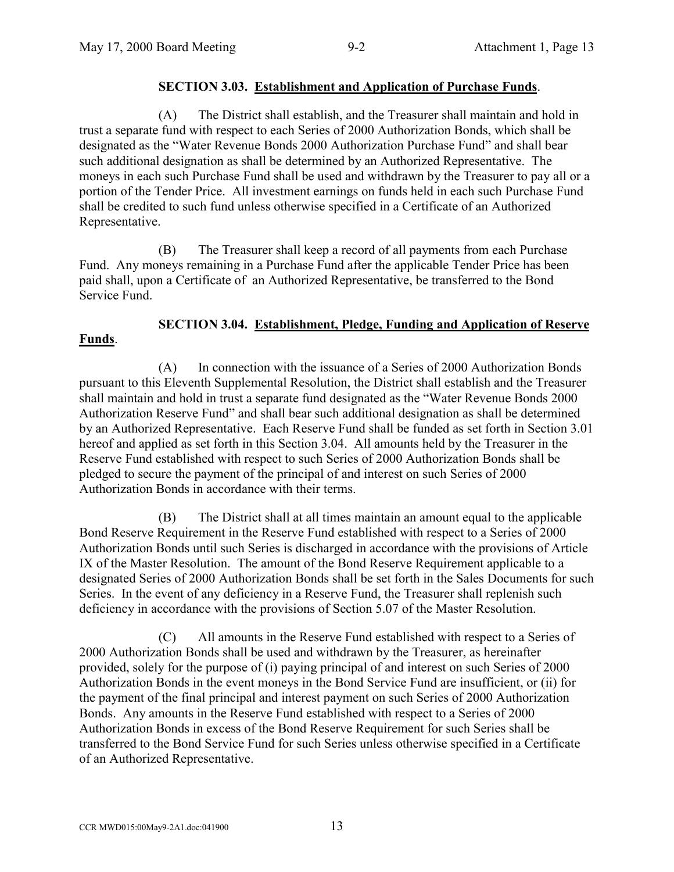# **SECTION 3.03. Establishment and Application of Purchase Funds**.

(A) The District shall establish, and the Treasurer shall maintain and hold in trust a separate fund with respect to each Series of 2000 Authorization Bonds, which shall be designated as the "Water Revenue Bonds 2000 Authorization Purchase Fund" and shall bear such additional designation as shall be determined by an Authorized Representative. The moneys in each such Purchase Fund shall be used and withdrawn by the Treasurer to pay all or a portion of the Tender Price. All investment earnings on funds held in each such Purchase Fund shall be credited to such fund unless otherwise specified in a Certificate of an Authorized Representative.

(B) The Treasurer shall keep a record of all payments from each Purchase Fund. Any moneys remaining in a Purchase Fund after the applicable Tender Price has been paid shall, upon a Certificate of an Authorized Representative, be transferred to the Bond Service Fund.

#### **SECTION 3.04. Establishment, Pledge, Funding and Application of Reserve Funds**.

(A) In connection with the issuance of a Series of 2000 Authorization Bonds pursuant to this Eleventh Supplemental Resolution, the District shall establish and the Treasurer shall maintain and hold in trust a separate fund designated as the "Water Revenue Bonds 2000 Authorization Reserve Fund" and shall bear such additional designation as shall be determined by an Authorized Representative. Each Reserve Fund shall be funded as set forth in Section 3.01 hereof and applied as set forth in this Section 3.04. All amounts held by the Treasurer in the Reserve Fund established with respect to such Series of 2000 Authorization Bonds shall be pledged to secure the payment of the principal of and interest on such Series of 2000 Authorization Bonds in accordance with their terms.

(B) The District shall at all times maintain an amount equal to the applicable Bond Reserve Requirement in the Reserve Fund established with respect to a Series of 2000 Authorization Bonds until such Series is discharged in accordance with the provisions of Article IX of the Master Resolution. The amount of the Bond Reserve Requirement applicable to a designated Series of 2000 Authorization Bonds shall be set forth in the Sales Documents for such Series. In the event of any deficiency in a Reserve Fund, the Treasurer shall replenish such deficiency in accordance with the provisions of Section 5.07 of the Master Resolution.

(C) All amounts in the Reserve Fund established with respect to a Series of 2000 Authorization Bonds shall be used and withdrawn by the Treasurer, as hereinafter provided, solely for the purpose of (i) paying principal of and interest on such Series of 2000 Authorization Bonds in the event moneys in the Bond Service Fund are insufficient, or (ii) for the payment of the final principal and interest payment on such Series of 2000 Authorization Bonds. Any amounts in the Reserve Fund established with respect to a Series of 2000 Authorization Bonds in excess of the Bond Reserve Requirement for such Series shall be transferred to the Bond Service Fund for such Series unless otherwise specified in a Certificate of an Authorized Representative.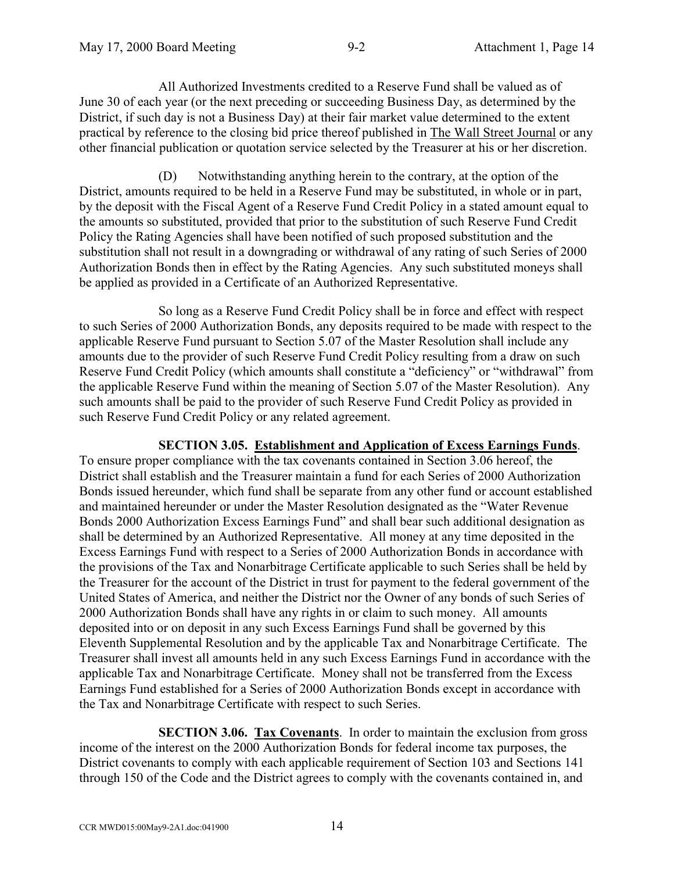All Authorized Investments credited to a Reserve Fund shall be valued as of June 30 of each year (or the next preceding or succeeding Business Day, as determined by the District, if such day is not a Business Day) at their fair market value determined to the extent practical by reference to the closing bid price thereof published in The Wall Street Journal or any other financial publication or quotation service selected by the Treasurer at his or her discretion.

(D) Notwithstanding anything herein to the contrary, at the option of the District, amounts required to be held in a Reserve Fund may be substituted, in whole or in part, by the deposit with the Fiscal Agent of a Reserve Fund Credit Policy in a stated amount equal to the amounts so substituted, provided that prior to the substitution of such Reserve Fund Credit Policy the Rating Agencies shall have been notified of such proposed substitution and the substitution shall not result in a downgrading or withdrawal of any rating of such Series of 2000 Authorization Bonds then in effect by the Rating Agencies. Any such substituted moneys shall be applied as provided in a Certificate of an Authorized Representative.

So long as a Reserve Fund Credit Policy shall be in force and effect with respect to such Series of 2000 Authorization Bonds, any deposits required to be made with respect to the applicable Reserve Fund pursuant to Section 5.07 of the Master Resolution shall include any amounts due to the provider of such Reserve Fund Credit Policy resulting from a draw on such Reserve Fund Credit Policy (which amounts shall constitute a "deficiency" or "withdrawal" from the applicable Reserve Fund within the meaning of Section 5.07 of the Master Resolution). Any such amounts shall be paid to the provider of such Reserve Fund Credit Policy as provided in such Reserve Fund Credit Policy or any related agreement.

# **SECTION 3.05. Establishment and Application of Excess Earnings Funds**.

To ensure proper compliance with the tax covenants contained in Section 3.06 hereof, the District shall establish and the Treasurer maintain a fund for each Series of 2000 Authorization Bonds issued hereunder, which fund shall be separate from any other fund or account established and maintained hereunder or under the Master Resolution designated as the "Water Revenue Bonds 2000 Authorization Excess Earnings Fund" and shall bear such additional designation as shall be determined by an Authorized Representative. All money at any time deposited in the Excess Earnings Fund with respect to a Series of 2000 Authorization Bonds in accordance with the provisions of the Tax and Nonarbitrage Certificate applicable to such Series shall be held by the Treasurer for the account of the District in trust for payment to the federal government of the United States of America, and neither the District nor the Owner of any bonds of such Series of 2000 Authorization Bonds shall have any rights in or claim to such money. All amounts deposited into or on deposit in any such Excess Earnings Fund shall be governed by this Eleventh Supplemental Resolution and by the applicable Tax and Nonarbitrage Certificate. The Treasurer shall invest all amounts held in any such Excess Earnings Fund in accordance with the applicable Tax and Nonarbitrage Certificate. Money shall not be transferred from the Excess Earnings Fund established for a Series of 2000 Authorization Bonds except in accordance with the Tax and Nonarbitrage Certificate with respect to such Series.

**SECTION 3.06. Tax Covenants**. In order to maintain the exclusion from gross income of the interest on the 2000 Authorization Bonds for federal income tax purposes, the District covenants to comply with each applicable requirement of Section 103 and Sections 141 through 150 of the Code and the District agrees to comply with the covenants contained in, and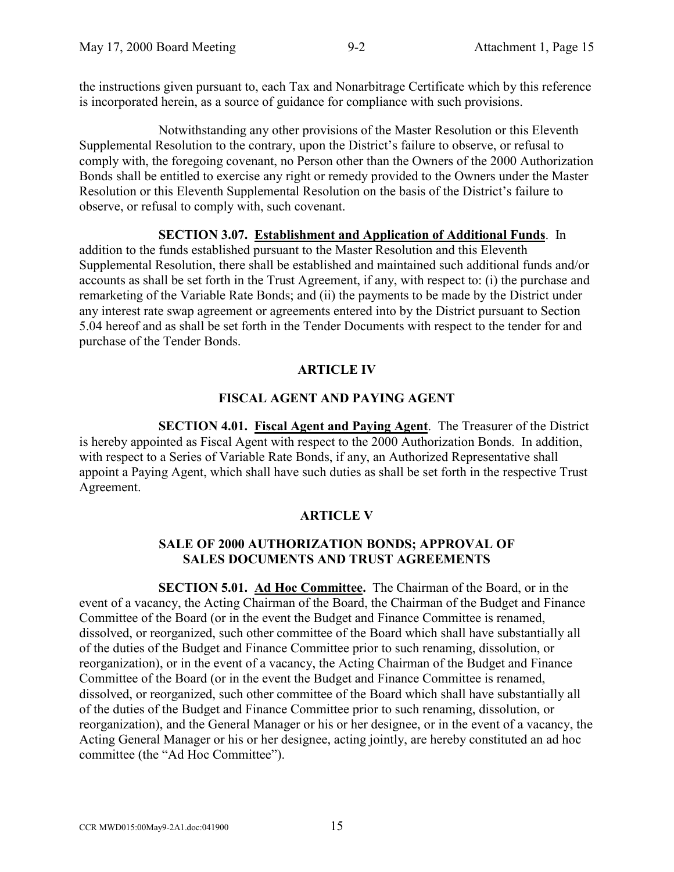the instructions given pursuant to, each Tax and Nonarbitrage Certificate which by this reference is incorporated herein, as a source of guidance for compliance with such provisions.

Notwithstanding any other provisions of the Master Resolution or this Eleventh Supplemental Resolution to the contrary, upon the District's failure to observe, or refusal to comply with, the foregoing covenant, no Person other than the Owners of the 2000 Authorization Bonds shall be entitled to exercise any right or remedy provided to the Owners under the Master Resolution or this Eleventh Supplemental Resolution on the basis of the District's failure to observe, or refusal to comply with, such covenant.

# **SECTION 3.07. Establishment and Application of Additional Funds**. In

addition to the funds established pursuant to the Master Resolution and this Eleventh Supplemental Resolution, there shall be established and maintained such additional funds and/or accounts as shall be set forth in the Trust Agreement, if any, with respect to: (i) the purchase and remarketing of the Variable Rate Bonds; and (ii) the payments to be made by the District under any interest rate swap agreement or agreements entered into by the District pursuant to Section 5.04 hereof and as shall be set forth in the Tender Documents with respect to the tender for and purchase of the Tender Bonds.

# **ARTICLE IV**

# **FISCAL AGENT AND PAYING AGENT**

**SECTION 4.01. Fiscal Agent and Paying Agent**. The Treasurer of the District is hereby appointed as Fiscal Agent with respect to the 2000 Authorization Bonds. In addition, with respect to a Series of Variable Rate Bonds, if any, an Authorized Representative shall appoint a Paying Agent, which shall have such duties as shall be set forth in the respective Trust Agreement.

# **ARTICLE V**

# **SALE OF 2000 AUTHORIZATION BONDS; APPROVAL OF SALES DOCUMENTS AND TRUST AGREEMENTS**

**SECTION 5.01. Ad Hoc Committee.** The Chairman of the Board, or in the event of a vacancy, the Acting Chairman of the Board, the Chairman of the Budget and Finance Committee of the Board (or in the event the Budget and Finance Committee is renamed, dissolved, or reorganized, such other committee of the Board which shall have substantially all of the duties of the Budget and Finance Committee prior to such renaming, dissolution, or reorganization), or in the event of a vacancy, the Acting Chairman of the Budget and Finance Committee of the Board (or in the event the Budget and Finance Committee is renamed, dissolved, or reorganized, such other committee of the Board which shall have substantially all of the duties of the Budget and Finance Committee prior to such renaming, dissolution, or reorganization), and the General Manager or his or her designee, or in the event of a vacancy, the Acting General Manager or his or her designee, acting jointly, are hereby constituted an ad hoc committee (the "Ad Hoc Committee").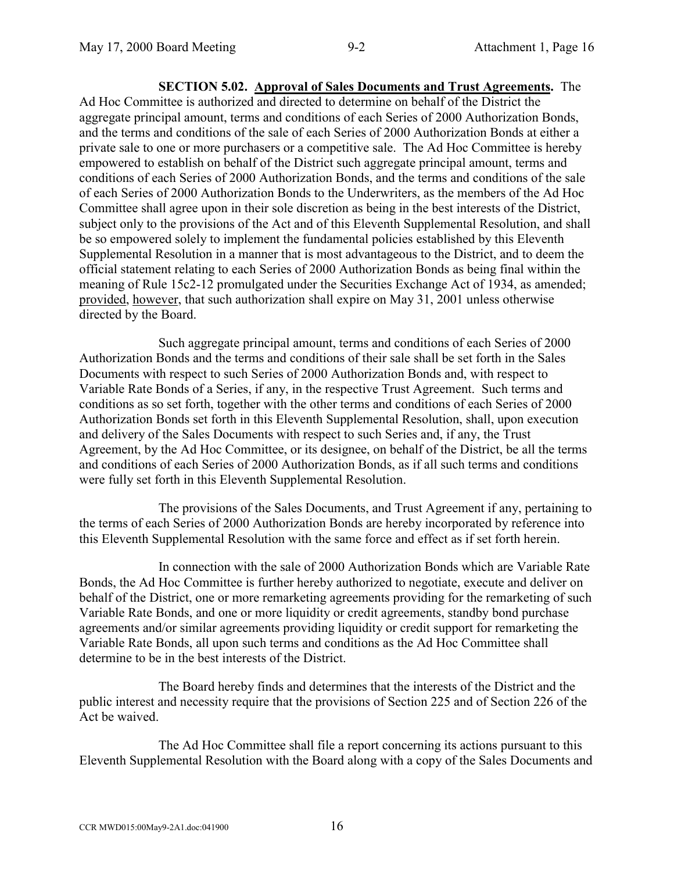**SECTION 5.02. Approval of Sales Documents and Trust Agreements.** The Ad Hoc Committee is authorized and directed to determine on behalf of the District the aggregate principal amount, terms and conditions of each Series of 2000 Authorization Bonds, and the terms and conditions of the sale of each Series of 2000 Authorization Bonds at either a private sale to one or more purchasers or a competitive sale. The Ad Hoc Committee is hereby empowered to establish on behalf of the District such aggregate principal amount, terms and conditions of each Series of 2000 Authorization Bonds, and the terms and conditions of the sale of each Series of 2000 Authorization Bonds to the Underwriters, as the members of the Ad Hoc Committee shall agree upon in their sole discretion as being in the best interests of the District, subject only to the provisions of the Act and of this Eleventh Supplemental Resolution, and shall be so empowered solely to implement the fundamental policies established by this Eleventh Supplemental Resolution in a manner that is most advantageous to the District, and to deem the official statement relating to each Series of 2000 Authorization Bonds as being final within the meaning of Rule 15c2-12 promulgated under the Securities Exchange Act of 1934, as amended; provided, however, that such authorization shall expire on May 31, 2001 unless otherwise directed by the Board.

Such aggregate principal amount, terms and conditions of each Series of 2000 Authorization Bonds and the terms and conditions of their sale shall be set forth in the Sales Documents with respect to such Series of 2000 Authorization Bonds and, with respect to Variable Rate Bonds of a Series, if any, in the respective Trust Agreement. Such terms and conditions as so set forth, together with the other terms and conditions of each Series of 2000 Authorization Bonds set forth in this Eleventh Supplemental Resolution, shall, upon execution and delivery of the Sales Documents with respect to such Series and, if any, the Trust Agreement, by the Ad Hoc Committee, or its designee, on behalf of the District, be all the terms and conditions of each Series of 2000 Authorization Bonds, as if all such terms and conditions were fully set forth in this Eleventh Supplemental Resolution.

The provisions of the Sales Documents, and Trust Agreement if any, pertaining to the terms of each Series of 2000 Authorization Bonds are hereby incorporated by reference into this Eleventh Supplemental Resolution with the same force and effect as if set forth herein.

In connection with the sale of 2000 Authorization Bonds which are Variable Rate Bonds, the Ad Hoc Committee is further hereby authorized to negotiate, execute and deliver on behalf of the District, one or more remarketing agreements providing for the remarketing of such Variable Rate Bonds, and one or more liquidity or credit agreements, standby bond purchase agreements and/or similar agreements providing liquidity or credit support for remarketing the Variable Rate Bonds, all upon such terms and conditions as the Ad Hoc Committee shall determine to be in the best interests of the District.

The Board hereby finds and determines that the interests of the District and the public interest and necessity require that the provisions of Section 225 and of Section 226 of the Act be waived.

The Ad Hoc Committee shall file a report concerning its actions pursuant to this Eleventh Supplemental Resolution with the Board along with a copy of the Sales Documents and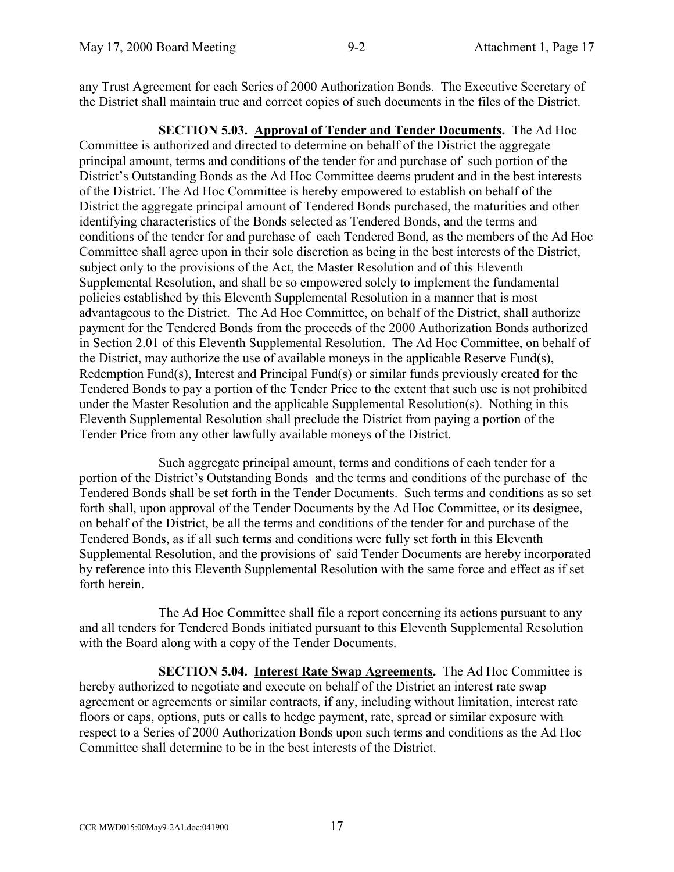any Trust Agreement for each Series of 2000 Authorization Bonds. The Executive Secretary of the District shall maintain true and correct copies of such documents in the files of the District.

**SECTION 5.03. Approval of Tender and Tender Documents.** The Ad Hoc Committee is authorized and directed to determine on behalf of the District the aggregate principal amount, terms and conditions of the tender for and purchase of such portion of the District's Outstanding Bonds as the Ad Hoc Committee deems prudent and in the best interests of the District. The Ad Hoc Committee is hereby empowered to establish on behalf of the District the aggregate principal amount of Tendered Bonds purchased, the maturities and other identifying characteristics of the Bonds selected as Tendered Bonds, and the terms and conditions of the tender for and purchase of each Tendered Bond, as the members of the Ad Hoc Committee shall agree upon in their sole discretion as being in the best interests of the District, subject only to the provisions of the Act, the Master Resolution and of this Eleventh Supplemental Resolution, and shall be so empowered solely to implement the fundamental policies established by this Eleventh Supplemental Resolution in a manner that is most advantageous to the District. The Ad Hoc Committee, on behalf of the District, shall authorize payment for the Tendered Bonds from the proceeds of the 2000 Authorization Bonds authorized in Section 2.01 of this Eleventh Supplemental Resolution. The Ad Hoc Committee, on behalf of the District, may authorize the use of available moneys in the applicable Reserve Fund(s), Redemption Fund(s), Interest and Principal Fund(s) or similar funds previously created for the Tendered Bonds to pay a portion of the Tender Price to the extent that such use is not prohibited under the Master Resolution and the applicable Supplemental Resolution(s). Nothing in this Eleventh Supplemental Resolution shall preclude the District from paying a portion of the Tender Price from any other lawfully available moneys of the District.

Such aggregate principal amount, terms and conditions of each tender for a portion of the District's Outstanding Bonds and the terms and conditions of the purchase of the Tendered Bonds shall be set forth in the Tender Documents. Such terms and conditions as so set forth shall, upon approval of the Tender Documents by the Ad Hoc Committee, or its designee, on behalf of the District, be all the terms and conditions of the tender for and purchase of the Tendered Bonds, as if all such terms and conditions were fully set forth in this Eleventh Supplemental Resolution, and the provisions of said Tender Documents are hereby incorporated by reference into this Eleventh Supplemental Resolution with the same force and effect as if set forth herein.

The Ad Hoc Committee shall file a report concerning its actions pursuant to any and all tenders for Tendered Bonds initiated pursuant to this Eleventh Supplemental Resolution with the Board along with a copy of the Tender Documents.

**SECTION 5.04. Interest Rate Swap Agreements.** The Ad Hoc Committee is hereby authorized to negotiate and execute on behalf of the District an interest rate swap agreement or agreements or similar contracts, if any, including without limitation, interest rate floors or caps, options, puts or calls to hedge payment, rate, spread or similar exposure with respect to a Series of 2000 Authorization Bonds upon such terms and conditions as the Ad Hoc Committee shall determine to be in the best interests of the District.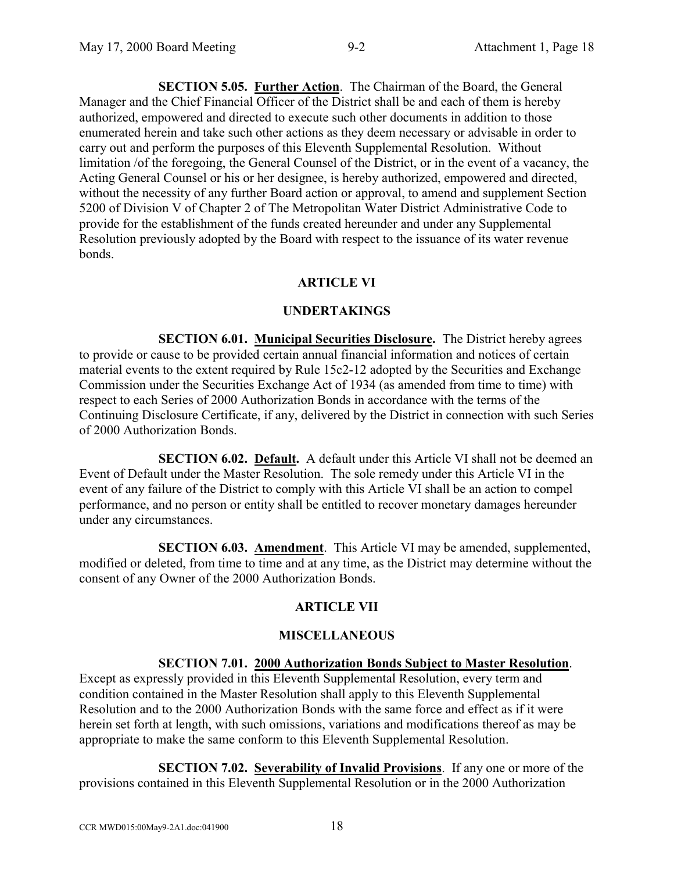**SECTION 5.05. Further Action**. The Chairman of the Board, the General Manager and the Chief Financial Officer of the District shall be and each of them is hereby authorized, empowered and directed to execute such other documents in addition to those enumerated herein and take such other actions as they deem necessary or advisable in order to carry out and perform the purposes of this Eleventh Supplemental Resolution. Without limitation /of the foregoing, the General Counsel of the District, or in the event of a vacancy, the Acting General Counsel or his or her designee, is hereby authorized, empowered and directed, without the necessity of any further Board action or approval, to amend and supplement Section 5200 of Division V of Chapter 2 of The Metropolitan Water District Administrative Code to provide for the establishment of the funds created hereunder and under any Supplemental Resolution previously adopted by the Board with respect to the issuance of its water revenue bonds.

# **ARTICLE VI**

# **UNDERTAKINGS**

**SECTION 6.01. Municipal Securities Disclosure.** The District hereby agrees to provide or cause to be provided certain annual financial information and notices of certain material events to the extent required by Rule 15c2-12 adopted by the Securities and Exchange Commission under the Securities Exchange Act of 1934 (as amended from time to time) with respect to each Series of 2000 Authorization Bonds in accordance with the terms of the Continuing Disclosure Certificate, if any, delivered by the District in connection with such Series of 2000 Authorization Bonds.

**SECTION 6.02. Default.** A default under this Article VI shall not be deemed an Event of Default under the Master Resolution. The sole remedy under this Article VI in the event of any failure of the District to comply with this Article VI shall be an action to compel performance, and no person or entity shall be entitled to recover monetary damages hereunder under any circumstances.

**SECTION 6.03. Amendment**. This Article VI may be amended, supplemented, modified or deleted, from time to time and at any time, as the District may determine without the consent of any Owner of the 2000 Authorization Bonds.

# **ARTICLE VII**

# **MISCELLANEOUS**

# **SECTION 7.01. 2000 Authorization Bonds Subject to Master Resolution**.

Except as expressly provided in this Eleventh Supplemental Resolution, every term and condition contained in the Master Resolution shall apply to this Eleventh Supplemental Resolution and to the 2000 Authorization Bonds with the same force and effect as if it were herein set forth at length, with such omissions, variations and modifications thereof as may be appropriate to make the same conform to this Eleventh Supplemental Resolution.

**SECTION 7.02. Severability of Invalid Provisions**. If any one or more of the provisions contained in this Eleventh Supplemental Resolution or in the 2000 Authorization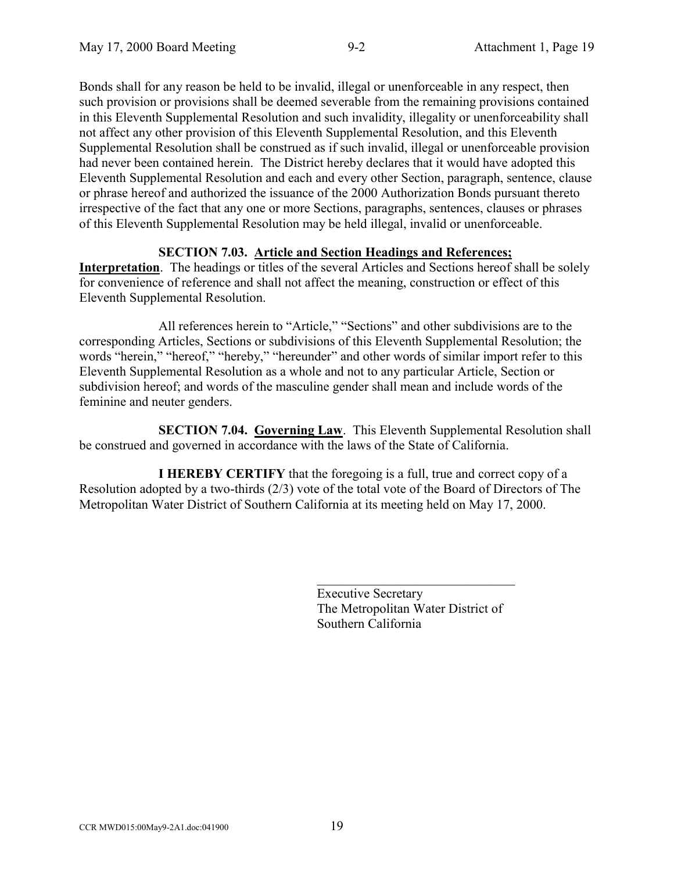Bonds shall for any reason be held to be invalid, illegal or unenforceable in any respect, then such provision or provisions shall be deemed severable from the remaining provisions contained in this Eleventh Supplemental Resolution and such invalidity, illegality or unenforceability shall not affect any other provision of this Eleventh Supplemental Resolution, and this Eleventh Supplemental Resolution shall be construed as if such invalid, illegal or unenforceable provision had never been contained herein. The District hereby declares that it would have adopted this Eleventh Supplemental Resolution and each and every other Section, paragraph, sentence, clause or phrase hereof and authorized the issuance of the 2000 Authorization Bonds pursuant thereto irrespective of the fact that any one or more Sections, paragraphs, sentences, clauses or phrases of this Eleventh Supplemental Resolution may be held illegal, invalid or unenforceable.

# **SECTION 7.03. Article and Section Headings and References;**

**Interpretation**. The headings or titles of the several Articles and Sections hereof shall be solely for convenience of reference and shall not affect the meaning, construction or effect of this Eleventh Supplemental Resolution.

All references herein to "Article," "Sections" and other subdivisions are to the corresponding Articles, Sections or subdivisions of this Eleventh Supplemental Resolution; the words "herein," "hereof," "hereby," "hereunder" and other words of similar import refer to this Eleventh Supplemental Resolution as a whole and not to any particular Article, Section or subdivision hereof; and words of the masculine gender shall mean and include words of the feminine and neuter genders.

**SECTION 7.04. Governing Law**. This Eleventh Supplemental Resolution shall be construed and governed in accordance with the laws of the State of California.

**I HEREBY CERTIFY** that the foregoing is a full, true and correct copy of a Resolution adopted by a two-thirds (2/3) vote of the total vote of the Board of Directors of The Metropolitan Water District of Southern California at its meeting held on May 17, 2000.

> Executive Secretary The Metropolitan Water District of Southern California

 $\mathcal{L}_\text{max}$  , where  $\mathcal{L}_\text{max}$  and  $\mathcal{L}_\text{max}$  and  $\mathcal{L}_\text{max}$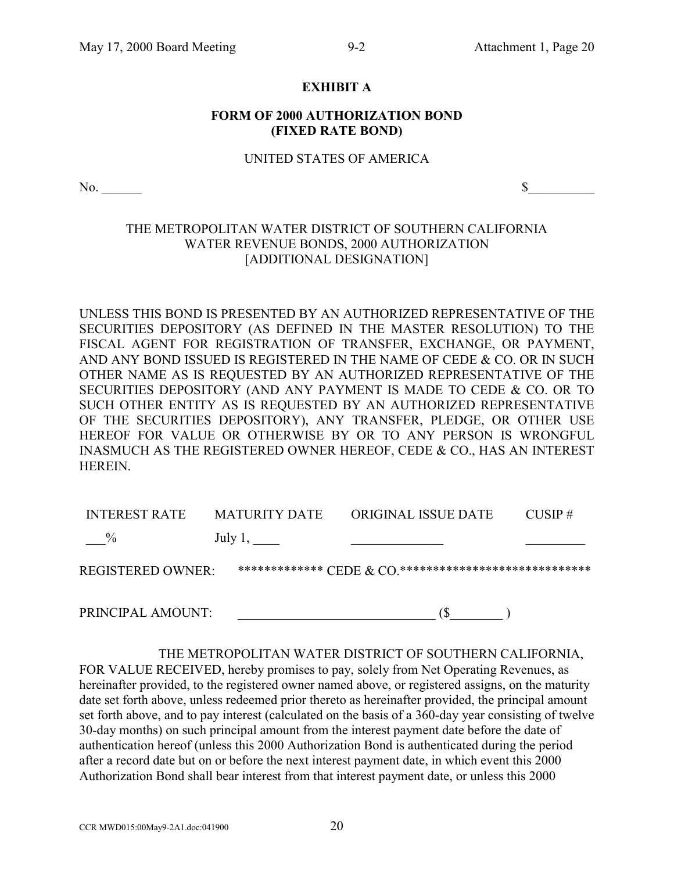# **EXHIBIT A**

### **FORM OF 2000 AUTHORIZATION BOND (FIXED RATE BOND)**

#### UNITED STATES OF AMERICA

 $\infty$ .

# THE METROPOLITAN WATER DISTRICT OF SOUTHERN CALIFORNIA WATER REVENUE BONDS, 2000 AUTHORIZATION [ADDITIONAL DESIGNATION]

UNLESS THIS BOND IS PRESENTED BY AN AUTHORIZED REPRESENTATIVE OF THE SECURITIES DEPOSITORY (AS DEFINED IN THE MASTER RESOLUTION) TO THE FISCAL AGENT FOR REGISTRATION OF TRANSFER, EXCHANGE, OR PAYMENT, AND ANY BOND ISSUED IS REGISTERED IN THE NAME OF CEDE & CO. OR IN SUCH OTHER NAME AS IS REQUESTED BY AN AUTHORIZED REPRESENTATIVE OF THE SECURITIES DEPOSITORY (AND ANY PAYMENT IS MADE TO CEDE & CO. OR TO SUCH OTHER ENTITY AS IS REQUESTED BY AN AUTHORIZED REPRESENTATIVE OF THE SECURITIES DEPOSITORY), ANY TRANSFER, PLEDGE, OR OTHER USE HEREOF FOR VALUE OR OTHERWISE BY OR TO ANY PERSON IS WRONGFUL INASMUCH AS THE REGISTERED OWNER HEREOF, CEDE & CO., HAS AN INTEREST HEREIN.

| <b>INTEREST RATE</b> | <b>MATURITY DATE</b> | ORIGINAL ISSUE DATE                                                                              | $CIISP \#$ |
|----------------------|----------------------|--------------------------------------------------------------------------------------------------|------------|
| $\%$                 | July 1, $\_\_$       |                                                                                                  |            |
| REGISTERED OWNER :   |                      | ************** $\operatorname{CEDE}$ $\alpha$ $\operatorname{CO}$ ****************************** |            |
|                      |                      |                                                                                                  |            |

PRINCIPAL AMOUNT:  $(\$$ 

THE METROPOLITAN WATER DISTRICT OF SOUTHERN CALIFORNIA, FOR VALUE RECEIVED, hereby promises to pay, solely from Net Operating Revenues, as hereinafter provided, to the registered owner named above, or registered assigns, on the maturity date set forth above, unless redeemed prior thereto as hereinafter provided, the principal amount set forth above, and to pay interest (calculated on the basis of a 360-day year consisting of twelve 30-day months) on such principal amount from the interest payment date before the date of authentication hereof (unless this 2000 Authorization Bond is authenticated during the period after a record date but on or before the next interest payment date, in which event this 2000 Authorization Bond shall bear interest from that interest payment date, or unless this 2000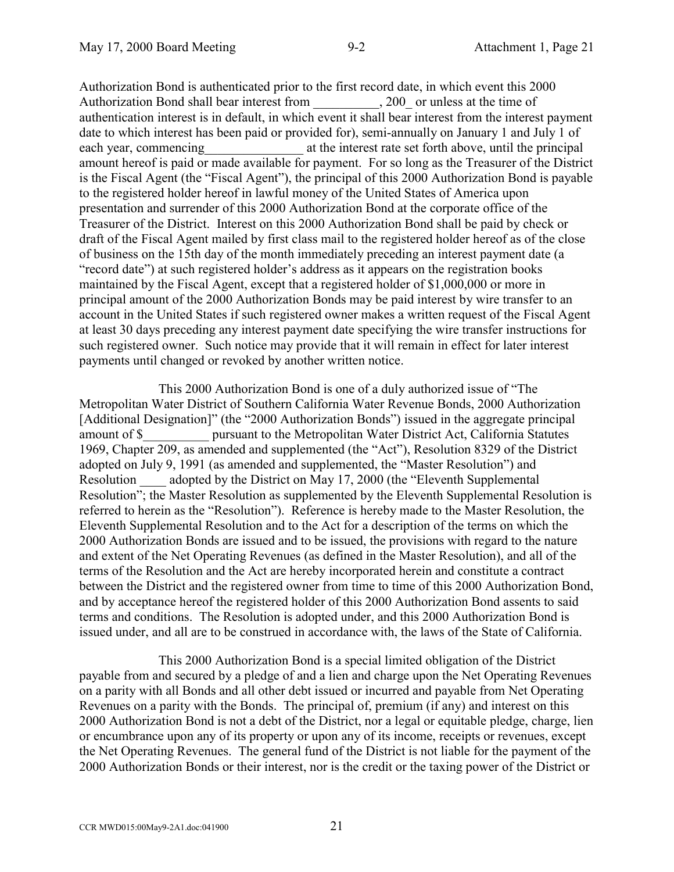Authorization Bond is authenticated prior to the first record date, in which event this 2000 Authorization Bond shall bear interest from 200 or unless at the time of authentication interest is in default, in which event it shall bear interest from the interest payment date to which interest has been paid or provided for), semi-annually on January 1 and July 1 of each year, commencing each vear, commencing at the interest rate set forth above, until the principal amount hereof is paid or made available for payment. For so long as the Treasurer of the District is the Fiscal Agent (the "Fiscal Agent"), the principal of this 2000 Authorization Bond is payable to the registered holder hereof in lawful money of the United States of America upon presentation and surrender of this 2000 Authorization Bond at the corporate office of the Treasurer of the District. Interest on this 2000 Authorization Bond shall be paid by check or draft of the Fiscal Agent mailed by first class mail to the registered holder hereof as of the close of business on the 15th day of the month immediately preceding an interest payment date (a "record date") at such registered holder's address as it appears on the registration books maintained by the Fiscal Agent, except that a registered holder of \$1,000,000 or more in principal amount of the 2000 Authorization Bonds may be paid interest by wire transfer to an account in the United States if such registered owner makes a written request of the Fiscal Agent at least 30 days preceding any interest payment date specifying the wire transfer instructions for such registered owner. Such notice may provide that it will remain in effect for later interest payments until changed or revoked by another written notice.

This 2000 Authorization Bond is one of a duly authorized issue of "The Metropolitan Water District of Southern California Water Revenue Bonds, 2000 Authorization [Additional Designation]" (the "2000 Authorization Bonds") issued in the aggregate principal amount of \$\_\_\_\_\_\_\_\_\_\_ pursuant to the Metropolitan Water District Act, California Statutes 1969, Chapter 209, as amended and supplemented (the "Act"), Resolution 8329 of the District adopted on July 9, 1991 (as amended and supplemented, the "Master Resolution") and Resolution adopted by the District on May 17, 2000 (the "Eleventh Supplemental Resolution"; the Master Resolution as supplemented by the Eleventh Supplemental Resolution is referred to herein as the "Resolution"). Reference is hereby made to the Master Resolution, the Eleventh Supplemental Resolution and to the Act for a description of the terms on which the 2000 Authorization Bonds are issued and to be issued, the provisions with regard to the nature and extent of the Net Operating Revenues (as defined in the Master Resolution), and all of the terms of the Resolution and the Act are hereby incorporated herein and constitute a contract between the District and the registered owner from time to time of this 2000 Authorization Bond, and by acceptance hereof the registered holder of this 2000 Authorization Bond assents to said terms and conditions. The Resolution is adopted under, and this 2000 Authorization Bond is issued under, and all are to be construed in accordance with, the laws of the State of California.

This 2000 Authorization Bond is a special limited obligation of the District payable from and secured by a pledge of and a lien and charge upon the Net Operating Revenues on a parity with all Bonds and all other debt issued or incurred and payable from Net Operating Revenues on a parity with the Bonds. The principal of, premium (if any) and interest on this 2000 Authorization Bond is not a debt of the District, nor a legal or equitable pledge, charge, lien or encumbrance upon any of its property or upon any of its income, receipts or revenues, except the Net Operating Revenues. The general fund of the District is not liable for the payment of the 2000 Authorization Bonds or their interest, nor is the credit or the taxing power of the District or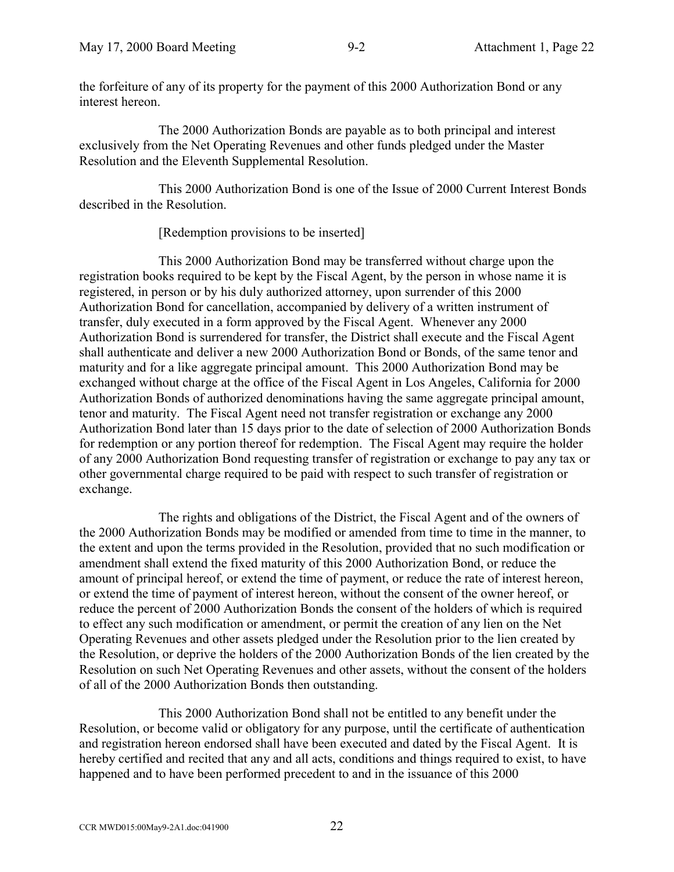the forfeiture of any of its property for the payment of this 2000 Authorization Bond or any interest hereon.

The 2000 Authorization Bonds are payable as to both principal and interest exclusively from the Net Operating Revenues and other funds pledged under the Master Resolution and the Eleventh Supplemental Resolution.

This 2000 Authorization Bond is one of the Issue of 2000 Current Interest Bonds described in the Resolution.

[Redemption provisions to be inserted]

This 2000 Authorization Bond may be transferred without charge upon the registration books required to be kept by the Fiscal Agent, by the person in whose name it is registered, in person or by his duly authorized attorney, upon surrender of this 2000 Authorization Bond for cancellation, accompanied by delivery of a written instrument of transfer, duly executed in a form approved by the Fiscal Agent. Whenever any 2000 Authorization Bond is surrendered for transfer, the District shall execute and the Fiscal Agent shall authenticate and deliver a new 2000 Authorization Bond or Bonds, of the same tenor and maturity and for a like aggregate principal amount. This 2000 Authorization Bond may be exchanged without charge at the office of the Fiscal Agent in Los Angeles, California for 2000 Authorization Bonds of authorized denominations having the same aggregate principal amount, tenor and maturity. The Fiscal Agent need not transfer registration or exchange any 2000 Authorization Bond later than 15 days prior to the date of selection of 2000 Authorization Bonds for redemption or any portion thereof for redemption. The Fiscal Agent may require the holder of any 2000 Authorization Bond requesting transfer of registration or exchange to pay any tax or other governmental charge required to be paid with respect to such transfer of registration or exchange.

The rights and obligations of the District, the Fiscal Agent and of the owners of the 2000 Authorization Bonds may be modified or amended from time to time in the manner, to the extent and upon the terms provided in the Resolution, provided that no such modification or amendment shall extend the fixed maturity of this 2000 Authorization Bond, or reduce the amount of principal hereof, or extend the time of payment, or reduce the rate of interest hereon, or extend the time of payment of interest hereon, without the consent of the owner hereof, or reduce the percent of 2000 Authorization Bonds the consent of the holders of which is required to effect any such modification or amendment, or permit the creation of any lien on the Net Operating Revenues and other assets pledged under the Resolution prior to the lien created by the Resolution, or deprive the holders of the 2000 Authorization Bonds of the lien created by the Resolution on such Net Operating Revenues and other assets, without the consent of the holders of all of the 2000 Authorization Bonds then outstanding.

This 2000 Authorization Bond shall not be entitled to any benefit under the Resolution, or become valid or obligatory for any purpose, until the certificate of authentication and registration hereon endorsed shall have been executed and dated by the Fiscal Agent. It is hereby certified and recited that any and all acts, conditions and things required to exist, to have happened and to have been performed precedent to and in the issuance of this 2000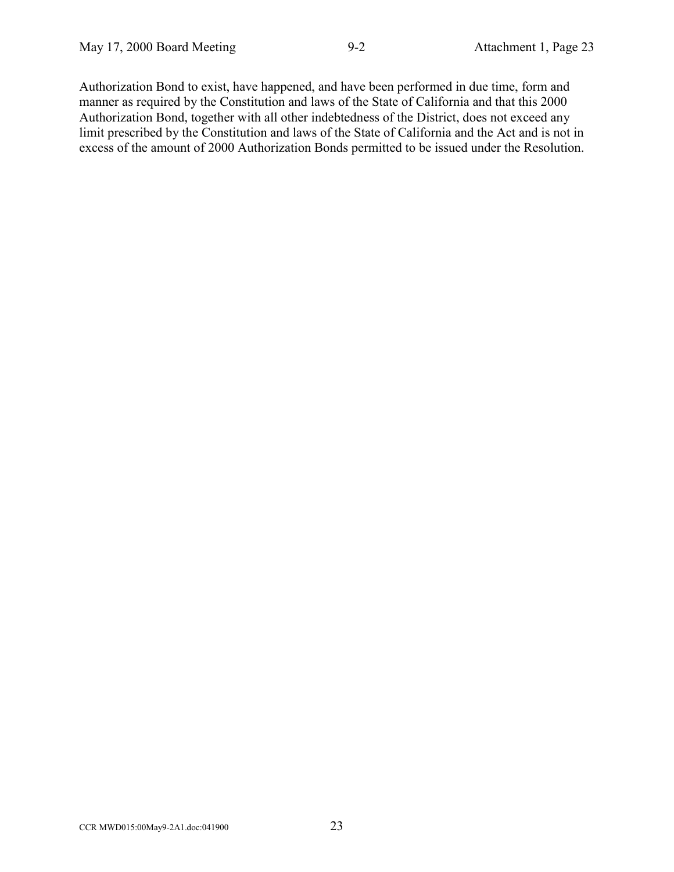Authorization Bond to exist, have happened, and have been performed in due time, form and manner as required by the Constitution and laws of the State of California and that this 2000 Authorization Bond, together with all other indebtedness of the District, does not exceed any limit prescribed by the Constitution and laws of the State of California and the Act and is not in excess of the amount of 2000 Authorization Bonds permitted to be issued under the Resolution.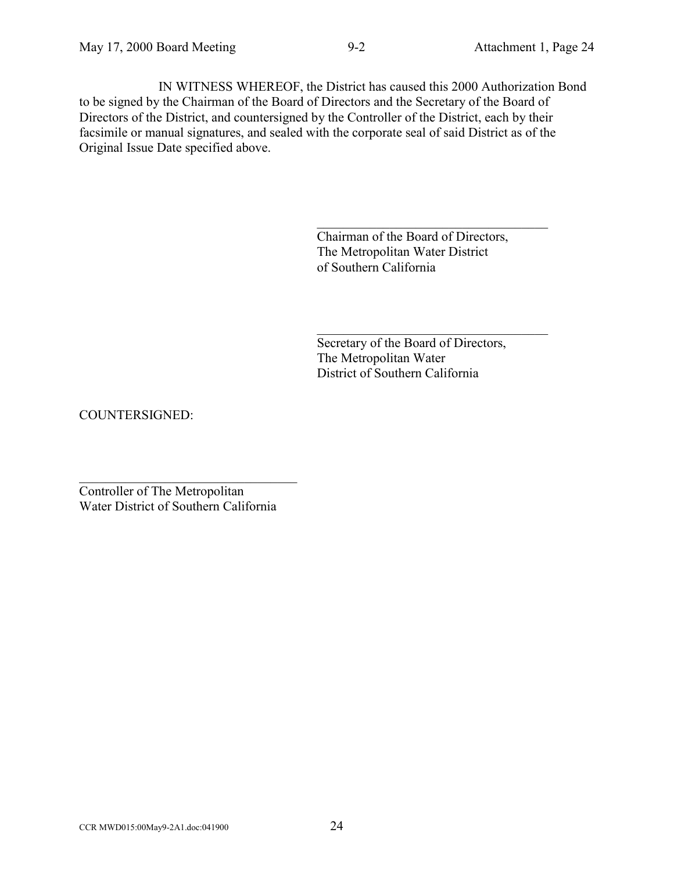IN WITNESS WHEREOF, the District has caused this 2000 Authorization Bond to be signed by the Chairman of the Board of Directors and the Secretary of the Board of Directors of the District, and countersigned by the Controller of the District, each by their facsimile or manual signatures, and sealed with the corporate seal of said District as of the Original Issue Date specified above.

> Chairman of the Board of Directors, The Metropolitan Water District of Southern California

 $\mathcal{L}_\text{max}$  , where  $\mathcal{L}_\text{max}$  and  $\mathcal{L}_\text{max}$  and  $\mathcal{L}_\text{max}$ 

 $\mathcal{L}_\text{max}$  , where  $\mathcal{L}_\text{max}$  and  $\mathcal{L}_\text{max}$  and  $\mathcal{L}_\text{max}$ 

Secretary of the Board of Directors, The Metropolitan Water District of Southern California

COUNTERSIGNED:

Controller of The Metropolitan Water District of Southern California

 $\mathcal{L}_\text{max}$  , where  $\mathcal{L}_\text{max}$  is the set of the set of the set of the set of the set of the set of the set of the set of the set of the set of the set of the set of the set of the set of the set of the set of the se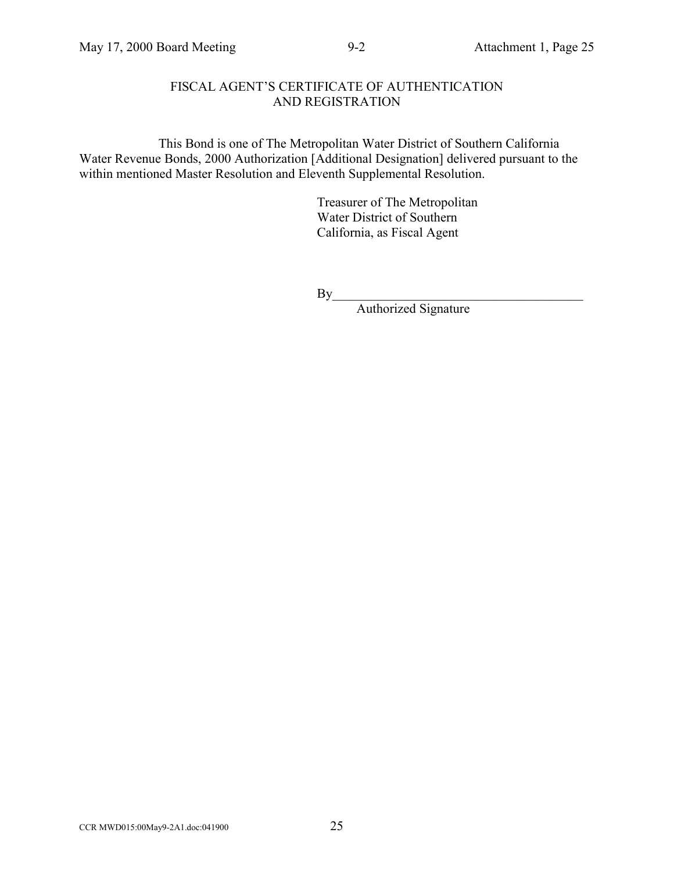# FISCAL AGENT'S CERTIFICATE OF AUTHENTICATION AND REGISTRATION

This Bond is one of The Metropolitan Water District of Southern California Water Revenue Bonds, 2000 Authorization [Additional Designation] delivered pursuant to the within mentioned Master Resolution and Eleventh Supplemental Resolution.

> Treasurer of The Metropolitan Water District of Southern California, as Fiscal Agent

By\_\_\_\_\_\_\_\_\_\_\_\_\_\_\_\_\_\_\_\_\_\_\_\_\_\_\_\_\_\_\_\_\_\_\_\_\_\_

Authorized Signature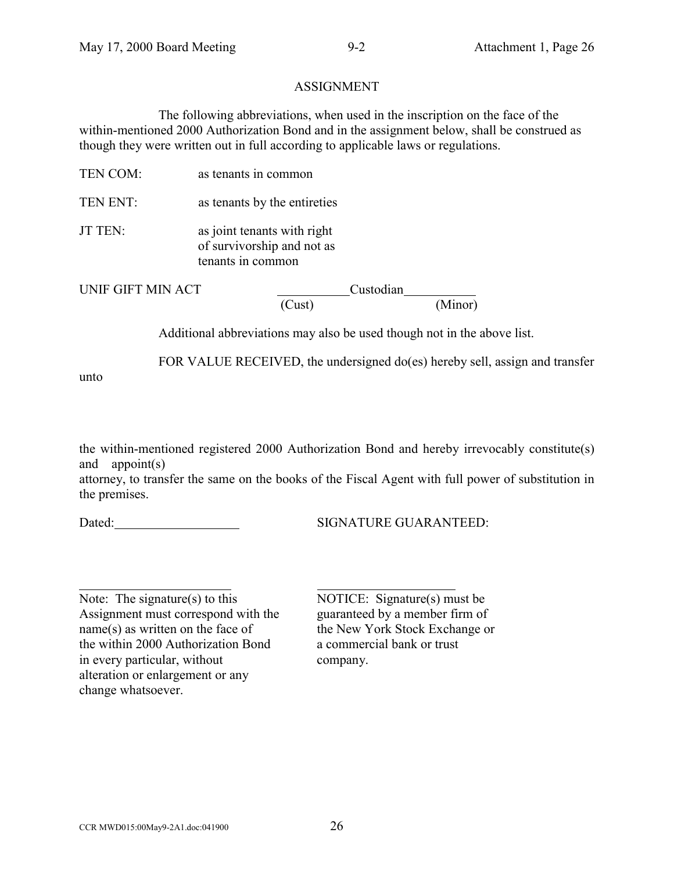### ASSIGNMENT

The following abbreviations, when used in the inscription on the face of the within-mentioned 2000 Authorization Bond and in the assignment below, shall be construed as though they were written out in full according to applicable laws or regulations.

- TEN COM: as tenants in common
- TEN ENT: as tenants by the entireties
- JT TEN: as joint tenants with right of survivorship and not as tenants in common

unto

 $\overline{a}$ 

UNIF GIFT MIN ACT Custodian
Custodian
Custodian
Custodian
Custodian
Custodian
Custodian
Custodian
Custodian
Custodian
Custodian
Custodian
Custodian
Custodian
Custodian
Custodian
Custodian
Custodian
Custodian
Custodian
Cust  $\overline{\text{(Minor)}}$ 

Additional abbreviations may also be used though not in the above list.

FOR VALUE RECEIVED, the undersigned do(es) hereby sell, assign and transfer

the within-mentioned registered 2000 Authorization Bond and hereby irrevocably constitute(s) and appoint(s)

attorney, to transfer the same on the books of the Fiscal Agent with full power of substitution in the premises.

Dated: SIGNATURE GUARANTEED:

Note: The signature(s) to this NOTICE: Signature(s) must be Assignment must correspond with the guaranteed by a member firm of name(s) as written on the face of the New York Stock Exchange or the within 2000 Authorization Bond a commercial bank or trust in every particular, without company. alteration or enlargement or any change whatsoever.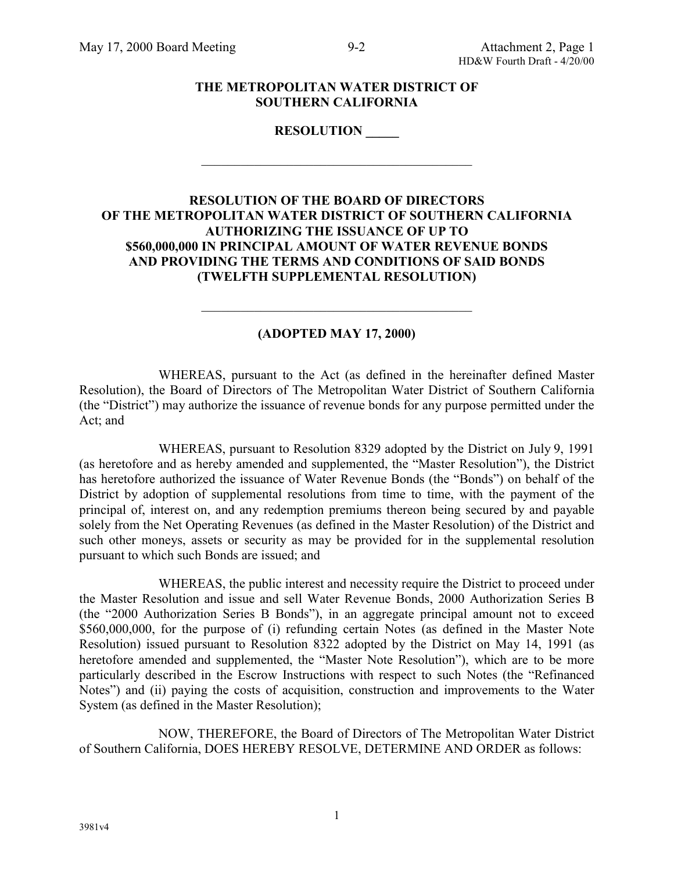#### **THE METROPOLITAN WATER DISTRICT OF SOUTHERN CALIFORNIA**

**RESOLUTION \_\_\_\_\_**

 $\mathcal{L}_\text{max}$  , and the set of the set of the set of the set of the set of the set of the set of the set of the set of the set of the set of the set of the set of the set of the set of the set of the set of the set of the

# **RESOLUTION OF THE BOARD OF DIRECTORS OF THE METROPOLITAN WATER DISTRICT OF SOUTHERN CALIFORNIA AUTHORIZING THE ISSUANCE OF UP TO \$560,000,000 IN PRINCIPAL AMOUNT OF WATER REVENUE BONDS AND PROVIDING THE TERMS AND CONDITIONS OF SAID BONDS (TWELFTH SUPPLEMENTAL RESOLUTION)**

# **(ADOPTED MAY 17, 2000)**

 $\mathcal{L}_\text{max}$  , and the contract of the contract of the contract of the contract of the contract of the contract of the contract of the contract of the contract of the contract of the contract of the contract of the contr

WHEREAS, pursuant to the Act (as defined in the hereinafter defined Master Resolution), the Board of Directors of The Metropolitan Water District of Southern California (the "District") may authorize the issuance of revenue bonds for any purpose permitted under the Act; and

WHEREAS, pursuant to Resolution 8329 adopted by the District on July 9, 1991 (as heretofore and as hereby amended and supplemented, the "Master Resolution"), the District has heretofore authorized the issuance of Water Revenue Bonds (the "Bonds") on behalf of the District by adoption of supplemental resolutions from time to time, with the payment of the principal of, interest on, and any redemption premiums thereon being secured by and payable solely from the Net Operating Revenues (as defined in the Master Resolution) of the District and such other moneys, assets or security as may be provided for in the supplemental resolution pursuant to which such Bonds are issued; and

WHEREAS, the public interest and necessity require the District to proceed under the Master Resolution and issue and sell Water Revenue Bonds, 2000 Authorization Series B (the "2000 Authorization Series B Bonds"), in an aggregate principal amount not to exceed \$560,000,000, for the purpose of (i) refunding certain Notes (as defined in the Master Note Resolution) issued pursuant to Resolution 8322 adopted by the District on May 14, 1991 (as heretofore amended and supplemented, the "Master Note Resolution"), which are to be more particularly described in the Escrow Instructions with respect to such Notes (the "Refinanced Notes") and (ii) paying the costs of acquisition, construction and improvements to the Water System (as defined in the Master Resolution);

NOW, THEREFORE, the Board of Directors of The Metropolitan Water District of Southern California, DOES HEREBY RESOLVE, DETERMINE AND ORDER as follows:

1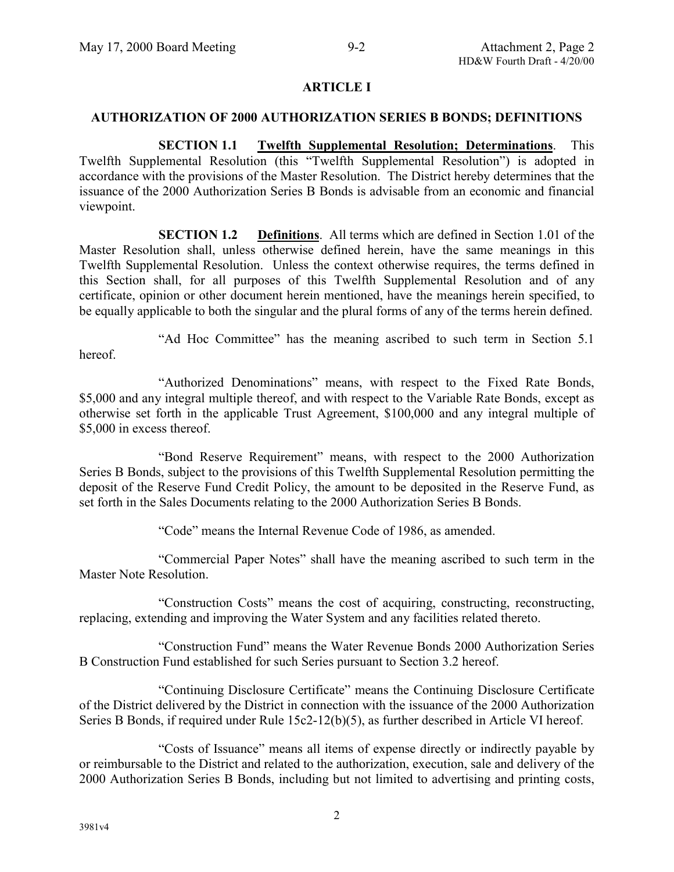### **ARTICLE I**

#### **AUTHORIZATION OF 2000 AUTHORIZATION SERIES B BONDS; DEFINITIONS**

**SECTION 1.1 Twelfth Supplemental Resolution; Determinations**. This Twelfth Supplemental Resolution (this "Twelfth Supplemental Resolution") is adopted in accordance with the provisions of the Master Resolution. The District hereby determines that the issuance of the 2000 Authorization Series B Bonds is advisable from an economic and financial viewpoint.

**SECTION 1.2 Definitions**. All terms which are defined in Section 1.01 of the Master Resolution shall, unless otherwise defined herein, have the same meanings in this Twelfth Supplemental Resolution. Unless the context otherwise requires, the terms defined in this Section shall, for all purposes of this Twelfth Supplemental Resolution and of any certificate, opinion or other document herein mentioned, have the meanings herein specified, to be equally applicable to both the singular and the plural forms of any of the terms herein defined.

"Ad Hoc Committee" has the meaning ascribed to such term in Section 5.1 hereof.

"Authorized Denominations" means, with respect to the Fixed Rate Bonds, \$5,000 and any integral multiple thereof, and with respect to the Variable Rate Bonds, except as otherwise set forth in the applicable Trust Agreement, \$100,000 and any integral multiple of \$5,000 in excess thereof.

"Bond Reserve Requirement" means, with respect to the 2000 Authorization Series B Bonds, subject to the provisions of this Twelfth Supplemental Resolution permitting the deposit of the Reserve Fund Credit Policy, the amount to be deposited in the Reserve Fund, as set forth in the Sales Documents relating to the 2000 Authorization Series B Bonds.

"Code" means the Internal Revenue Code of 1986, as amended.

"Commercial Paper Notes" shall have the meaning ascribed to such term in the Master Note Resolution.

"Construction Costs" means the cost of acquiring, constructing, reconstructing, replacing, extending and improving the Water System and any facilities related thereto.

"Construction Fund" means the Water Revenue Bonds 2000 Authorization Series B Construction Fund established for such Series pursuant to Section 3.2 hereof.

"Continuing Disclosure Certificate" means the Continuing Disclosure Certificate of the District delivered by the District in connection with the issuance of the 2000 Authorization Series B Bonds, if required under Rule 15c2-12(b)(5), as further described in Article VI hereof.

"Costs of Issuance" means all items of expense directly or indirectly payable by or reimbursable to the District and related to the authorization, execution, sale and delivery of the 2000 Authorization Series B Bonds, including but not limited to advertising and printing costs,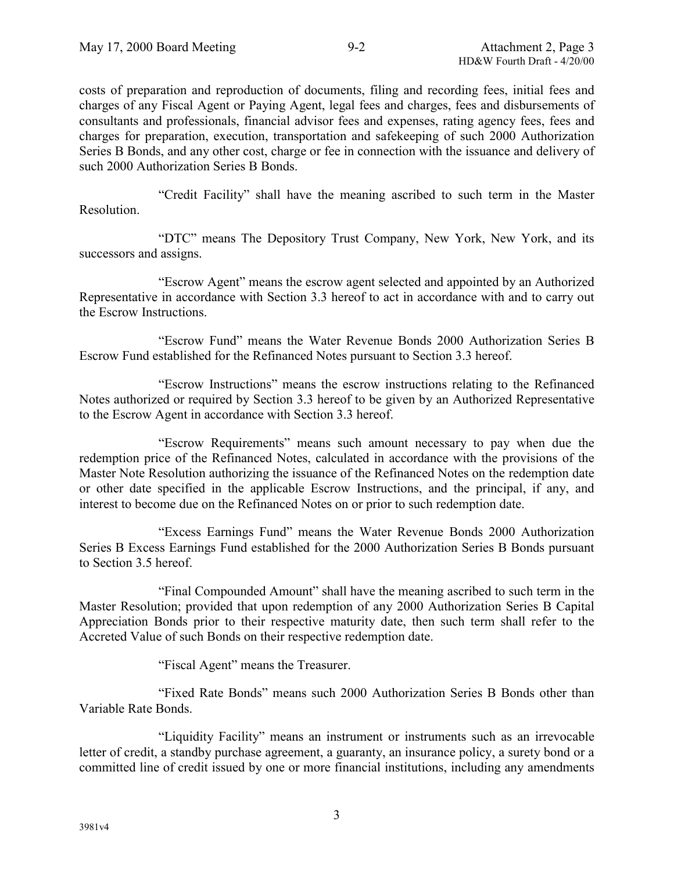costs of preparation and reproduction of documents, filing and recording fees, initial fees and charges of any Fiscal Agent or Paying Agent, legal fees and charges, fees and disbursements of consultants and professionals, financial advisor fees and expenses, rating agency fees, fees and charges for preparation, execution, transportation and safekeeping of such 2000 Authorization Series B Bonds, and any other cost, charge or fee in connection with the issuance and delivery of such 2000 Authorization Series B Bonds.

"Credit Facility" shall have the meaning ascribed to such term in the Master Resolution.

"DTC" means The Depository Trust Company, New York, New York, and its successors and assigns.

"Escrow Agent" means the escrow agent selected and appointed by an Authorized Representative in accordance with Section 3.3 hereof to act in accordance with and to carry out the Escrow Instructions.

"Escrow Fund" means the Water Revenue Bonds 2000 Authorization Series B Escrow Fund established for the Refinanced Notes pursuant to Section 3.3 hereof.

"Escrow Instructions" means the escrow instructions relating to the Refinanced Notes authorized or required by Section 3.3 hereof to be given by an Authorized Representative to the Escrow Agent in accordance with Section 3.3 hereof.

"Escrow Requirements" means such amount necessary to pay when due the redemption price of the Refinanced Notes, calculated in accordance with the provisions of the Master Note Resolution authorizing the issuance of the Refinanced Notes on the redemption date or other date specified in the applicable Escrow Instructions, and the principal, if any, and interest to become due on the Refinanced Notes on or prior to such redemption date.

"Excess Earnings Fund" means the Water Revenue Bonds 2000 Authorization Series B Excess Earnings Fund established for the 2000 Authorization Series B Bonds pursuant to Section 3.5 hereof.

"Final Compounded Amount" shall have the meaning ascribed to such term in the Master Resolution; provided that upon redemption of any 2000 Authorization Series B Capital Appreciation Bonds prior to their respective maturity date, then such term shall refer to the Accreted Value of such Bonds on their respective redemption date.

"Fiscal Agent" means the Treasurer.

"Fixed Rate Bonds" means such 2000 Authorization Series B Bonds other than Variable Rate Bonds.

"Liquidity Facility" means an instrument or instruments such as an irrevocable letter of credit, a standby purchase agreement, a guaranty, an insurance policy, a surety bond or a committed line of credit issued by one or more financial institutions, including any amendments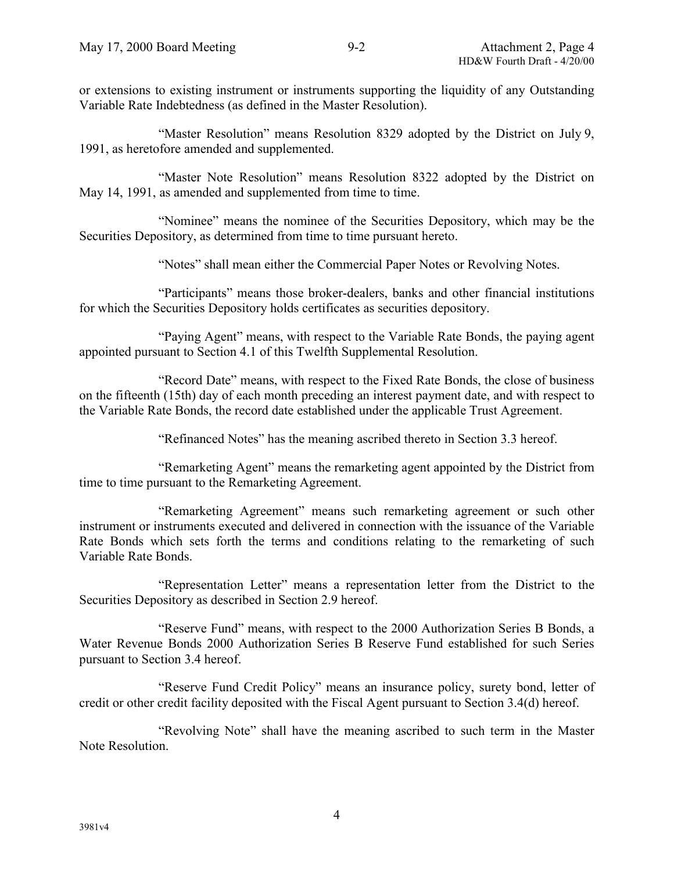or extensions to existing instrument or instruments supporting the liquidity of any Outstanding Variable Rate Indebtedness (as defined in the Master Resolution).

"Master Resolution" means Resolution 8329 adopted by the District on July 9, 1991, as heretofore amended and supplemented.

"Master Note Resolution" means Resolution 8322 adopted by the District on May 14, 1991, as amended and supplemented from time to time.

"Nominee" means the nominee of the Securities Depository, which may be the Securities Depository, as determined from time to time pursuant hereto.

"Notes" shall mean either the Commercial Paper Notes or Revolving Notes.

"Participants" means those broker-dealers, banks and other financial institutions for which the Securities Depository holds certificates as securities depository.

"Paying Agent" means, with respect to the Variable Rate Bonds, the paying agent appointed pursuant to Section 4.1 of this Twelfth Supplemental Resolution.

"Record Date" means, with respect to the Fixed Rate Bonds, the close of business on the fifteenth (15th) day of each month preceding an interest payment date, and with respect to the Variable Rate Bonds, the record date established under the applicable Trust Agreement.

"Refinanced Notes" has the meaning ascribed thereto in Section 3.3 hereof.

"Remarketing Agent" means the remarketing agent appointed by the District from time to time pursuant to the Remarketing Agreement.

"Remarketing Agreement" means such remarketing agreement or such other instrument or instruments executed and delivered in connection with the issuance of the Variable Rate Bonds which sets forth the terms and conditions relating to the remarketing of such Variable Rate Bonds.

"Representation Letter" means a representation letter from the District to the Securities Depository as described in Section 2.9 hereof.

"Reserve Fund" means, with respect to the 2000 Authorization Series B Bonds, a Water Revenue Bonds 2000 Authorization Series B Reserve Fund established for such Series pursuant to Section 3.4 hereof.

"Reserve Fund Credit Policy" means an insurance policy, surety bond, letter of credit or other credit facility deposited with the Fiscal Agent pursuant to Section 3.4(d) hereof.

"Revolving Note" shall have the meaning ascribed to such term in the Master Note Resolution.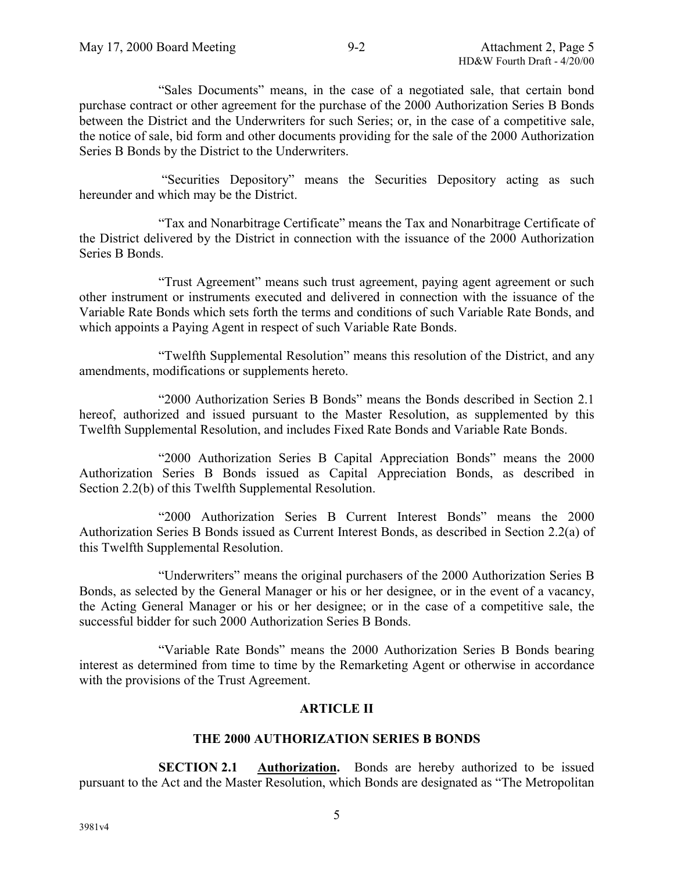"Sales Documents" means, in the case of a negotiated sale, that certain bond purchase contract or other agreement for the purchase of the 2000 Authorization Series B Bonds between the District and the Underwriters for such Series; or, in the case of a competitive sale, the notice of sale, bid form and other documents providing for the sale of the 2000 Authorization Series B Bonds by the District to the Underwriters.

 "Securities Depository" means the Securities Depository acting as such hereunder and which may be the District.

"Tax and Nonarbitrage Certificate" means the Tax and Nonarbitrage Certificate of the District delivered by the District in connection with the issuance of the 2000 Authorization Series B Bonds.

"Trust Agreement" means such trust agreement, paying agent agreement or such other instrument or instruments executed and delivered in connection with the issuance of the Variable Rate Bonds which sets forth the terms and conditions of such Variable Rate Bonds, and which appoints a Paying Agent in respect of such Variable Rate Bonds.

"Twelfth Supplemental Resolution" means this resolution of the District, and any amendments, modifications or supplements hereto.

"2000 Authorization Series B Bonds" means the Bonds described in Section 2.1 hereof, authorized and issued pursuant to the Master Resolution, as supplemented by this Twelfth Supplemental Resolution, and includes Fixed Rate Bonds and Variable Rate Bonds.

"2000 Authorization Series B Capital Appreciation Bonds" means the 2000 Authorization Series B Bonds issued as Capital Appreciation Bonds, as described in Section 2.2(b) of this Twelfth Supplemental Resolution.

"2000 Authorization Series B Current Interest Bonds" means the 2000 Authorization Series B Bonds issued as Current Interest Bonds, as described in Section 2.2(a) of this Twelfth Supplemental Resolution.

"Underwriters" means the original purchasers of the 2000 Authorization Series B Bonds, as selected by the General Manager or his or her designee, or in the event of a vacancy, the Acting General Manager or his or her designee; or in the case of a competitive sale, the successful bidder for such 2000 Authorization Series B Bonds.

"Variable Rate Bonds" means the 2000 Authorization Series B Bonds bearing interest as determined from time to time by the Remarketing Agent or otherwise in accordance with the provisions of the Trust Agreement.

# **ARTICLE II**

# **THE 2000 AUTHORIZATION SERIES B BONDS**

**SECTION 2.1 Authorization.** Bonds are hereby authorized to be issued pursuant to the Act and the Master Resolution, which Bonds are designated as "The Metropolitan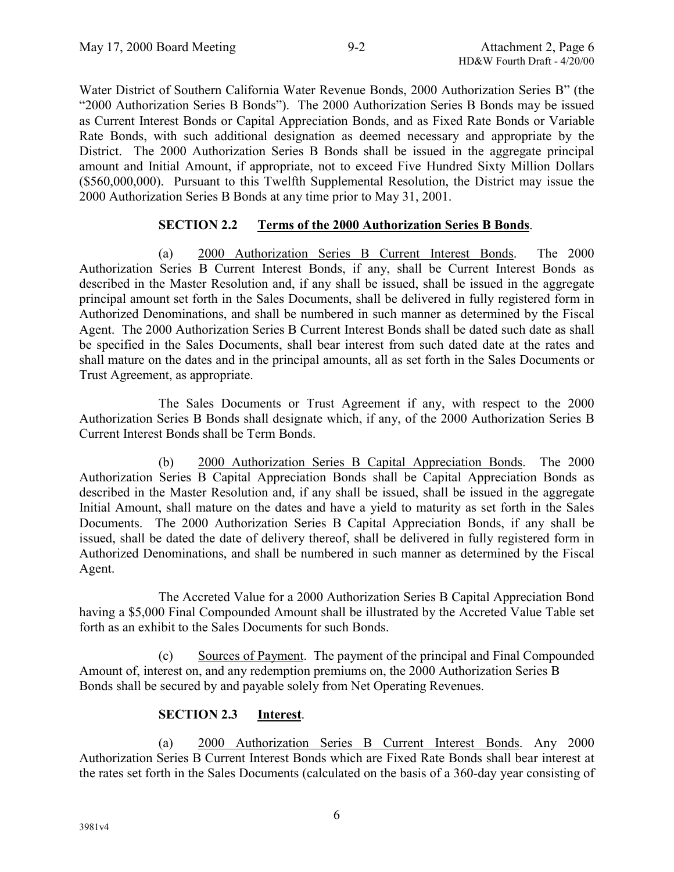Water District of Southern California Water Revenue Bonds, 2000 Authorization Series B" (the "2000 Authorization Series B Bonds"). The 2000 Authorization Series B Bonds may be issued as Current Interest Bonds or Capital Appreciation Bonds, and as Fixed Rate Bonds or Variable Rate Bonds, with such additional designation as deemed necessary and appropriate by the District. The 2000 Authorization Series B Bonds shall be issued in the aggregate principal amount and Initial Amount, if appropriate, not to exceed Five Hundred Sixty Million Dollars (\$560,000,000). Pursuant to this Twelfth Supplemental Resolution, the District may issue the 2000 Authorization Series B Bonds at any time prior to May 31, 2001.

# **SECTION 2.2 Terms of the 2000 Authorization Series B Bonds**.

(a) 2000 Authorization Series B Current Interest Bonds. The 2000 Authorization Series B Current Interest Bonds, if any, shall be Current Interest Bonds as described in the Master Resolution and, if any shall be issued, shall be issued in the aggregate principal amount set forth in the Sales Documents, shall be delivered in fully registered form in Authorized Denominations, and shall be numbered in such manner as determined by the Fiscal Agent. The 2000 Authorization Series B Current Interest Bonds shall be dated such date as shall be specified in the Sales Documents, shall bear interest from such dated date at the rates and shall mature on the dates and in the principal amounts, all as set forth in the Sales Documents or Trust Agreement, as appropriate.

The Sales Documents or Trust Agreement if any, with respect to the 2000 Authorization Series B Bonds shall designate which, if any, of the 2000 Authorization Series B Current Interest Bonds shall be Term Bonds.

(b) 2000 Authorization Series B Capital Appreciation Bonds. The 2000 Authorization Series B Capital Appreciation Bonds shall be Capital Appreciation Bonds as described in the Master Resolution and, if any shall be issued, shall be issued in the aggregate Initial Amount, shall mature on the dates and have a yield to maturity as set forth in the Sales Documents. The 2000 Authorization Series B Capital Appreciation Bonds, if any shall be issued, shall be dated the date of delivery thereof, shall be delivered in fully registered form in Authorized Denominations, and shall be numbered in such manner as determined by the Fiscal Agent.

The Accreted Value for a 2000 Authorization Series B Capital Appreciation Bond having a \$5,000 Final Compounded Amount shall be illustrated by the Accreted Value Table set forth as an exhibit to the Sales Documents for such Bonds.

(c) Sources of Payment. The payment of the principal and Final Compounded Amount of, interest on, and any redemption premiums on, the 2000 Authorization Series B Bonds shall be secured by and payable solely from Net Operating Revenues.

# **SECTION 2.3 Interest**.

(a) 2000 Authorization Series B Current Interest Bonds. Any 2000 Authorization Series B Current Interest Bonds which are Fixed Rate Bonds shall bear interest at the rates set forth in the Sales Documents (calculated on the basis of a 360-day year consisting of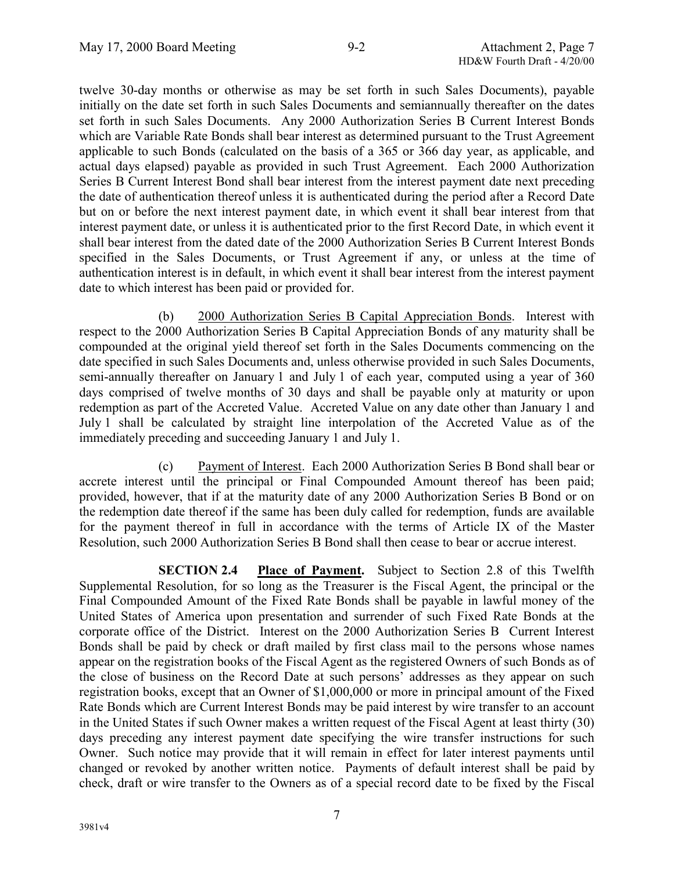twelve 30-day months or otherwise as may be set forth in such Sales Documents), payable initially on the date set forth in such Sales Documents and semiannually thereafter on the dates set forth in such Sales Documents. Any 2000 Authorization Series B Current Interest Bonds which are Variable Rate Bonds shall bear interest as determined pursuant to the Trust Agreement applicable to such Bonds (calculated on the basis of a 365 or 366 day year, as applicable, and actual days elapsed) payable as provided in such Trust Agreement. Each 2000 Authorization Series B Current Interest Bond shall bear interest from the interest payment date next preceding the date of authentication thereof unless it is authenticated during the period after a Record Date but on or before the next interest payment date, in which event it shall bear interest from that interest payment date, or unless it is authenticated prior to the first Record Date, in which event it shall bear interest from the dated date of the 2000 Authorization Series B Current Interest Bonds specified in the Sales Documents, or Trust Agreement if any, or unless at the time of authentication interest is in default, in which event it shall bear interest from the interest payment date to which interest has been paid or provided for.

(b) 2000 Authorization Series B Capital Appreciation Bonds. Interest with respect to the 2000 Authorization Series B Capital Appreciation Bonds of any maturity shall be compounded at the original yield thereof set forth in the Sales Documents commencing on the date specified in such Sales Documents and, unless otherwise provided in such Sales Documents, semi-annually thereafter on January 1 and July 1 of each year, computed using a year of 360 days comprised of twelve months of 30 days and shall be payable only at maturity or upon redemption as part of the Accreted Value. Accreted Value on any date other than January 1 and July 1 shall be calculated by straight line interpolation of the Accreted Value as of the immediately preceding and succeeding January 1 and July 1.

(c) Payment of Interest. Each 2000 Authorization Series B Bond shall bear or accrete interest until the principal or Final Compounded Amount thereof has been paid; provided, however, that if at the maturity date of any 2000 Authorization Series B Bond or on the redemption date thereof if the same has been duly called for redemption, funds are available for the payment thereof in full in accordance with the terms of Article IX of the Master Resolution, such 2000 Authorization Series B Bond shall then cease to bear or accrue interest.

**SECTION 2.4 Place of Payment.** Subject to Section 2.8 of this Twelfth Supplemental Resolution, for so long as the Treasurer is the Fiscal Agent, the principal or the Final Compounded Amount of the Fixed Rate Bonds shall be payable in lawful money of the United States of America upon presentation and surrender of such Fixed Rate Bonds at the corporate office of the District. Interest on the 2000 Authorization Series B Current Interest Bonds shall be paid by check or draft mailed by first class mail to the persons whose names appear on the registration books of the Fiscal Agent as the registered Owners of such Bonds as of the close of business on the Record Date at such persons' addresses as they appear on such registration books, except that an Owner of \$1,000,000 or more in principal amount of the Fixed Rate Bonds which are Current Interest Bonds may be paid interest by wire transfer to an account in the United States if such Owner makes a written request of the Fiscal Agent at least thirty (30) days preceding any interest payment date specifying the wire transfer instructions for such Owner. Such notice may provide that it will remain in effect for later interest payments until changed or revoked by another written notice. Payments of default interest shall be paid by check, draft or wire transfer to the Owners as of a special record date to be fixed by the Fiscal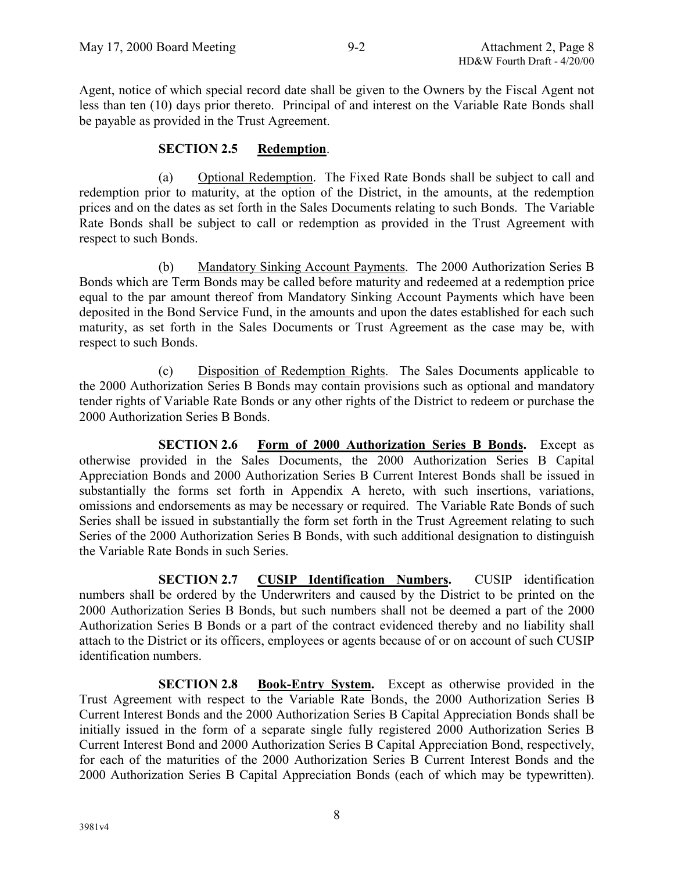Agent, notice of which special record date shall be given to the Owners by the Fiscal Agent not less than ten (10) days prior thereto. Principal of and interest on the Variable Rate Bonds shall be payable as provided in the Trust Agreement.

### **SECTION 2.5 Redemption**.

(a) Optional Redemption. The Fixed Rate Bonds shall be subject to call and redemption prior to maturity, at the option of the District, in the amounts, at the redemption prices and on the dates as set forth in the Sales Documents relating to such Bonds. The Variable Rate Bonds shall be subject to call or redemption as provided in the Trust Agreement with respect to such Bonds.

(b) Mandatory Sinking Account Payments. The 2000 Authorization Series B Bonds which are Term Bonds may be called before maturity and redeemed at a redemption price equal to the par amount thereof from Mandatory Sinking Account Payments which have been deposited in the Bond Service Fund, in the amounts and upon the dates established for each such maturity, as set forth in the Sales Documents or Trust Agreement as the case may be, with respect to such Bonds.

(c) Disposition of Redemption Rights. The Sales Documents applicable to the 2000 Authorization Series B Bonds may contain provisions such as optional and mandatory tender rights of Variable Rate Bonds or any other rights of the District to redeem or purchase the 2000 Authorization Series B Bonds.

**SECTION 2.6 Form of 2000 Authorization Series B Bonds.** Except as otherwise provided in the Sales Documents, the 2000 Authorization Series B Capital Appreciation Bonds and 2000 Authorization Series B Current Interest Bonds shall be issued in substantially the forms set forth in Appendix A hereto, with such insertions, variations, omissions and endorsements as may be necessary or required. The Variable Rate Bonds of such Series shall be issued in substantially the form set forth in the Trust Agreement relating to such Series of the 2000 Authorization Series B Bonds, with such additional designation to distinguish the Variable Rate Bonds in such Series.

**SECTION 2.7 CUSIP Identification Numbers.** CUSIP identification numbers shall be ordered by the Underwriters and caused by the District to be printed on the 2000 Authorization Series B Bonds, but such numbers shall not be deemed a part of the 2000 Authorization Series B Bonds or a part of the contract evidenced thereby and no liability shall attach to the District or its officers, employees or agents because of or on account of such CUSIP identification numbers.

**SECTION 2.8 Book-Entry System.** Except as otherwise provided in the Trust Agreement with respect to the Variable Rate Bonds, the 2000 Authorization Series B Current Interest Bonds and the 2000 Authorization Series B Capital Appreciation Bonds shall be initially issued in the form of a separate single fully registered 2000 Authorization Series B Current Interest Bond and 2000 Authorization Series B Capital Appreciation Bond, respectively, for each of the maturities of the 2000 Authorization Series B Current Interest Bonds and the 2000 Authorization Series B Capital Appreciation Bonds (each of which may be typewritten).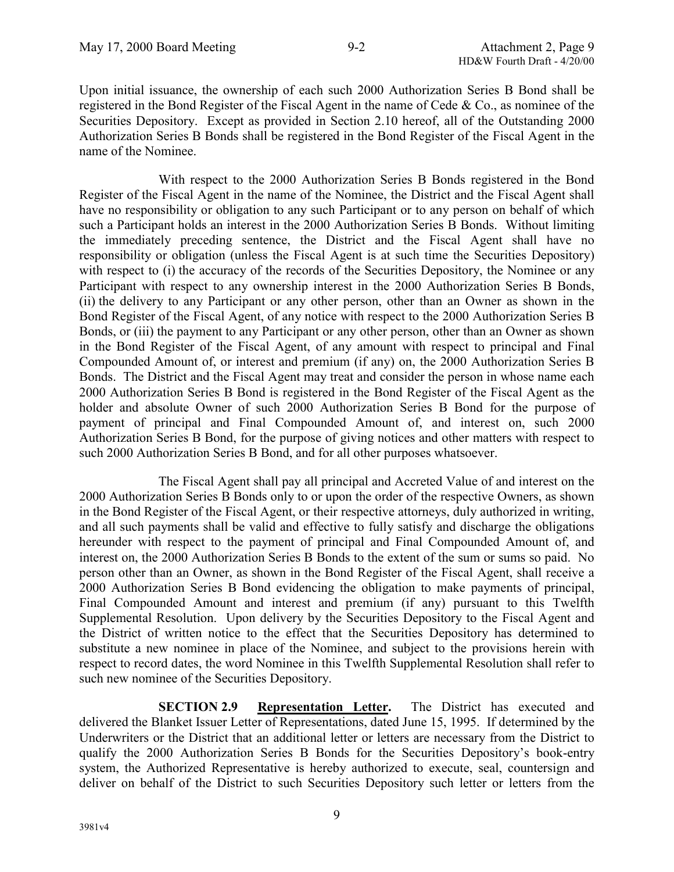Upon initial issuance, the ownership of each such 2000 Authorization Series B Bond shall be registered in the Bond Register of the Fiscal Agent in the name of Cede & Co., as nominee of the Securities Depository. Except as provided in Section 2.10 hereof, all of the Outstanding 2000 Authorization Series B Bonds shall be registered in the Bond Register of the Fiscal Agent in the name of the Nominee.

With respect to the 2000 Authorization Series B Bonds registered in the Bond Register of the Fiscal Agent in the name of the Nominee, the District and the Fiscal Agent shall have no responsibility or obligation to any such Participant or to any person on behalf of which such a Participant holds an interest in the 2000 Authorization Series B Bonds. Without limiting the immediately preceding sentence, the District and the Fiscal Agent shall have no responsibility or obligation (unless the Fiscal Agent is at such time the Securities Depository) with respect to (i) the accuracy of the records of the Securities Depository, the Nominee or any Participant with respect to any ownership interest in the 2000 Authorization Series B Bonds, (ii) the delivery to any Participant or any other person, other than an Owner as shown in the Bond Register of the Fiscal Agent, of any notice with respect to the 2000 Authorization Series B Bonds, or (iii) the payment to any Participant or any other person, other than an Owner as shown in the Bond Register of the Fiscal Agent, of any amount with respect to principal and Final Compounded Amount of, or interest and premium (if any) on, the 2000 Authorization Series B Bonds. The District and the Fiscal Agent may treat and consider the person in whose name each 2000 Authorization Series B Bond is registered in the Bond Register of the Fiscal Agent as the holder and absolute Owner of such 2000 Authorization Series B Bond for the purpose of payment of principal and Final Compounded Amount of, and interest on, such 2000 Authorization Series B Bond, for the purpose of giving notices and other matters with respect to such 2000 Authorization Series B Bond, and for all other purposes whatsoever.

The Fiscal Agent shall pay all principal and Accreted Value of and interest on the 2000 Authorization Series B Bonds only to or upon the order of the respective Owners, as shown in the Bond Register of the Fiscal Agent, or their respective attorneys, duly authorized in writing, and all such payments shall be valid and effective to fully satisfy and discharge the obligations hereunder with respect to the payment of principal and Final Compounded Amount of, and interest on, the 2000 Authorization Series B Bonds to the extent of the sum or sums so paid. No person other than an Owner, as shown in the Bond Register of the Fiscal Agent, shall receive a 2000 Authorization Series B Bond evidencing the obligation to make payments of principal, Final Compounded Amount and interest and premium (if any) pursuant to this Twelfth Supplemental Resolution. Upon delivery by the Securities Depository to the Fiscal Agent and the District of written notice to the effect that the Securities Depository has determined to substitute a new nominee in place of the Nominee, and subject to the provisions herein with respect to record dates, the word Nominee in this Twelfth Supplemental Resolution shall refer to such new nominee of the Securities Depository.

**SECTION 2.9 Representation Letter.** The District has executed and delivered the Blanket Issuer Letter of Representations, dated June 15, 1995. If determined by the Underwriters or the District that an additional letter or letters are necessary from the District to qualify the 2000 Authorization Series B Bonds for the Securities Depository's book-entry system, the Authorized Representative is hereby authorized to execute, seal, countersign and deliver on behalf of the District to such Securities Depository such letter or letters from the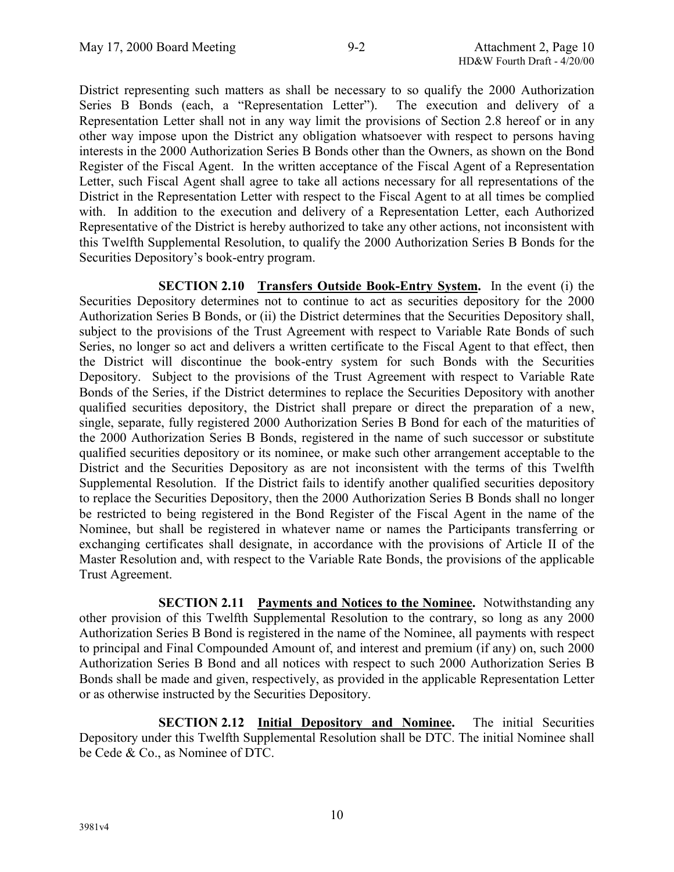District representing such matters as shall be necessary to so qualify the 2000 Authorization Series B Bonds (each, a "Representation Letter"). The execution and delivery of a Representation Letter shall not in any way limit the provisions of Section 2.8 hereof or in any other way impose upon the District any obligation whatsoever with respect to persons having interests in the 2000 Authorization Series B Bonds other than the Owners, as shown on the Bond Register of the Fiscal Agent. In the written acceptance of the Fiscal Agent of a Representation Letter, such Fiscal Agent shall agree to take all actions necessary for all representations of the District in the Representation Letter with respect to the Fiscal Agent to at all times be complied with. In addition to the execution and delivery of a Representation Letter, each Authorized Representative of the District is hereby authorized to take any other actions, not inconsistent with this Twelfth Supplemental Resolution, to qualify the 2000 Authorization Series B Bonds for the Securities Depository's book-entry program.

**SECTION 2.10 Transfers Outside Book-Entry System.** In the event (i) the Securities Depository determines not to continue to act as securities depository for the 2000 Authorization Series B Bonds, or (ii) the District determines that the Securities Depository shall, subject to the provisions of the Trust Agreement with respect to Variable Rate Bonds of such Series, no longer so act and delivers a written certificate to the Fiscal Agent to that effect, then the District will discontinue the book-entry system for such Bonds with the Securities Depository. Subject to the provisions of the Trust Agreement with respect to Variable Rate Bonds of the Series, if the District determines to replace the Securities Depository with another qualified securities depository, the District shall prepare or direct the preparation of a new, single, separate, fully registered 2000 Authorization Series B Bond for each of the maturities of the 2000 Authorization Series B Bonds, registered in the name of such successor or substitute qualified securities depository or its nominee, or make such other arrangement acceptable to the District and the Securities Depository as are not inconsistent with the terms of this Twelfth Supplemental Resolution. If the District fails to identify another qualified securities depository to replace the Securities Depository, then the 2000 Authorization Series B Bonds shall no longer be restricted to being registered in the Bond Register of the Fiscal Agent in the name of the Nominee, but shall be registered in whatever name or names the Participants transferring or exchanging certificates shall designate, in accordance with the provisions of Article II of the Master Resolution and, with respect to the Variable Rate Bonds, the provisions of the applicable Trust Agreement.

**SECTION 2.11 Payments and Notices to the Nominee.** Notwithstanding any other provision of this Twelfth Supplemental Resolution to the contrary, so long as any 2000 Authorization Series B Bond is registered in the name of the Nominee, all payments with respect to principal and Final Compounded Amount of, and interest and premium (if any) on, such 2000 Authorization Series B Bond and all notices with respect to such 2000 Authorization Series B Bonds shall be made and given, respectively, as provided in the applicable Representation Letter or as otherwise instructed by the Securities Depository.

**SECTION 2.12 Initial Depository and Nominee.** The initial Securities Depository under this Twelfth Supplemental Resolution shall be DTC. The initial Nominee shall be Cede & Co., as Nominee of DTC.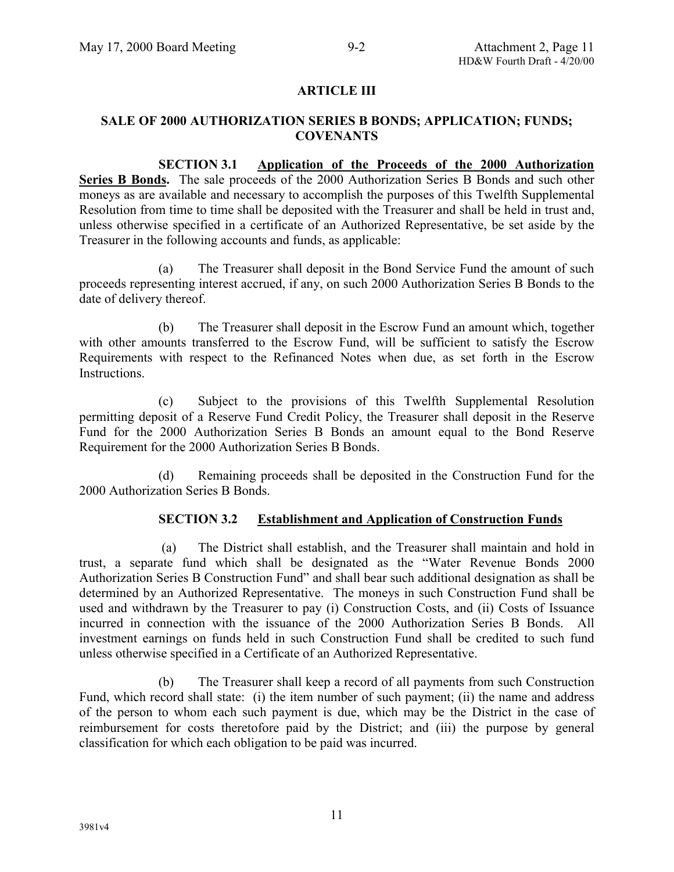# **ARTICLE III**

### **SALE OF 2000 AUTHORIZATION SERIES B BONDS; APPLICATION; FUNDS; COVENANTS**

**SECTION 3.1 Application of the Proceeds of the 2000 Authorization** Series B Bonds. The sale proceeds of the 2000 Authorization Series B Bonds and such other moneys as are available and necessary to accomplish the purposes of this Twelfth Supplemental Resolution from time to time shall be deposited with the Treasurer and shall be held in trust and, unless otherwise specified in a certificate of an Authorized Representative, be set aside by the Treasurer in the following accounts and funds, as applicable:

(a) The Treasurer shall deposit in the Bond Service Fund the amount of such proceeds representing interest accrued, if any, on such 2000 Authorization Series B Bonds to the date of delivery thereof.

(b) The Treasurer shall deposit in the Escrow Fund an amount which, together with other amounts transferred to the Escrow Fund, will be sufficient to satisfy the Escrow Requirements with respect to the Refinanced Notes when due, as set forth in the Escrow **Instructions** 

(c) Subject to the provisions of this Twelfth Supplemental Resolution permitting deposit of a Reserve Fund Credit Policy, the Treasurer shall deposit in the Reserve Fund for the 2000 Authorization Series B Bonds an amount equal to the Bond Reserve Requirement for the 2000 Authorization Series B Bonds.

(d) Remaining proceeds shall be deposited in the Construction Fund for the 2000 Authorization Series B Bonds.

# **SECTION 3.2 Establishment and Application of Construction Funds**

 (a) The District shall establish, and the Treasurer shall maintain and hold in trust, a separate fund which shall be designated as the "Water Revenue Bonds 2000 Authorization Series B Construction Fund" and shall bear such additional designation as shall be determined by an Authorized Representative. The moneys in such Construction Fund shall be used and withdrawn by the Treasurer to pay (i) Construction Costs, and (ii) Costs of Issuance incurred in connection with the issuance of the 2000 Authorization Series B Bonds. All investment earnings on funds held in such Construction Fund shall be credited to such fund unless otherwise specified in a Certificate of an Authorized Representative.

(b) The Treasurer shall keep a record of all payments from such Construction Fund, which record shall state: (i) the item number of such payment; (ii) the name and address of the person to whom each such payment is due, which may be the District in the case of reimbursement for costs theretofore paid by the District; and (iii) the purpose by general classification for which each obligation to be paid was incurred.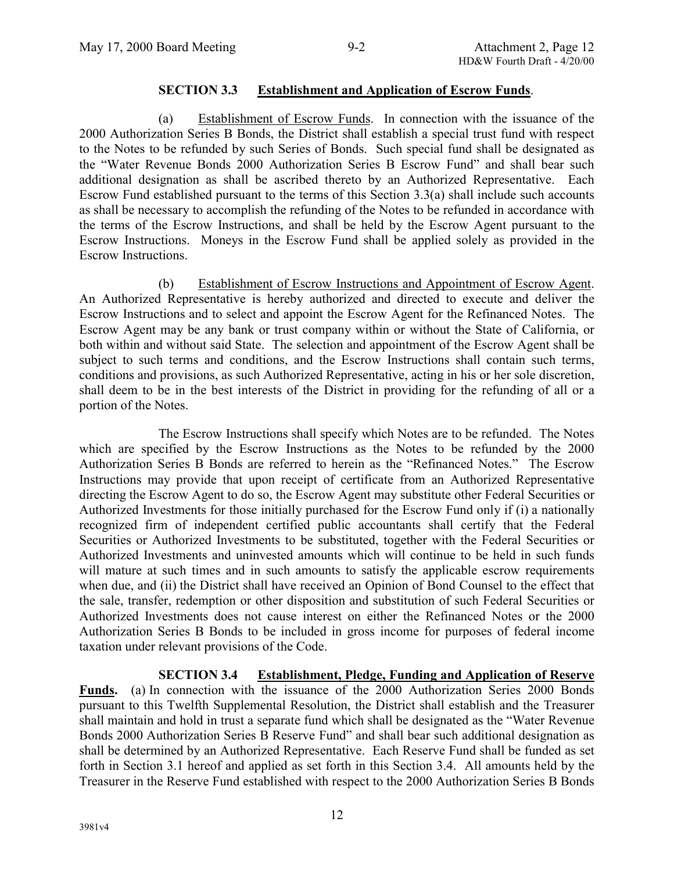### **SECTION 3.3 Establishment and Application of Escrow Funds**.

(a) Establishment of Escrow Funds. In connection with the issuance of the 2000 Authorization Series B Bonds, the District shall establish a special trust fund with respect to the Notes to be refunded by such Series of Bonds. Such special fund shall be designated as the "Water Revenue Bonds 2000 Authorization Series B Escrow Fund" and shall bear such additional designation as shall be ascribed thereto by an Authorized Representative. Each Escrow Fund established pursuant to the terms of this Section 3.3(a) shall include such accounts as shall be necessary to accomplish the refunding of the Notes to be refunded in accordance with the terms of the Escrow Instructions, and shall be held by the Escrow Agent pursuant to the Escrow Instructions. Moneys in the Escrow Fund shall be applied solely as provided in the Escrow Instructions.

(b) Establishment of Escrow Instructions and Appointment of Escrow Agent. An Authorized Representative is hereby authorized and directed to execute and deliver the Escrow Instructions and to select and appoint the Escrow Agent for the Refinanced Notes. The Escrow Agent may be any bank or trust company within or without the State of California, or both within and without said State. The selection and appointment of the Escrow Agent shall be subject to such terms and conditions, and the Escrow Instructions shall contain such terms, conditions and provisions, as such Authorized Representative, acting in his or her sole discretion, shall deem to be in the best interests of the District in providing for the refunding of all or a portion of the Notes.

The Escrow Instructions shall specify which Notes are to be refunded. The Notes which are specified by the Escrow Instructions as the Notes to be refunded by the 2000 Authorization Series B Bonds are referred to herein as the "Refinanced Notes." The Escrow Instructions may provide that upon receipt of certificate from an Authorized Representative directing the Escrow Agent to do so, the Escrow Agent may substitute other Federal Securities or Authorized Investments for those initially purchased for the Escrow Fund only if (i) a nationally recognized firm of independent certified public accountants shall certify that the Federal Securities or Authorized Investments to be substituted, together with the Federal Securities or Authorized Investments and uninvested amounts which will continue to be held in such funds will mature at such times and in such amounts to satisfy the applicable escrow requirements when due, and (ii) the District shall have received an Opinion of Bond Counsel to the effect that the sale, transfer, redemption or other disposition and substitution of such Federal Securities or Authorized Investments does not cause interest on either the Refinanced Notes or the 2000 Authorization Series B Bonds to be included in gross income for purposes of federal income taxation under relevant provisions of the Code.

# **SECTION 3.4 Establishment, Pledge, Funding and Application of Reserve**

**Funds.** (a) In connection with the issuance of the 2000 Authorization Series 2000 Bonds pursuant to this Twelfth Supplemental Resolution, the District shall establish and the Treasurer shall maintain and hold in trust a separate fund which shall be designated as the "Water Revenue Bonds 2000 Authorization Series B Reserve Fund" and shall bear such additional designation as shall be determined by an Authorized Representative. Each Reserve Fund shall be funded as set forth in Section 3.1 hereof and applied as set forth in this Section 3.4. All amounts held by the Treasurer in the Reserve Fund established with respect to the 2000 Authorization Series B Bonds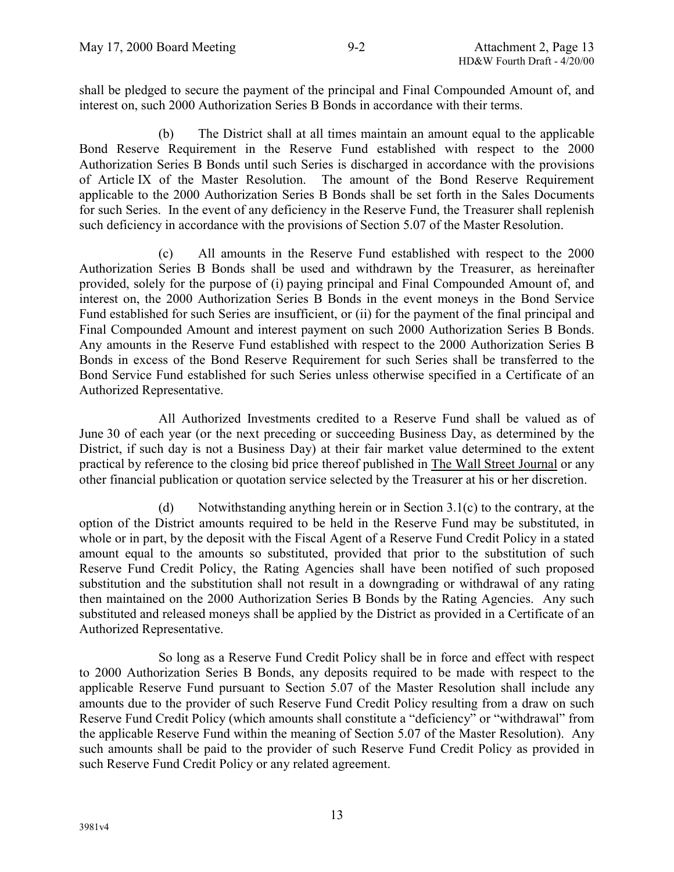shall be pledged to secure the payment of the principal and Final Compounded Amount of, and interest on, such 2000 Authorization Series B Bonds in accordance with their terms.

(b) The District shall at all times maintain an amount equal to the applicable Bond Reserve Requirement in the Reserve Fund established with respect to the 2000 Authorization Series B Bonds until such Series is discharged in accordance with the provisions of Article IX of the Master Resolution. The amount of the Bond Reserve Requirement applicable to the 2000 Authorization Series B Bonds shall be set forth in the Sales Documents for such Series. In the event of any deficiency in the Reserve Fund, the Treasurer shall replenish such deficiency in accordance with the provisions of Section 5.07 of the Master Resolution.

(c) All amounts in the Reserve Fund established with respect to the 2000 Authorization Series B Bonds shall be used and withdrawn by the Treasurer, as hereinafter provided, solely for the purpose of (i) paying principal and Final Compounded Amount of, and interest on, the 2000 Authorization Series B Bonds in the event moneys in the Bond Service Fund established for such Series are insufficient, or (ii) for the payment of the final principal and Final Compounded Amount and interest payment on such 2000 Authorization Series B Bonds. Any amounts in the Reserve Fund established with respect to the 2000 Authorization Series B Bonds in excess of the Bond Reserve Requirement for such Series shall be transferred to the Bond Service Fund established for such Series unless otherwise specified in a Certificate of an Authorized Representative.

All Authorized Investments credited to a Reserve Fund shall be valued as of June 30 of each year (or the next preceding or succeeding Business Day, as determined by the District, if such day is not a Business Day) at their fair market value determined to the extent practical by reference to the closing bid price thereof published in The Wall Street Journal or any other financial publication or quotation service selected by the Treasurer at his or her discretion.

(d) Notwithstanding anything herein or in Section 3.1(c) to the contrary, at the option of the District amounts required to be held in the Reserve Fund may be substituted, in whole or in part, by the deposit with the Fiscal Agent of a Reserve Fund Credit Policy in a stated amount equal to the amounts so substituted, provided that prior to the substitution of such Reserve Fund Credit Policy, the Rating Agencies shall have been notified of such proposed substitution and the substitution shall not result in a downgrading or withdrawal of any rating then maintained on the 2000 Authorization Series B Bonds by the Rating Agencies. Any such substituted and released moneys shall be applied by the District as provided in a Certificate of an Authorized Representative.

So long as a Reserve Fund Credit Policy shall be in force and effect with respect to 2000 Authorization Series B Bonds, any deposits required to be made with respect to the applicable Reserve Fund pursuant to Section 5.07 of the Master Resolution shall include any amounts due to the provider of such Reserve Fund Credit Policy resulting from a draw on such Reserve Fund Credit Policy (which amounts shall constitute a "deficiency" or "withdrawal" from the applicable Reserve Fund within the meaning of Section 5.07 of the Master Resolution). Any such amounts shall be paid to the provider of such Reserve Fund Credit Policy as provided in such Reserve Fund Credit Policy or any related agreement.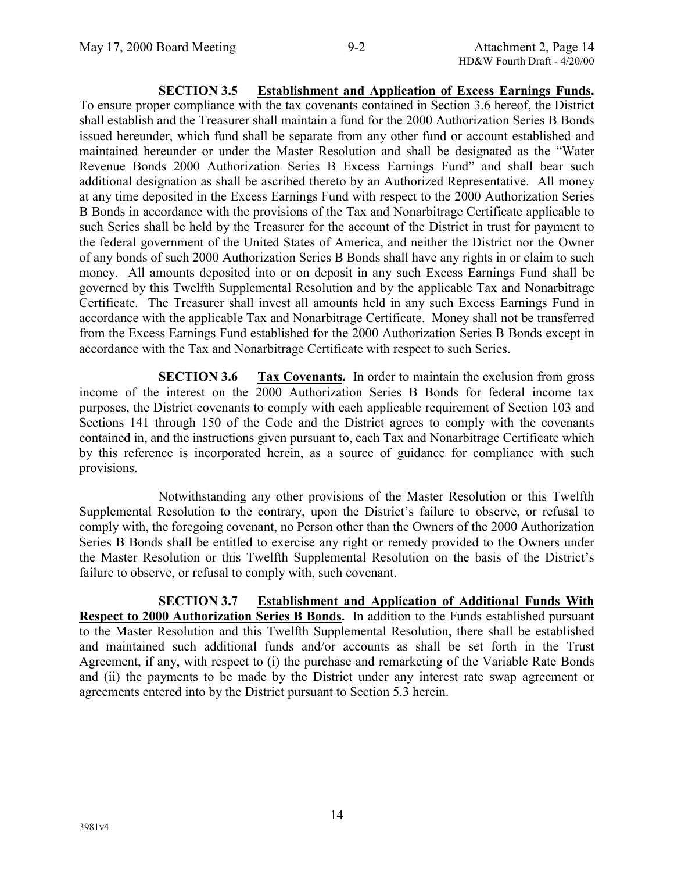**SECTION 3.5 Establishment and Application of Excess Earnings Funds.** To ensure proper compliance with the tax covenants contained in Section 3.6 hereof, the District shall establish and the Treasurer shall maintain a fund for the 2000 Authorization Series B Bonds issued hereunder, which fund shall be separate from any other fund or account established and maintained hereunder or under the Master Resolution and shall be designated as the "Water Revenue Bonds 2000 Authorization Series B Excess Earnings Fund" and shall bear such additional designation as shall be ascribed thereto by an Authorized Representative. All money at any time deposited in the Excess Earnings Fund with respect to the 2000 Authorization Series B Bonds in accordance with the provisions of the Tax and Nonarbitrage Certificate applicable to such Series shall be held by the Treasurer for the account of the District in trust for payment to the federal government of the United States of America, and neither the District nor the Owner of any bonds of such 2000 Authorization Series B Bonds shall have any rights in or claim to such money. All amounts deposited into or on deposit in any such Excess Earnings Fund shall be governed by this Twelfth Supplemental Resolution and by the applicable Tax and Nonarbitrage Certificate. The Treasurer shall invest all amounts held in any such Excess Earnings Fund in accordance with the applicable Tax and Nonarbitrage Certificate. Money shall not be transferred from the Excess Earnings Fund established for the 2000 Authorization Series B Bonds except in accordance with the Tax and Nonarbitrage Certificate with respect to such Series.

**SECTION 3.6 Tax Covenants.** In order to maintain the exclusion from gross income of the interest on the 2000 Authorization Series B Bonds for federal income tax purposes, the District covenants to comply with each applicable requirement of Section 103 and Sections 141 through 150 of the Code and the District agrees to comply with the covenants contained in, and the instructions given pursuant to, each Tax and Nonarbitrage Certificate which by this reference is incorporated herein, as a source of guidance for compliance with such provisions.

Notwithstanding any other provisions of the Master Resolution or this Twelfth Supplemental Resolution to the contrary, upon the District's failure to observe, or refusal to comply with, the foregoing covenant, no Person other than the Owners of the 2000 Authorization Series B Bonds shall be entitled to exercise any right or remedy provided to the Owners under the Master Resolution or this Twelfth Supplemental Resolution on the basis of the District's failure to observe, or refusal to comply with, such covenant.

**SECTION 3.7 Establishment and Application of Additional Funds With Respect to 2000 Authorization Series B Bonds.** In addition to the Funds established pursuant to the Master Resolution and this Twelfth Supplemental Resolution, there shall be established and maintained such additional funds and/or accounts as shall be set forth in the Trust Agreement, if any, with respect to (i) the purchase and remarketing of the Variable Rate Bonds and (ii) the payments to be made by the District under any interest rate swap agreement or agreements entered into by the District pursuant to Section 5.3 herein.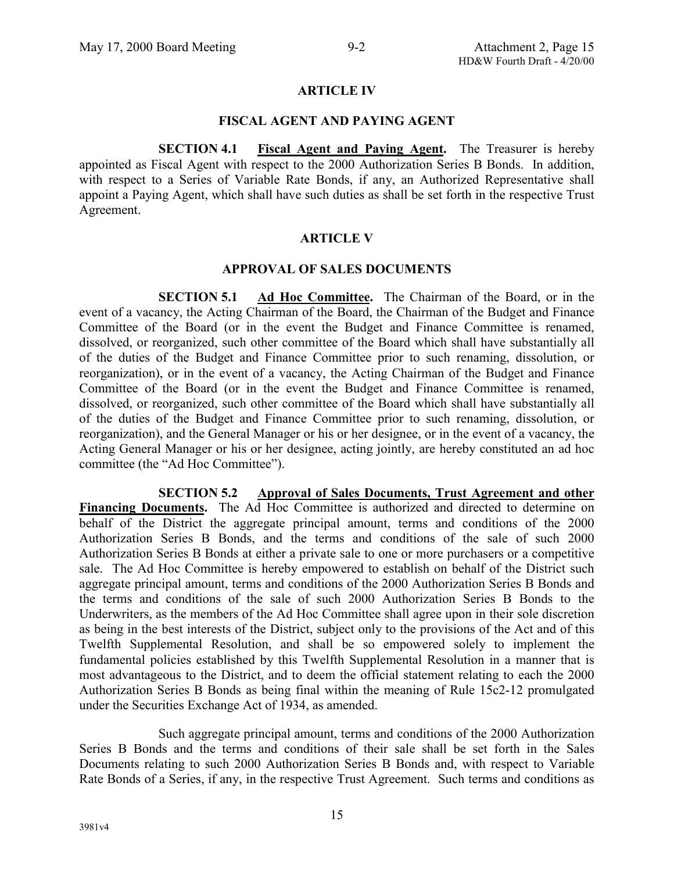#### **ARTICLE IV**

#### **FISCAL AGENT AND PAYING AGENT**

**SECTION 4.1 Fiscal Agent and Paying Agent.** The Treasurer is hereby appointed as Fiscal Agent with respect to the 2000 Authorization Series B Bonds. In addition, with respect to a Series of Variable Rate Bonds, if any, an Authorized Representative shall appoint a Paying Agent, which shall have such duties as shall be set forth in the respective Trust Agreement.

#### **ARTICLE V**

#### **APPROVAL OF SALES DOCUMENTS**

**SECTION 5.1 Ad Hoc Committee.** The Chairman of the Board, or in the event of a vacancy, the Acting Chairman of the Board, the Chairman of the Budget and Finance Committee of the Board (or in the event the Budget and Finance Committee is renamed, dissolved, or reorganized, such other committee of the Board which shall have substantially all of the duties of the Budget and Finance Committee prior to such renaming, dissolution, or reorganization), or in the event of a vacancy, the Acting Chairman of the Budget and Finance Committee of the Board (or in the event the Budget and Finance Committee is renamed, dissolved, or reorganized, such other committee of the Board which shall have substantially all of the duties of the Budget and Finance Committee prior to such renaming, dissolution, or reorganization), and the General Manager or his or her designee, or in the event of a vacancy, the Acting General Manager or his or her designee, acting jointly, are hereby constituted an ad hoc committee (the "Ad Hoc Committee").

**SECTION 5.2 Approval of Sales Documents, Trust Agreement and other** Financing Documents. The Ad Hoc Committee is authorized and directed to determine on behalf of the District the aggregate principal amount, terms and conditions of the 2000 Authorization Series B Bonds, and the terms and conditions of the sale of such 2000 Authorization Series B Bonds at either a private sale to one or more purchasers or a competitive sale. The Ad Hoc Committee is hereby empowered to establish on behalf of the District such aggregate principal amount, terms and conditions of the 2000 Authorization Series B Bonds and the terms and conditions of the sale of such 2000 Authorization Series B Bonds to the Underwriters, as the members of the Ad Hoc Committee shall agree upon in their sole discretion as being in the best interests of the District, subject only to the provisions of the Act and of this Twelfth Supplemental Resolution, and shall be so empowered solely to implement the fundamental policies established by this Twelfth Supplemental Resolution in a manner that is most advantageous to the District, and to deem the official statement relating to each the 2000 Authorization Series B Bonds as being final within the meaning of Rule 15c2-12 promulgated under the Securities Exchange Act of 1934, as amended.

Such aggregate principal amount, terms and conditions of the 2000 Authorization Series B Bonds and the terms and conditions of their sale shall be set forth in the Sales Documents relating to such 2000 Authorization Series B Bonds and, with respect to Variable Rate Bonds of a Series, if any, in the respective Trust Agreement. Such terms and conditions as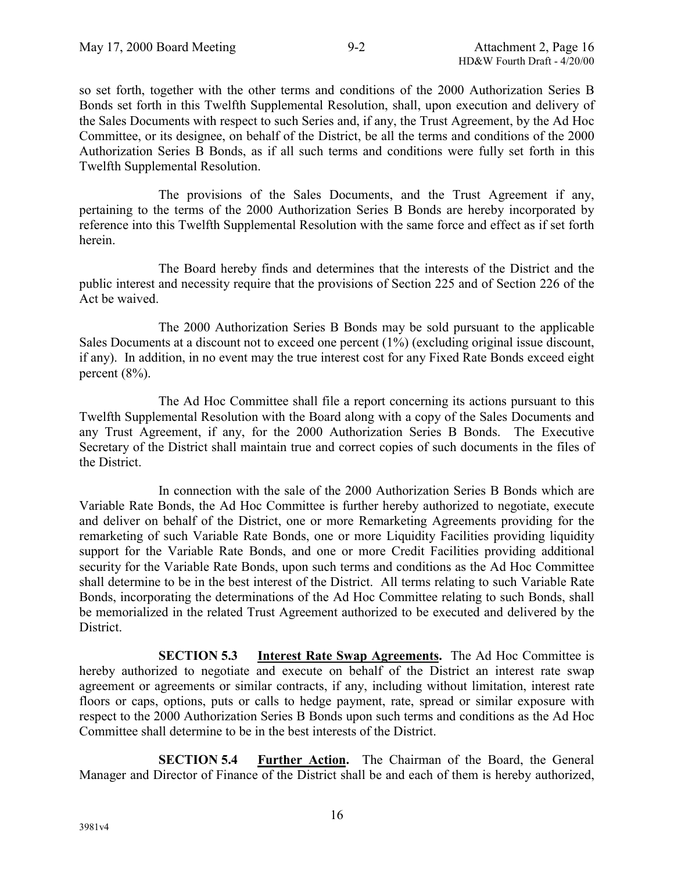so set forth, together with the other terms and conditions of the 2000 Authorization Series B Bonds set forth in this Twelfth Supplemental Resolution, shall, upon execution and delivery of the Sales Documents with respect to such Series and, if any, the Trust Agreement, by the Ad Hoc Committee, or its designee, on behalf of the District, be all the terms and conditions of the 2000 Authorization Series B Bonds, as if all such terms and conditions were fully set forth in this Twelfth Supplemental Resolution.

The provisions of the Sales Documents, and the Trust Agreement if any, pertaining to the terms of the 2000 Authorization Series B Bonds are hereby incorporated by reference into this Twelfth Supplemental Resolution with the same force and effect as if set forth herein.

The Board hereby finds and determines that the interests of the District and the public interest and necessity require that the provisions of Section 225 and of Section 226 of the Act be waived.

The 2000 Authorization Series B Bonds may be sold pursuant to the applicable Sales Documents at a discount not to exceed one percent (1%) (excluding original issue discount, if any). In addition, in no event may the true interest cost for any Fixed Rate Bonds exceed eight percent  $(8\%)$ .

The Ad Hoc Committee shall file a report concerning its actions pursuant to this Twelfth Supplemental Resolution with the Board along with a copy of the Sales Documents and any Trust Agreement, if any, for the 2000 Authorization Series B Bonds. The Executive Secretary of the District shall maintain true and correct copies of such documents in the files of the District.

In connection with the sale of the 2000 Authorization Series B Bonds which are Variable Rate Bonds, the Ad Hoc Committee is further hereby authorized to negotiate, execute and deliver on behalf of the District, one or more Remarketing Agreements providing for the remarketing of such Variable Rate Bonds, one or more Liquidity Facilities providing liquidity support for the Variable Rate Bonds, and one or more Credit Facilities providing additional security for the Variable Rate Bonds, upon such terms and conditions as the Ad Hoc Committee shall determine to be in the best interest of the District. All terms relating to such Variable Rate Bonds, incorporating the determinations of the Ad Hoc Committee relating to such Bonds, shall be memorialized in the related Trust Agreement authorized to be executed and delivered by the District.

**SECTION 5.3 Interest Rate Swap Agreements.** The Ad Hoc Committee is hereby authorized to negotiate and execute on behalf of the District an interest rate swap agreement or agreements or similar contracts, if any, including without limitation, interest rate floors or caps, options, puts or calls to hedge payment, rate, spread or similar exposure with respect to the 2000 Authorization Series B Bonds upon such terms and conditions as the Ad Hoc Committee shall determine to be in the best interests of the District.

**SECTION 5.4 Further Action.** The Chairman of the Board, the General Manager and Director of Finance of the District shall be and each of them is hereby authorized,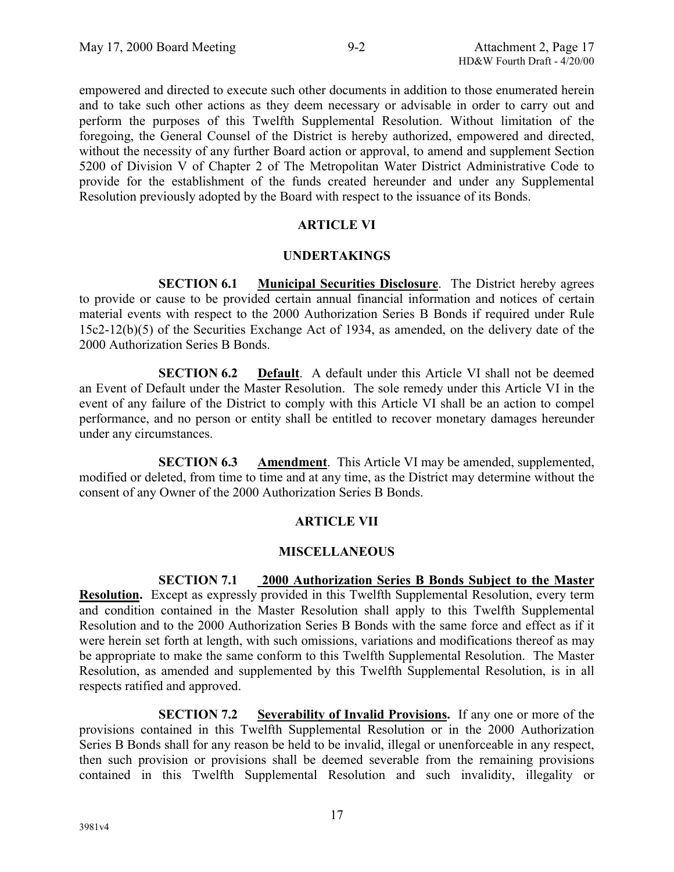empowered and directed to execute such other documents in addition to those enumerated herein and to take such other actions as they deem necessary or advisable in order to carry out and perform the purposes of this Twelfth Supplemental Resolution. Without limitation of the foregoing, the General Counsel of the District is hereby authorized, empowered and directed, without the necessity of any further Board action or approval, to amend and supplement Section 5200 of Division V of Chapter 2 of The Metropolitan Water District Administrative Code to provide for the establishment of the funds created hereunder and under any Supplemental Resolution previously adopted by the Board with respect to the issuance of its Bonds.

# **ARTICLE VI**

# **UNDERTAKINGS**

**SECTION 6.1 Municipal Securities Disclosure**. The District hereby agrees to provide or cause to be provided certain annual financial information and notices of certain material events with respect to the 2000 Authorization Series B Bonds if required under Rule 15c2-12(b)(5) of the Securities Exchange Act of 1934, as amended, on the delivery date of the 2000 Authorization Series B Bonds.

**SECTION 6.2 Default**. A default under this Article VI shall not be deemed an Event of Default under the Master Resolution. The sole remedy under this Article VI in the event of any failure of the District to comply with this Article VI shall be an action to compel performance, and no person or entity shall be entitled to recover monetary damages hereunder under any circumstances.

**SECTION 6.3 Amendment**. This Article VI may be amended, supplemented, modified or deleted, from time to time and at any time, as the District may determine without the consent of any Owner of the 2000 Authorization Series B Bonds.

# **ARTICLE VII**

# **MISCELLANEOUS**

# **SECTION 7.1 2000 Authorization Series B Bonds Subject to the Master**

**Resolution.** Except as expressly provided in this Twelfth Supplemental Resolution, every term and condition contained in the Master Resolution shall apply to this Twelfth Supplemental Resolution and to the 2000 Authorization Series B Bonds with the same force and effect as if it were herein set forth at length, with such omissions, variations and modifications thereof as may be appropriate to make the same conform to this Twelfth Supplemental Resolution. The Master Resolution, as amended and supplemented by this Twelfth Supplemental Resolution, is in all respects ratified and approved.

**SECTION 7.2 Severability of Invalid Provisions.** If any one or more of the provisions contained in this Twelfth Supplemental Resolution or in the 2000 Authorization Series B Bonds shall for any reason be held to be invalid, illegal or unenforceable in any respect, then such provision or provisions shall be deemed severable from the remaining provisions contained in this Twelfth Supplemental Resolution and such invalidity, illegality or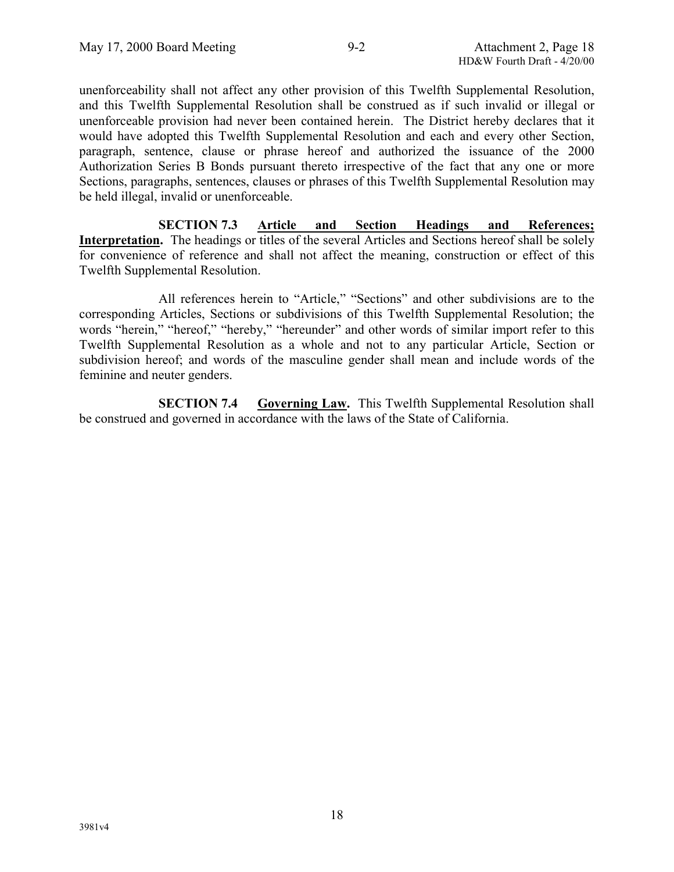unenforceability shall not affect any other provision of this Twelfth Supplemental Resolution, and this Twelfth Supplemental Resolution shall be construed as if such invalid or illegal or unenforceable provision had never been contained herein. The District hereby declares that it would have adopted this Twelfth Supplemental Resolution and each and every other Section, paragraph, sentence, clause or phrase hereof and authorized the issuance of the 2000 Authorization Series B Bonds pursuant thereto irrespective of the fact that any one or more Sections, paragraphs, sentences, clauses or phrases of this Twelfth Supplemental Resolution may be held illegal, invalid or unenforceable.

**SECTION 7.3 Article and Section Headings and References; Interpretation.** The headings or titles of the several Articles and Sections hereof shall be solely for convenience of reference and shall not affect the meaning, construction or effect of this Twelfth Supplemental Resolution.

All references herein to "Article," "Sections" and other subdivisions are to the corresponding Articles, Sections or subdivisions of this Twelfth Supplemental Resolution; the words "herein," "hereof," "hereby," "hereunder" and other words of similar import refer to this Twelfth Supplemental Resolution as a whole and not to any particular Article, Section or subdivision hereof; and words of the masculine gender shall mean and include words of the feminine and neuter genders.

**SECTION 7.4 Governing Law.** This Twelfth Supplemental Resolution shall be construed and governed in accordance with the laws of the State of California.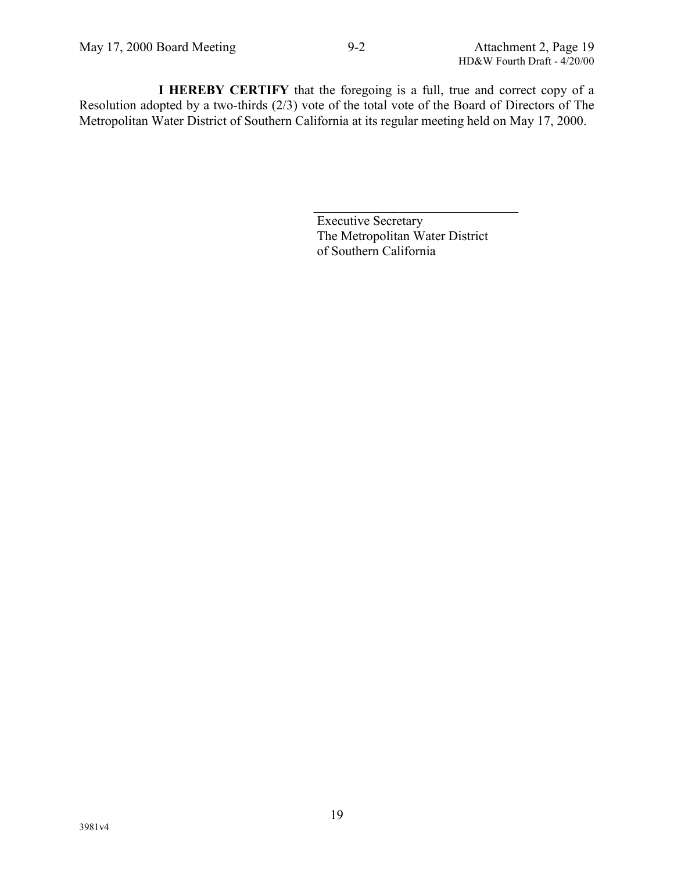**I HEREBY CERTIFY** that the foregoing is a full, true and correct copy of a Resolution adopted by a two-thirds (2/3) vote of the total vote of the Board of Directors of The Metropolitan Water District of Southern California at its regular meeting held on May 17, 2000.

> Executive Secretary The Metropolitan Water District of Southern California

 $\mathcal{L}_\text{max}$  , where  $\mathcal{L}_\text{max}$  and  $\mathcal{L}_\text{max}$  and  $\mathcal{L}_\text{max}$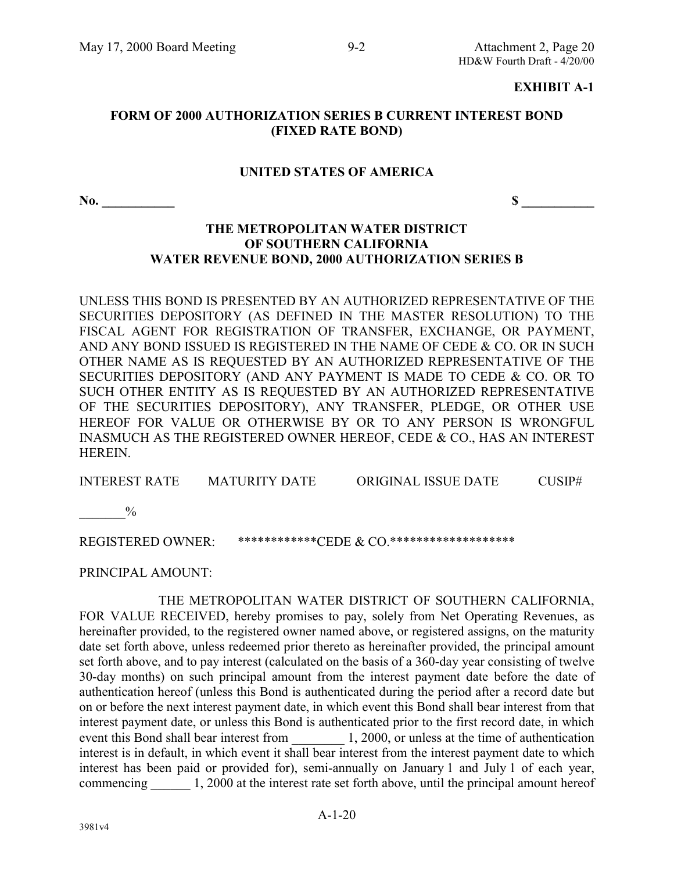#### **EXHIBIT A-1**

#### **FORM OF 2000 AUTHORIZATION SERIES B CURRENT INTEREST BOND (FIXED RATE BOND)**

#### **UNITED STATES OF AMERICA**

**No.**  $\frac{\ }{s}$ 

### **THE METROPOLITAN WATER DISTRICT OF SOUTHERN CALIFORNIA WATER REVENUE BOND, 2000 AUTHORIZATION SERIES B**

UNLESS THIS BOND IS PRESENTED BY AN AUTHORIZED REPRESENTATIVE OF THE SECURITIES DEPOSITORY (AS DEFINED IN THE MASTER RESOLUTION) TO THE FISCAL AGENT FOR REGISTRATION OF TRANSFER, EXCHANGE, OR PAYMENT, AND ANY BOND ISSUED IS REGISTERED IN THE NAME OF CEDE & CO. OR IN SUCH OTHER NAME AS IS REQUESTED BY AN AUTHORIZED REPRESENTATIVE OF THE SECURITIES DEPOSITORY (AND ANY PAYMENT IS MADE TO CEDE & CO. OR TO SUCH OTHER ENTITY AS IS REQUESTED BY AN AUTHORIZED REPRESENTATIVE OF THE SECURITIES DEPOSITORY), ANY TRANSFER, PLEDGE, OR OTHER USE HEREOF FOR VALUE OR OTHERWISE BY OR TO ANY PERSON IS WRONGFUL INASMUCH AS THE REGISTERED OWNER HEREOF, CEDE & CO., HAS AN INTEREST HEREIN.

INTEREST RATE MATURITY DATE ORIGINAL ISSUE DATE CUSIP#

 $^{0}/_{0}$ 

REGISTERED OWNER: \*\*\*\*\*\*\*\*\*\*\*\*CEDE & CO.\*\*\*\*\*\*\*\*\*\*\*\*\*\*\*\*\*\*\*\*

PRINCIPAL AMOUNT:

THE METROPOLITAN WATER DISTRICT OF SOUTHERN CALIFORNIA, FOR VALUE RECEIVED, hereby promises to pay, solely from Net Operating Revenues, as hereinafter provided, to the registered owner named above, or registered assigns, on the maturity date set forth above, unless redeemed prior thereto as hereinafter provided, the principal amount set forth above, and to pay interest (calculated on the basis of a 360-day year consisting of twelve 30-day months) on such principal amount from the interest payment date before the date of authentication hereof (unless this Bond is authenticated during the period after a record date but on or before the next interest payment date, in which event this Bond shall bear interest from that interest payment date, or unless this Bond is authenticated prior to the first record date, in which event this Bond shall bear interest from 1, 2000, or unless at the time of authentication interest is in default, in which event it shall bear interest from the interest payment date to which interest has been paid or provided for), semi-annually on January 1 and July 1 of each year, commencing 1, 2000 at the interest rate set forth above, until the principal amount hereof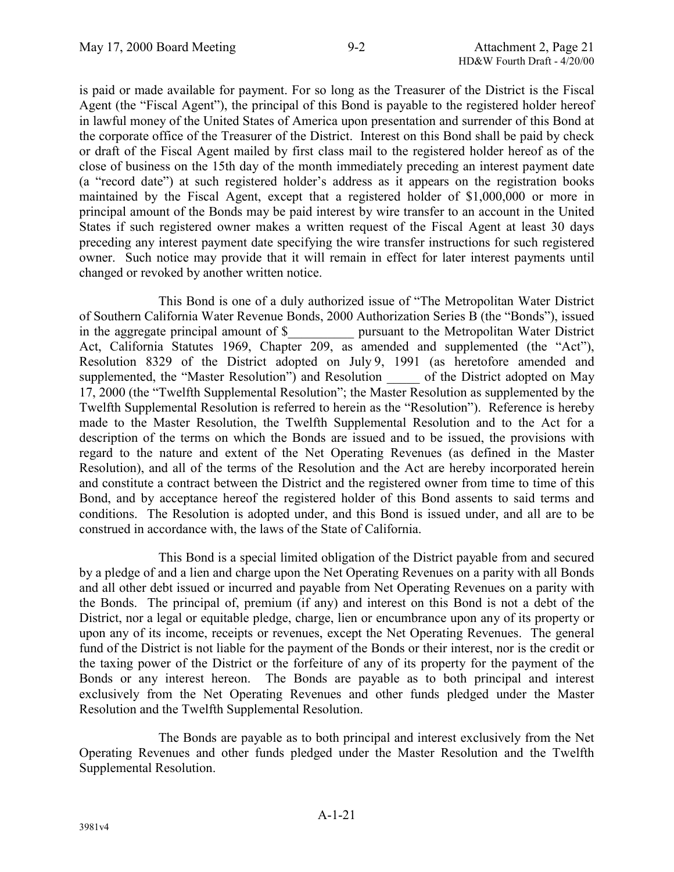is paid or made available for payment. For so long as the Treasurer of the District is the Fiscal Agent (the "Fiscal Agent"), the principal of this Bond is payable to the registered holder hereof in lawful money of the United States of America upon presentation and surrender of this Bond at the corporate office of the Treasurer of the District. Interest on this Bond shall be paid by check or draft of the Fiscal Agent mailed by first class mail to the registered holder hereof as of the close of business on the 15th day of the month immediately preceding an interest payment date (a "record date") at such registered holder's address as it appears on the registration books maintained by the Fiscal Agent, except that a registered holder of \$1,000,000 or more in principal amount of the Bonds may be paid interest by wire transfer to an account in the United States if such registered owner makes a written request of the Fiscal Agent at least 30 days preceding any interest payment date specifying the wire transfer instructions for such registered owner. Such notice may provide that it will remain in effect for later interest payments until changed or revoked by another written notice.

This Bond is one of a duly authorized issue of "The Metropolitan Water District of Southern California Water Revenue Bonds, 2000 Authorization Series B (the "Bonds"), issued in the aggregate principal amount of \$\_\_\_\_\_\_\_\_\_\_ pursuant to the Metropolitan Water District Act, California Statutes 1969, Chapter 209, as amended and supplemented (the "Act"), Resolution 8329 of the District adopted on July 9, 1991 (as heretofore amended and supplemented, the "Master Resolution") and Resolution \_\_\_\_\_ of the District adopted on May 17, 2000 (the "Twelfth Supplemental Resolution"; the Master Resolution as supplemented by the Twelfth Supplemental Resolution is referred to herein as the "Resolution"). Reference is hereby made to the Master Resolution, the Twelfth Supplemental Resolution and to the Act for a description of the terms on which the Bonds are issued and to be issued, the provisions with regard to the nature and extent of the Net Operating Revenues (as defined in the Master Resolution), and all of the terms of the Resolution and the Act are hereby incorporated herein and constitute a contract between the District and the registered owner from time to time of this Bond, and by acceptance hereof the registered holder of this Bond assents to said terms and conditions. The Resolution is adopted under, and this Bond is issued under, and all are to be construed in accordance with, the laws of the State of California.

This Bond is a special limited obligation of the District payable from and secured by a pledge of and a lien and charge upon the Net Operating Revenues on a parity with all Bonds and all other debt issued or incurred and payable from Net Operating Revenues on a parity with the Bonds. The principal of, premium (if any) and interest on this Bond is not a debt of the District, nor a legal or equitable pledge, charge, lien or encumbrance upon any of its property or upon any of its income, receipts or revenues, except the Net Operating Revenues. The general fund of the District is not liable for the payment of the Bonds or their interest, nor is the credit or the taxing power of the District or the forfeiture of any of its property for the payment of the Bonds or any interest hereon. The Bonds are payable as to both principal and interest exclusively from the Net Operating Revenues and other funds pledged under the Master Resolution and the Twelfth Supplemental Resolution.

The Bonds are payable as to both principal and interest exclusively from the Net Operating Revenues and other funds pledged under the Master Resolution and the Twelfth Supplemental Resolution.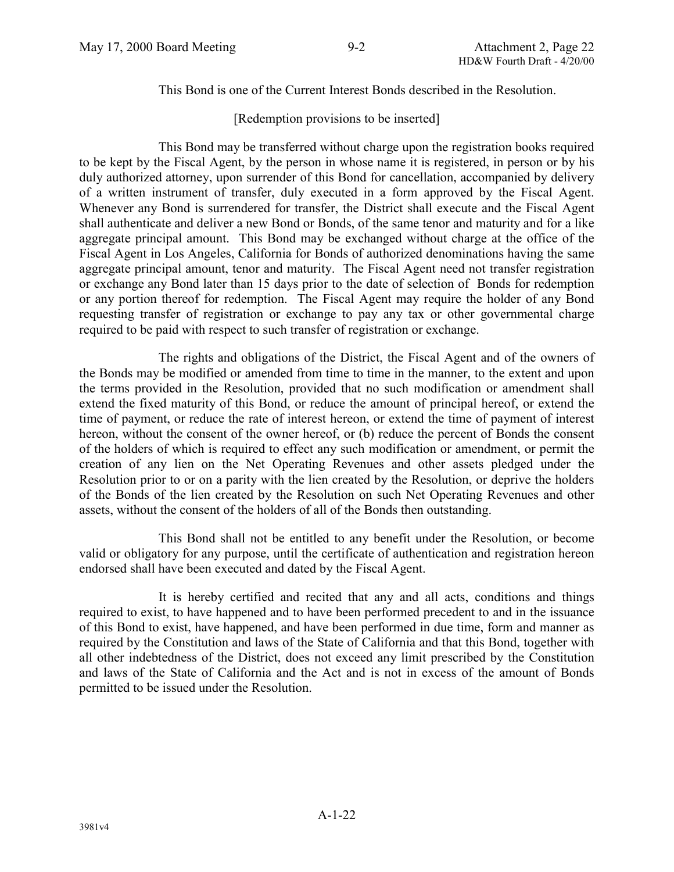This Bond is one of the Current Interest Bonds described in the Resolution.

[Redemption provisions to be inserted]

This Bond may be transferred without charge upon the registration books required to be kept by the Fiscal Agent, by the person in whose name it is registered, in person or by his duly authorized attorney, upon surrender of this Bond for cancellation, accompanied by delivery of a written instrument of transfer, duly executed in a form approved by the Fiscal Agent. Whenever any Bond is surrendered for transfer, the District shall execute and the Fiscal Agent shall authenticate and deliver a new Bond or Bonds, of the same tenor and maturity and for a like aggregate principal amount. This Bond may be exchanged without charge at the office of the Fiscal Agent in Los Angeles, California for Bonds of authorized denominations having the same aggregate principal amount, tenor and maturity. The Fiscal Agent need not transfer registration or exchange any Bond later than 15 days prior to the date of selection of Bonds for redemption or any portion thereof for redemption. The Fiscal Agent may require the holder of any Bond requesting transfer of registration or exchange to pay any tax or other governmental charge required to be paid with respect to such transfer of registration or exchange.

The rights and obligations of the District, the Fiscal Agent and of the owners of the Bonds may be modified or amended from time to time in the manner, to the extent and upon the terms provided in the Resolution, provided that no such modification or amendment shall extend the fixed maturity of this Bond, or reduce the amount of principal hereof, or extend the time of payment, or reduce the rate of interest hereon, or extend the time of payment of interest hereon, without the consent of the owner hereof, or (b) reduce the percent of Bonds the consent of the holders of which is required to effect any such modification or amendment, or permit the creation of any lien on the Net Operating Revenues and other assets pledged under the Resolution prior to or on a parity with the lien created by the Resolution, or deprive the holders of the Bonds of the lien created by the Resolution on such Net Operating Revenues and other assets, without the consent of the holders of all of the Bonds then outstanding.

This Bond shall not be entitled to any benefit under the Resolution, or become valid or obligatory for any purpose, until the certificate of authentication and registration hereon endorsed shall have been executed and dated by the Fiscal Agent.

It is hereby certified and recited that any and all acts, conditions and things required to exist, to have happened and to have been performed precedent to and in the issuance of this Bond to exist, have happened, and have been performed in due time, form and manner as required by the Constitution and laws of the State of California and that this Bond, together with all other indebtedness of the District, does not exceed any limit prescribed by the Constitution and laws of the State of California and the Act and is not in excess of the amount of Bonds permitted to be issued under the Resolution.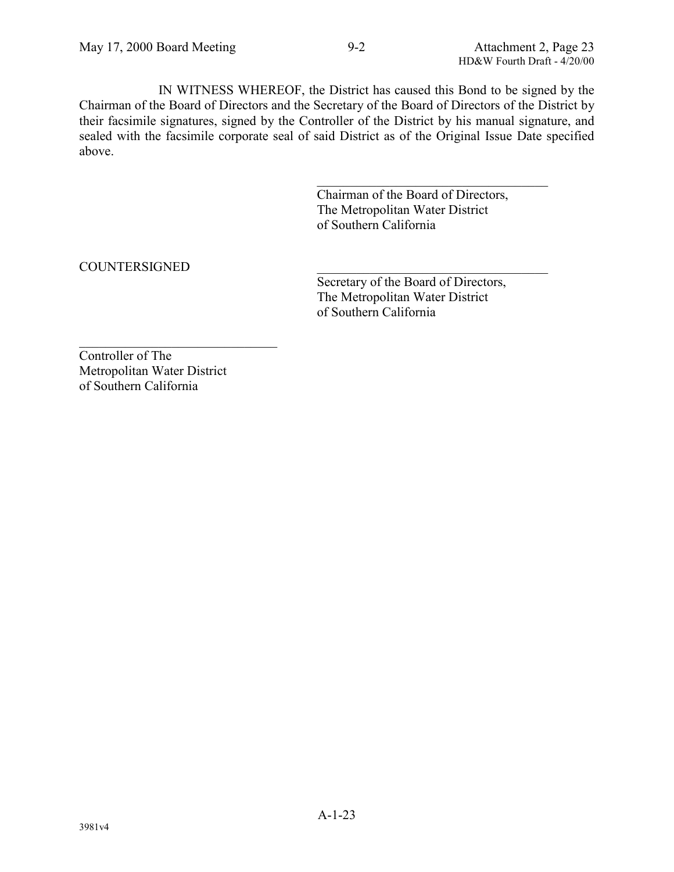IN WITNESS WHEREOF, the District has caused this Bond to be signed by the Chairman of the Board of Directors and the Secretary of the Board of Directors of the District by their facsimile signatures, signed by the Controller of the District by his manual signature, and sealed with the facsimile corporate seal of said District as of the Original Issue Date specified above.

> Chairman of the Board of Directors, The Metropolitan Water District of Southern California

 $\mathcal{L}_\text{max}$  , where  $\mathcal{L}_\text{max}$  and  $\mathcal{L}_\text{max}$  and  $\mathcal{L}_\text{max}$ 

# COUNTERSIGNED \_\_\_\_\_\_\_\_\_\_\_\_\_\_\_\_\_\_\_\_\_\_\_\_\_\_\_\_\_\_\_\_\_\_\_

Secretary of the Board of Directors, The Metropolitan Water District of Southern California

Controller of The Metropolitan Water District of Southern California

 $\mathcal{L}_\text{max}$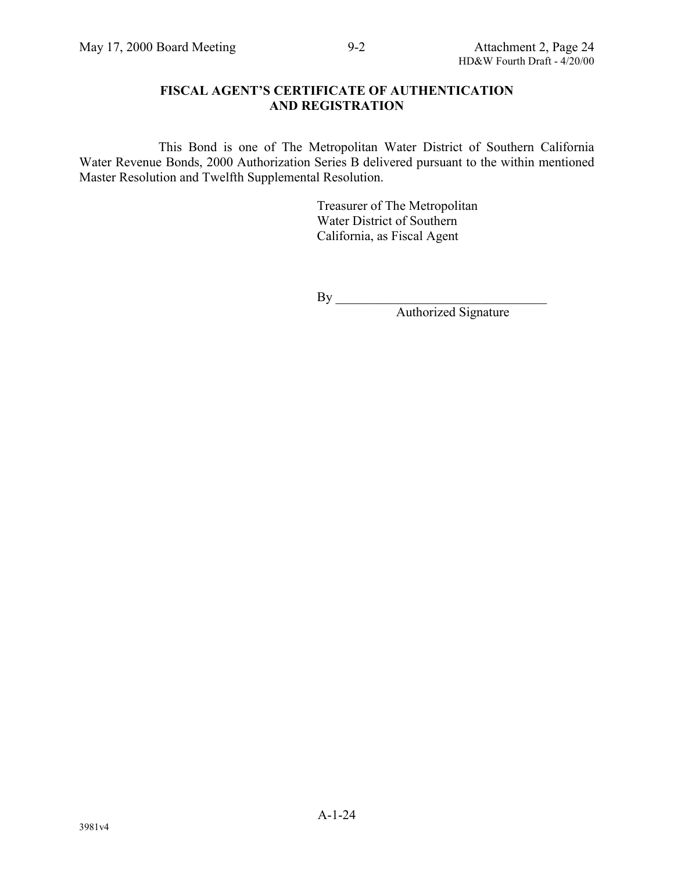#### **FISCAL AGENT'S CERTIFICATE OF AUTHENTICATION AND REGISTRATION**

This Bond is one of The Metropolitan Water District of Southern California Water Revenue Bonds, 2000 Authorization Series B delivered pursuant to the within mentioned Master Resolution and Twelfth Supplemental Resolution.

> Treasurer of The Metropolitan Water District of Southern California, as Fiscal Agent

 $By \_\_$ 

Authorized Signature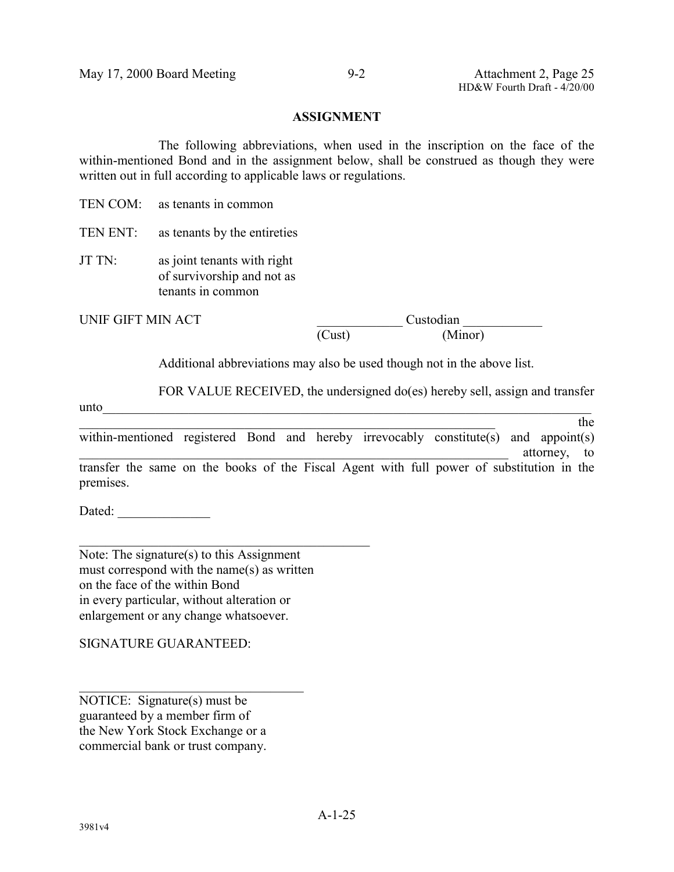#### **ASSIGNMENT**

The following abbreviations, when used in the inscription on the face of the within-mentioned Bond and in the assignment below, shall be construed as though they were written out in full according to applicable laws or regulations.

TEN COM<sup>-</sup> as tenants in common

TEN ENT: as tenants by the entireties

JT TN: as joint tenants with right of survivorship and not as tenants in common

UNIF GIFT MIN ACT Custodian (Cust) (Minor)

Additional abbreviations may also be used though not in the above list.

FOR VALUE RECEIVED, the undersigned do(es) hereby sell, assign and transfer

 $u$ nto  $\overline{\phantom{a}}$  $\Delta$  the state of the state of the state of the state of the state of the state of the state of the state of the state of the state of the state of the state of the state of the state of the state of the state of the stat within-mentioned registered Bond and hereby irrevocably constitute(s) and appoint(s) attorney, to

transfer the same on the books of the Fiscal Agent with full power of substitution in the premises.

Dated:

Note: The signature(s) to this Assignment must correspond with the name(s) as written on the face of the within Bond in every particular, without alteration or enlargement or any change whatsoever.

 $\mathcal{L}_\text{max}$  , and the set of the set of the set of the set of the set of the set of the set of the set of the set of the set of the set of the set of the set of the set of the set of the set of the set of the set of the

SIGNATURE GUARANTEED:

NOTICE: Signature(s) must be guaranteed by a member firm of the New York Stock Exchange or a commercial bank or trust company.

 $\mathcal{L}_\text{max}$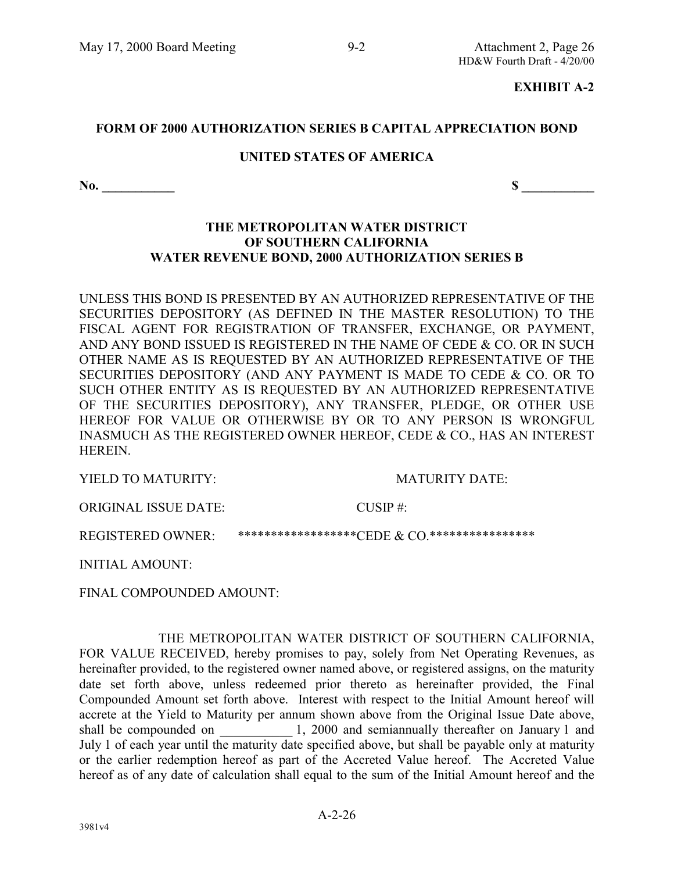#### **EXHIBIT A-2**

#### **FORM OF 2000 AUTHORIZATION SERIES B CAPITAL APPRECIATION BOND**

#### **UNITED STATES OF AMERICA**

**No. \_\_\_\_\_\_\_\_\_\_\_ \$ \_\_\_\_\_\_\_\_\_\_\_**

#### **THE METROPOLITAN WATER DISTRICT OF SOUTHERN CALIFORNIA WATER REVENUE BOND, 2000 AUTHORIZATION SERIES B**

UNLESS THIS BOND IS PRESENTED BY AN AUTHORIZED REPRESENTATIVE OF THE SECURITIES DEPOSITORY (AS DEFINED IN THE MASTER RESOLUTION) TO THE FISCAL AGENT FOR REGISTRATION OF TRANSFER, EXCHANGE, OR PAYMENT, AND ANY BOND ISSUED IS REGISTERED IN THE NAME OF CEDE & CO. OR IN SUCH OTHER NAME AS IS REQUESTED BY AN AUTHORIZED REPRESENTATIVE OF THE SECURITIES DEPOSITORY (AND ANY PAYMENT IS MADE TO CEDE & CO. OR TO SUCH OTHER ENTITY AS IS REQUESTED BY AN AUTHORIZED REPRESENTATIVE OF THE SECURITIES DEPOSITORY), ANY TRANSFER, PLEDGE, OR OTHER USE HEREOF FOR VALUE OR OTHERWISE BY OR TO ANY PERSON IS WRONGFUL INASMUCH AS THE REGISTERED OWNER HEREOF, CEDE & CO., HAS AN INTEREST **HEREIN** 

YIELD TO MATURITY: MATURITY DATE:

ORIGINAL ISSUE DATE: CUSIP #:

REGISTERED OWNER: \*\*\*\*\*\*\*\*\*\*\*\*\*\*\*\*\*\*CEDE & CO.\*\*\*\*\*\*\*\*\*\*\*\*\*\*\*\*\*

INITIAL AMOUNT:

FINAL COMPOUNDED AMOUNT:

THE METROPOLITAN WATER DISTRICT OF SOUTHERN CALIFORNIA, FOR VALUE RECEIVED, hereby promises to pay, solely from Net Operating Revenues, as hereinafter provided, to the registered owner named above, or registered assigns, on the maturity date set forth above, unless redeemed prior thereto as hereinafter provided, the Final Compounded Amount set forth above. Interest with respect to the Initial Amount hereof will accrete at the Yield to Maturity per annum shown above from the Original Issue Date above, shall be compounded on \_\_\_\_\_\_\_\_\_\_\_ 1, 2000 and semiannually thereafter on January 1 and July 1 of each year until the maturity date specified above, but shall be payable only at maturity or the earlier redemption hereof as part of the Accreted Value hereof. The Accreted Value hereof as of any date of calculation shall equal to the sum of the Initial Amount hereof and the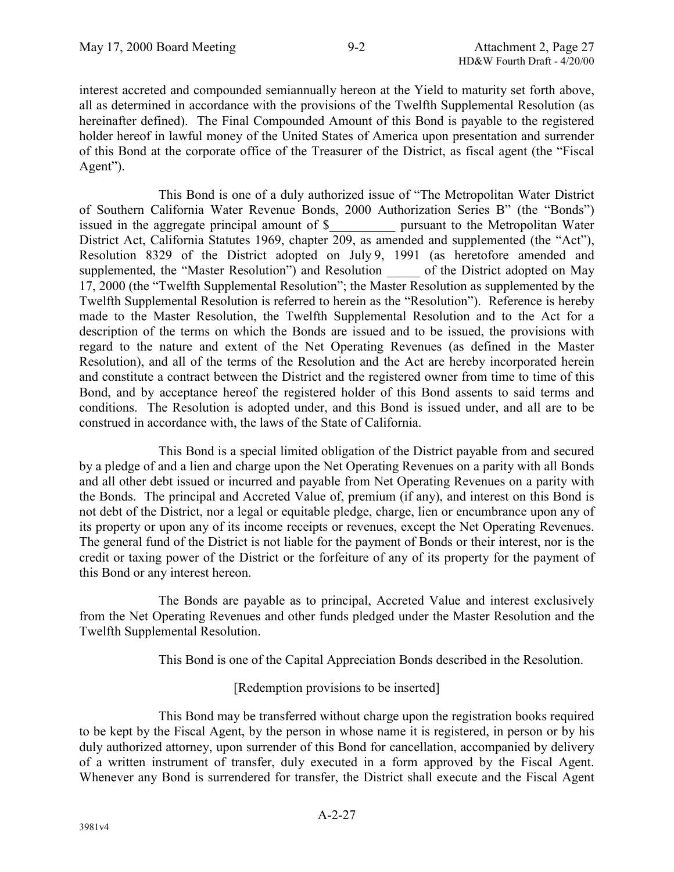interest accreted and compounded semiannually hereon at the Yield to maturity set forth above, all as determined in accordance with the provisions of the Twelfth Supplemental Resolution (as hereinafter defined). The Final Compounded Amount of this Bond is payable to the registered holder hereof in lawful money of the United States of America upon presentation and surrender of this Bond at the corporate office of the Treasurer of the District, as fiscal agent (the "Fiscal Agent").

This Bond is one of a duly authorized issue of "The Metropolitan Water District of Southern California Water Revenue Bonds, 2000 Authorization Series B" (the "Bonds") issued in the aggregate principal amount of \$ pursuant to the Metropolitan Water District Act, California Statutes 1969, chapter 209, as amended and supplemented (the "Act"), Resolution 8329 of the District adopted on July 9, 1991 (as heretofore amended and supplemented, the "Master Resolution") and Resolution \_\_\_\_\_ of the District adopted on May 17, 2000 (the "Twelfth Supplemental Resolution"; the Master Resolution as supplemented by the Twelfth Supplemental Resolution is referred to herein as the "Resolution"). Reference is hereby made to the Master Resolution, the Twelfth Supplemental Resolution and to the Act for a description of the terms on which the Bonds are issued and to be issued, the provisions with regard to the nature and extent of the Net Operating Revenues (as defined in the Master Resolution), and all of the terms of the Resolution and the Act are hereby incorporated herein and constitute a contract between the District and the registered owner from time to time of this Bond, and by acceptance hereof the registered holder of this Bond assents to said terms and conditions. The Resolution is adopted under, and this Bond is issued under, and all are to be construed in accordance with, the laws of the State of California.

This Bond is a special limited obligation of the District payable from and secured by a pledge of and a lien and charge upon the Net Operating Revenues on a parity with all Bonds and all other debt issued or incurred and payable from Net Operating Revenues on a parity with the Bonds. The principal and Accreted Value of, premium (if any), and interest on this Bond is not debt of the District, nor a legal or equitable pledge, charge, lien or encumbrance upon any of its property or upon any of its income receipts or revenues, except the Net Operating Revenues. The general fund of the District is not liable for the payment of Bonds or their interest, nor is the credit or taxing power of the District or the forfeiture of any of its property for the payment of this Bond or any interest hereon.

The Bonds are payable as to principal, Accreted Value and interest exclusively from the Net Operating Revenues and other funds pledged under the Master Resolution and the Twelfth Supplemental Resolution.

This Bond is one of the Capital Appreciation Bonds described in the Resolution.

[Redemption provisions to be inserted]

This Bond may be transferred without charge upon the registration books required to be kept by the Fiscal Agent, by the person in whose name it is registered, in person or by his duly authorized attorney, upon surrender of this Bond for cancellation, accompanied by delivery of a written instrument of transfer, duly executed in a form approved by the Fiscal Agent. Whenever any Bond is surrendered for transfer, the District shall execute and the Fiscal Agent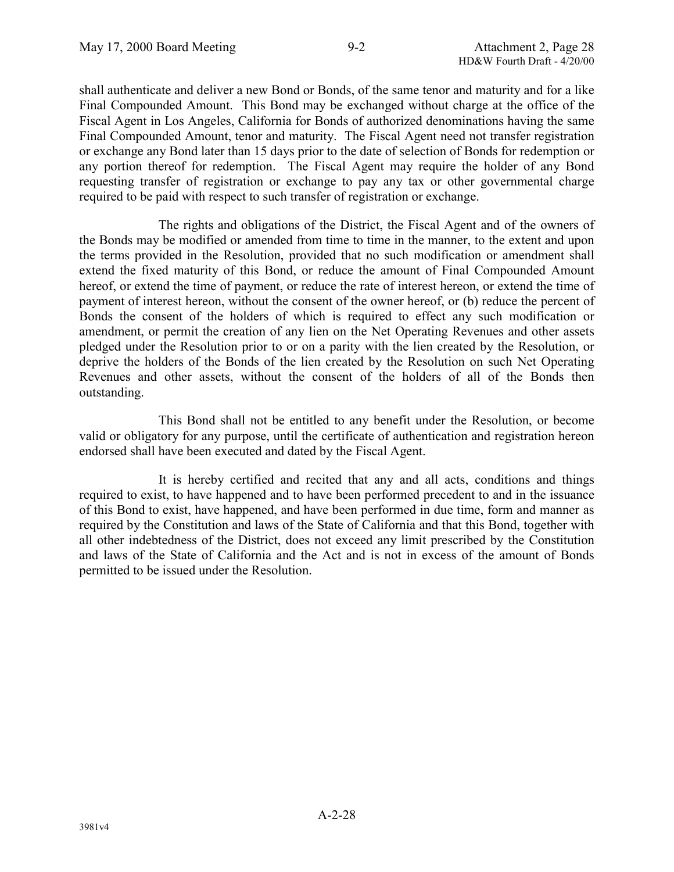shall authenticate and deliver a new Bond or Bonds, of the same tenor and maturity and for a like Final Compounded Amount. This Bond may be exchanged without charge at the office of the Fiscal Agent in Los Angeles, California for Bonds of authorized denominations having the same Final Compounded Amount, tenor and maturity. The Fiscal Agent need not transfer registration or exchange any Bond later than 15 days prior to the date of selection of Bonds for redemption or any portion thereof for redemption. The Fiscal Agent may require the holder of any Bond requesting transfer of registration or exchange to pay any tax or other governmental charge required to be paid with respect to such transfer of registration or exchange.

The rights and obligations of the District, the Fiscal Agent and of the owners of the Bonds may be modified or amended from time to time in the manner, to the extent and upon the terms provided in the Resolution, provided that no such modification or amendment shall extend the fixed maturity of this Bond, or reduce the amount of Final Compounded Amount hereof, or extend the time of payment, or reduce the rate of interest hereon, or extend the time of payment of interest hereon, without the consent of the owner hereof, or (b) reduce the percent of Bonds the consent of the holders of which is required to effect any such modification or amendment, or permit the creation of any lien on the Net Operating Revenues and other assets pledged under the Resolution prior to or on a parity with the lien created by the Resolution, or deprive the holders of the Bonds of the lien created by the Resolution on such Net Operating Revenues and other assets, without the consent of the holders of all of the Bonds then outstanding.

This Bond shall not be entitled to any benefit under the Resolution, or become valid or obligatory for any purpose, until the certificate of authentication and registration hereon endorsed shall have been executed and dated by the Fiscal Agent.

It is hereby certified and recited that any and all acts, conditions and things required to exist, to have happened and to have been performed precedent to and in the issuance of this Bond to exist, have happened, and have been performed in due time, form and manner as required by the Constitution and laws of the State of California and that this Bond, together with all other indebtedness of the District, does not exceed any limit prescribed by the Constitution and laws of the State of California and the Act and is not in excess of the amount of Bonds permitted to be issued under the Resolution.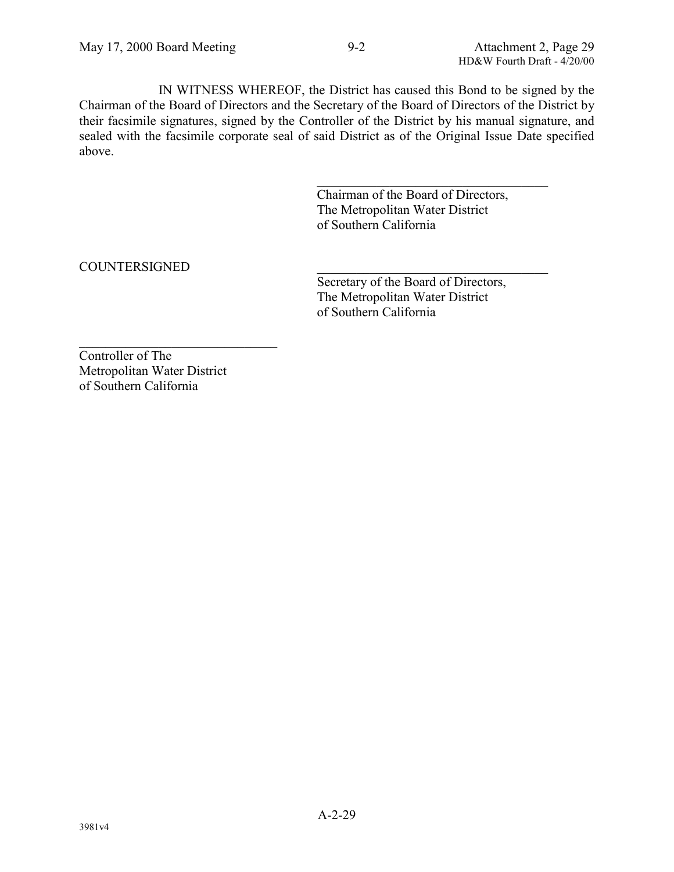IN WITNESS WHEREOF, the District has caused this Bond to be signed by the Chairman of the Board of Directors and the Secretary of the Board of Directors of the District by their facsimile signatures, signed by the Controller of the District by his manual signature, and sealed with the facsimile corporate seal of said District as of the Original Issue Date specified above.

> Chairman of the Board of Directors, The Metropolitan Water District of Southern California

 $\mathcal{L}_\text{max}$  , where  $\mathcal{L}_\text{max}$  and  $\mathcal{L}_\text{max}$  and  $\mathcal{L}_\text{max}$ 

# COUNTERSIGNED \_\_\_\_\_\_\_\_\_\_\_\_\_\_\_\_\_\_\_\_\_\_\_\_\_\_\_\_\_\_\_\_\_\_\_

Secretary of the Board of Directors, The Metropolitan Water District of Southern California

Controller of The Metropolitan Water District of Southern California

 $\mathcal{L}_\text{max}$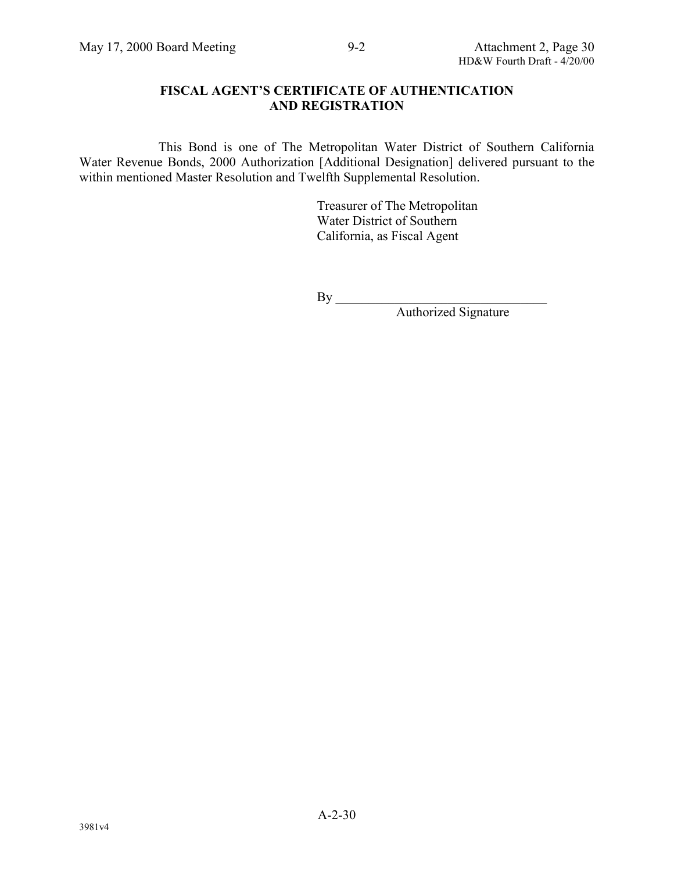#### **FISCAL AGENT'S CERTIFICATE OF AUTHENTICATION AND REGISTRATION**

This Bond is one of The Metropolitan Water District of Southern California Water Revenue Bonds, 2000 Authorization [Additional Designation] delivered pursuant to the within mentioned Master Resolution and Twelfth Supplemental Resolution.

> Treasurer of The Metropolitan Water District of Southern California, as Fiscal Agent

 $By \_\_$ 

Authorized Signature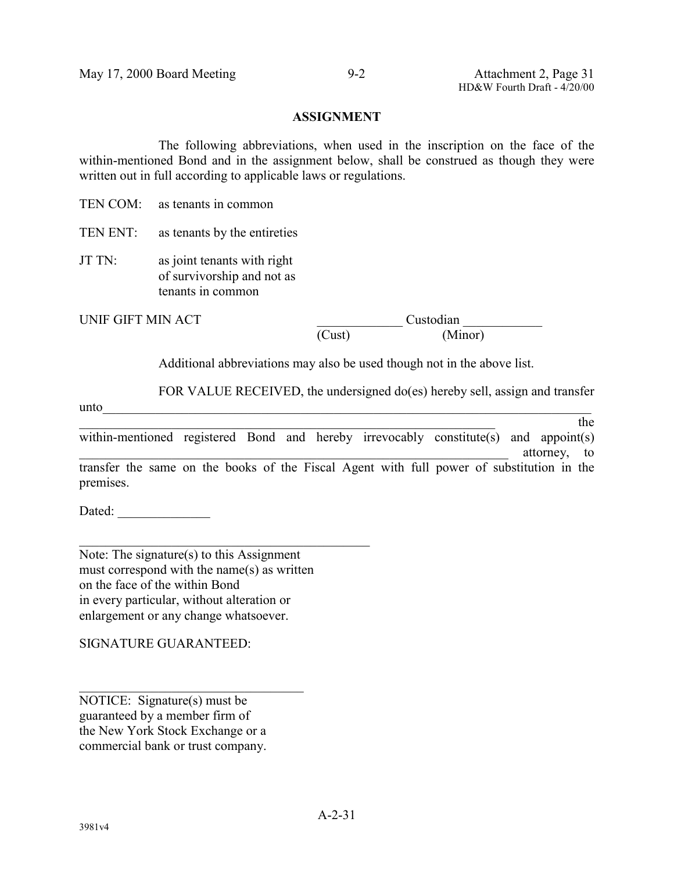#### **ASSIGNMENT**

The following abbreviations, when used in the inscription on the face of the within-mentioned Bond and in the assignment below, shall be construed as though they were written out in full according to applicable laws or regulations.

TEN COM<sup>-</sup> as tenants in common

TEN ENT: as tenants by the entireties

JT TN: as joint tenants with right of survivorship and not as tenants in common

UNIF GIFT MIN ACT Custodian (Cust) (Minor)

Additional abbreviations may also be used though not in the above list.

FOR VALUE RECEIVED, the undersigned do(es) hereby sell, assign and transfer

 $u$ nto  $\overline{\phantom{a}}$  $\Delta$  the state of the state of the state of the state of the state of the state of the state of the state of the state of the state of the state of the state of the state of the state of the state of the state of the stat within-mentioned registered Bond and hereby irrevocably constitute(s) and appoint(s) attorney, to

transfer the same on the books of the Fiscal Agent with full power of substitution in the premises.

Dated:

Note: The signature(s) to this Assignment must correspond with the name(s) as written on the face of the within Bond in every particular, without alteration or enlargement or any change whatsoever.

 $\mathcal{L}_\text{max}$  , and the set of the set of the set of the set of the set of the set of the set of the set of the set of the set of the set of the set of the set of the set of the set of the set of the set of the set of the

SIGNATURE GUARANTEED:

NOTICE: Signature(s) must be guaranteed by a member firm of the New York Stock Exchange or a commercial bank or trust company.

 $\mathcal{L}_\text{max}$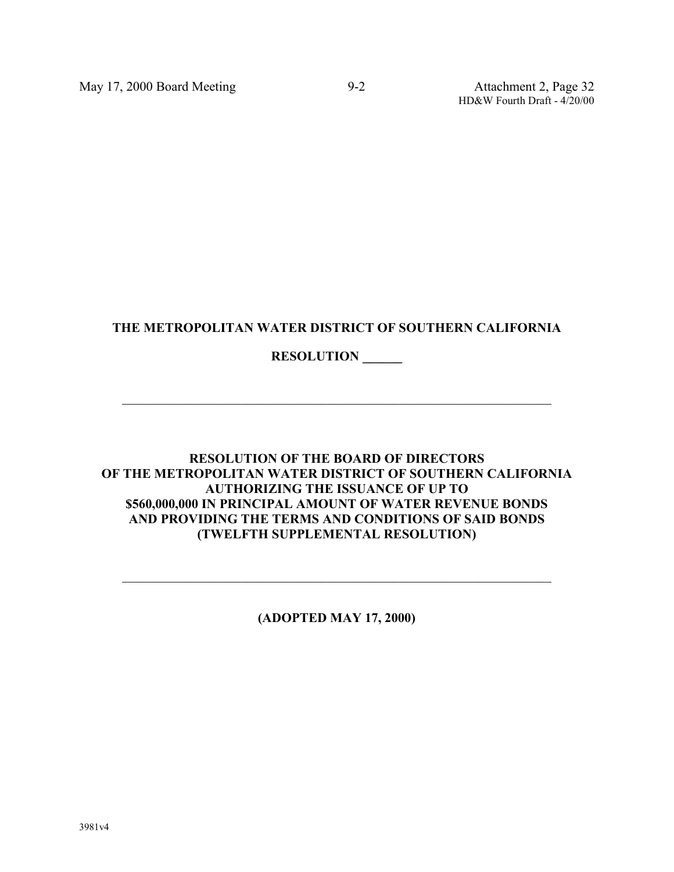HD&W Fourth Draft - 4/20/00

# **THE METROPOLITAN WATER DISTRICT OF SOUTHERN CALIFORNIA**

 $\mathcal{L}_\text{max}$  , and the contribution of the contribution of the contribution of the contribution of the contribution of the contribution of the contribution of the contribution of the contribution of the contribution of t

# **RESOLUTION \_\_\_\_\_\_**

**RESOLUTION OF THE BOARD OF DIRECTORS OF THE METROPOLITAN WATER DISTRICT OF SOUTHERN CALIFORNIA AUTHORIZING THE ISSUANCE OF UP TO \$560,000,000 IN PRINCIPAL AMOUNT OF WATER REVENUE BONDS AND PROVIDING THE TERMS AND CONDITIONS OF SAID BONDS (TWELFTH SUPPLEMENTAL RESOLUTION)**

**(ADOPTED MAY 17, 2000)**

 $\mathcal{L}_\text{max}$  , and the contribution of the contribution of the contribution of the contribution of the contribution of the contribution of the contribution of the contribution of the contribution of the contribution of t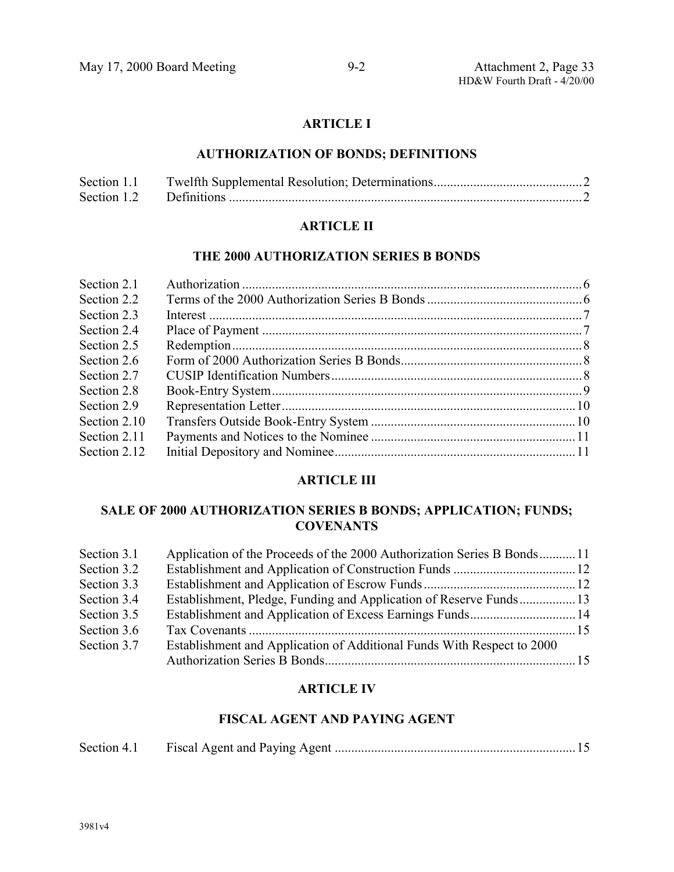# **ARTICLE I**

# **AUTHORIZATION OF BONDS; DEFINITIONS**

| Section 1.1 |  |
|-------------|--|
|             |  |

# **ARTICLE II**

# **THE 2000 AUTHORIZATION SERIES B BONDS**

# **ARTICLE III**

# **SALE OF 2000 AUTHORIZATION SERIES B BONDS; APPLICATION; FUNDS; COVENANTS**

| Section 3.1 | Application of the Proceeds of the 2000 Authorization Series B Bonds11 |  |
|-------------|------------------------------------------------------------------------|--|
| Section 3.2 |                                                                        |  |
| Section 3.3 |                                                                        |  |
| Section 3.4 | Establishment, Pledge, Funding and Application of Reserve Funds 13     |  |
| Section 3.5 |                                                                        |  |
| Section 3.6 |                                                                        |  |
| Section 3.7 | Establishment and Application of Additional Funds With Respect to 2000 |  |
|             |                                                                        |  |

# **ARTICLE IV**

# **FISCAL AGENT AND PAYING AGENT**

| Section 4.1 |  |  |  |
|-------------|--|--|--|
|-------------|--|--|--|